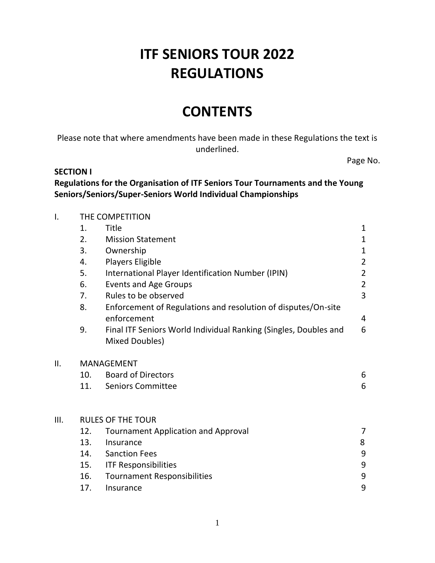# **ITF SENIORS TOUR 2022 REGULATIONS**

# **CONTENTS**

Please note that where amendments have been made in these Regulations the text is underlined.

Page No.

#### **SECTION I**

**Regulations for the Organisation of ITF Seniors Tour Tournaments and the Young Seniors/Seniors/Super-Seniors World Individual Championships**

| I.   | THE COMPETITION   |                                                                                    |                |  |  |
|------|-------------------|------------------------------------------------------------------------------------|----------------|--|--|
|      | 1.                | Title                                                                              | $\mathbf{1}$   |  |  |
|      | 2.                | <b>Mission Statement</b>                                                           | $\mathbf{1}$   |  |  |
|      | 3.                | Ownership                                                                          | $\mathbf{1}$   |  |  |
|      | 4.                | <b>Players Eligible</b>                                                            | $\overline{2}$ |  |  |
|      | 5.                | International Player Identification Number (IPIN)                                  | $\overline{2}$ |  |  |
|      | 6.                | <b>Events and Age Groups</b>                                                       | $\overline{2}$ |  |  |
|      | 7.                | Rules to be observed                                                               | $\overline{3}$ |  |  |
|      | 8.                | Enforcement of Regulations and resolution of disputes/On-site<br>enforcement       | $\overline{4}$ |  |  |
|      | 9.                | Final ITF Seniors World Individual Ranking (Singles, Doubles and<br>Mixed Doubles) | 6              |  |  |
| ΙΙ.  | <b>MANAGEMENT</b> |                                                                                    |                |  |  |
|      | 10.               | <b>Board of Directors</b>                                                          | 6              |  |  |
|      | 11.               | <b>Seniors Committee</b>                                                           | 6              |  |  |
| III. |                   | <b>RULES OF THE TOUR</b>                                                           |                |  |  |
|      | 12.               | <b>Tournament Application and Approval</b>                                         | 7              |  |  |
|      | 13.               | Insurance                                                                          | 8              |  |  |
|      | 14.               | <b>Sanction Fees</b>                                                               | 9              |  |  |
|      | 15.               | <b>ITF Responsibilities</b>                                                        | 9              |  |  |
|      | 16.               | <b>Tournament Responsibilities</b>                                                 | 9              |  |  |
|      | 17.               | Insurance                                                                          | 9              |  |  |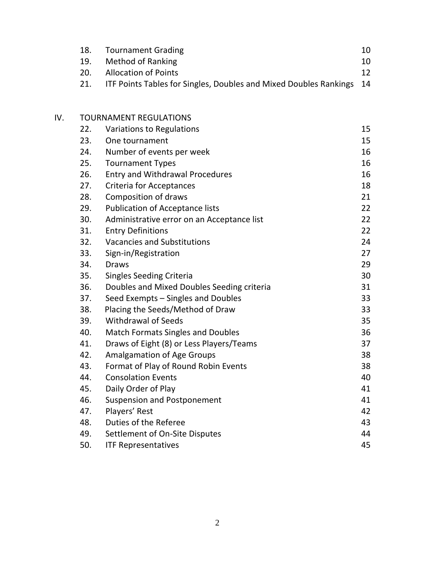| 18. Tournament Grading                                                   | 10 |
|--------------------------------------------------------------------------|----|
| 19. Method of Ranking                                                    | 10 |
| 20. Allocation of Points                                                 | 12 |
| 21. ITF Points Tables for Singles, Doubles and Mixed Doubles Rankings 14 |    |

| IV. |     | <b>TOURNAMENT REGULATIONS</b>              |    |  |  |
|-----|-----|--------------------------------------------|----|--|--|
|     | 22. | Variations to Regulations                  | 15 |  |  |
|     | 23. | One tournament                             | 15 |  |  |
|     | 24. | Number of events per week                  | 16 |  |  |
|     | 25. | <b>Tournament Types</b>                    | 16 |  |  |
|     | 26. | <b>Entry and Withdrawal Procedures</b>     | 16 |  |  |
|     | 27. | <b>Criteria for Acceptances</b>            | 18 |  |  |
|     | 28. | <b>Composition of draws</b>                | 21 |  |  |
|     | 29. | <b>Publication of Acceptance lists</b>     | 22 |  |  |
|     | 30. | Administrative error on an Acceptance list | 22 |  |  |
|     | 31. | <b>Entry Definitions</b>                   | 22 |  |  |
|     | 32. | <b>Vacancies and Substitutions</b>         | 24 |  |  |
|     | 33. | Sign-in/Registration                       | 27 |  |  |
|     | 34. | <b>Draws</b>                               | 29 |  |  |
|     | 35. | <b>Singles Seeding Criteria</b>            | 30 |  |  |
|     | 36. | Doubles and Mixed Doubles Seeding criteria | 31 |  |  |
|     | 37. | Seed Exempts – Singles and Doubles         | 33 |  |  |
|     | 38. | Placing the Seeds/Method of Draw           | 33 |  |  |
|     | 39. | <b>Withdrawal of Seeds</b>                 | 35 |  |  |
|     | 40. | <b>Match Formats Singles and Doubles</b>   | 36 |  |  |
|     | 41. | Draws of Eight (8) or Less Players/Teams   | 37 |  |  |
|     | 42. | <b>Amalgamation of Age Groups</b>          | 38 |  |  |
|     | 43. | Format of Play of Round Robin Events       | 38 |  |  |
|     | 44. | <b>Consolation Events</b>                  | 40 |  |  |
|     | 45. | Daily Order of Play                        | 41 |  |  |
|     | 46. | <b>Suspension and Postponement</b>         | 41 |  |  |
|     | 47. | Players' Rest                              | 42 |  |  |
|     | 48. | Duties of the Referee                      | 43 |  |  |
|     | 49. | Settlement of On-Site Disputes             | 44 |  |  |

| 50. | <b>ITF Representatives</b> |  |
|-----|----------------------------|--|
|-----|----------------------------|--|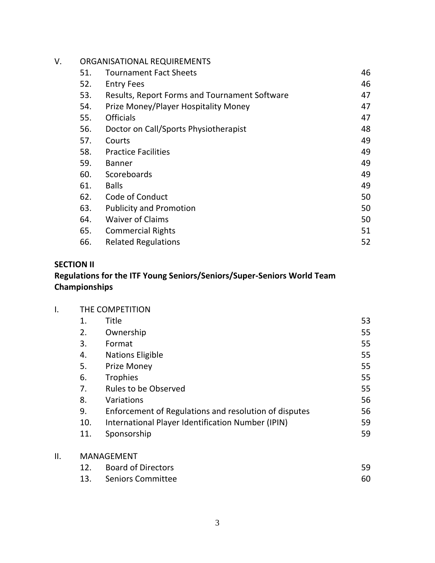| V. |     | ORGANISATIONAL REQUIREMENTS                   |    |  |  |
|----|-----|-----------------------------------------------|----|--|--|
|    | 51. | <b>Tournament Fact Sheets</b>                 | 46 |  |  |
|    | 52. | <b>Entry Fees</b>                             | 46 |  |  |
|    | 53. | Results, Report Forms and Tournament Software | 47 |  |  |
|    | 54. | Prize Money/Player Hospitality Money          | 47 |  |  |
|    | 55. | <b>Officials</b>                              | 47 |  |  |
|    | 56. | Doctor on Call/Sports Physiotherapist         | 48 |  |  |
|    | 57. | Courts                                        | 49 |  |  |
|    | 58. | <b>Practice Facilities</b>                    | 49 |  |  |
|    | 59. | <b>Banner</b>                                 | 49 |  |  |
|    | 60. | Scoreboards                                   | 49 |  |  |
|    | 61. | <b>Balls</b>                                  | 49 |  |  |
|    | 62. | Code of Conduct                               | 50 |  |  |
|    | 63. | <b>Publicity and Promotion</b>                | 50 |  |  |
|    | 64. | <b>Waiver of Claims</b>                       | 50 |  |  |
|    | 65. | <b>Commercial Rights</b>                      | 51 |  |  |
|    | 66. | <b>Related Regulations</b>                    | 52 |  |  |

# **SECTION II**

# **Regulations for the ITF Young Seniors/Seniors/Super-Seniors World Team Championships**

|     | THE COMPETITION |                                                       |    |
|-----|-----------------|-------------------------------------------------------|----|
|     | 1.              | Title                                                 | 53 |
|     | 2.              | Ownership                                             | 55 |
|     | 3.              | Format                                                | 55 |
|     | 4.              | <b>Nations Eligible</b>                               | 55 |
|     | 5.              | <b>Prize Money</b>                                    | 55 |
|     | 6.              | Trophies                                              | 55 |
|     | 7.              | <b>Rules to be Observed</b>                           | 55 |
|     | 8.              | Variations                                            | 56 |
|     | 9.              | Enforcement of Regulations and resolution of disputes | 56 |
|     | 10.             | International Player Identification Number (IPIN)     | 59 |
|     | 11.             | Sponsorship                                           | 59 |
| ΙΙ. |                 | <b>MANAGEMENT</b>                                     |    |
|     | 12.             | <b>Board of Directors</b>                             | 59 |

| ---- | _ _ _ _ _ _ _ _ _ _ _ _ _ _ _ | __ |
|------|-------------------------------|----|
|      | 13. Seniors Committee         |    |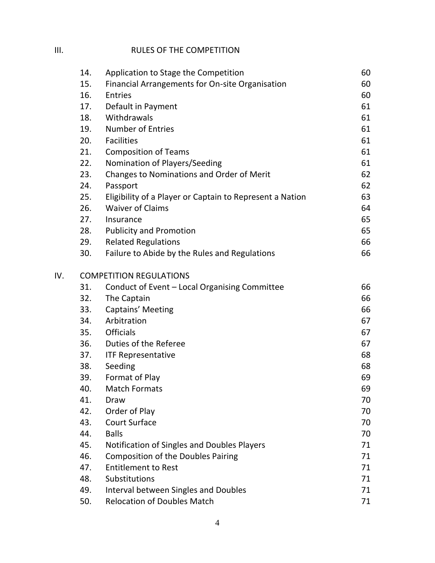# III. RULES OF THE COMPETITION

|     | 14. | Application to Stage the Competition                     | 60 |
|-----|-----|----------------------------------------------------------|----|
|     | 15. | Financial Arrangements for On-site Organisation          | 60 |
|     | 16. | <b>Entries</b>                                           | 60 |
|     | 17. | Default in Payment                                       | 61 |
|     | 18. | Withdrawals                                              | 61 |
|     | 19. | <b>Number of Entries</b>                                 | 61 |
|     | 20. | <b>Facilities</b>                                        | 61 |
|     | 21. | <b>Composition of Teams</b>                              | 61 |
|     | 22. | Nomination of Players/Seeding                            | 61 |
|     | 23. | Changes to Nominations and Order of Merit                | 62 |
|     | 24. | Passport                                                 | 62 |
|     | 25. | Eligibility of a Player or Captain to Represent a Nation | 63 |
|     | 26. | <b>Waiver of Claims</b>                                  | 64 |
|     | 27. | Insurance                                                | 65 |
|     | 28. | <b>Publicity and Promotion</b>                           | 65 |
|     | 29. | <b>Related Regulations</b>                               | 66 |
|     | 30. | Failure to Abide by the Rules and Regulations            | 66 |
| IV. |     | <b>COMPETITION REGULATIONS</b>                           |    |
|     | 31. | Conduct of Event - Local Organising Committee            | 66 |
|     | 32. | The Captain                                              | 66 |
|     | 33. | Captains' Meeting                                        | 66 |
|     | 34. | Arbitration                                              | 67 |
|     | 35. | <b>Officials</b>                                         | 67 |
|     | 36. | Duties of the Referee                                    | 67 |
|     | 37. | <b>ITF Representative</b>                                | 68 |
|     | 38. | Seeding                                                  | 68 |
|     | 39. | Format of Play                                           | 69 |
|     | 40. | <b>Match Formats</b>                                     | 69 |
|     | 41. | Draw                                                     | 70 |
|     | 42. | Order of Play                                            | 70 |
|     | 43. | <b>Court Surface</b>                                     | 70 |
|     | 44. | <b>Balls</b>                                             | 70 |
|     | 45. | Notification of Singles and Doubles Players              | 71 |
|     | 46. | <b>Composition of the Doubles Pairing</b>                | 71 |
|     | 47. | <b>Entitlement to Rest</b>                               | 71 |
|     | 48. | Substitutions                                            | 71 |
|     | 49. | Interval between Singles and Doubles                     | 71 |
|     | 50. | <b>Relocation of Doubles Match</b>                       | 71 |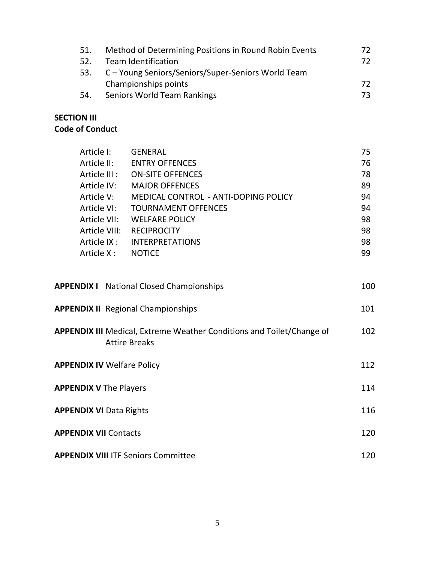| 51. | Method of Determining Positions in Round Robin Events  | 72. |
|-----|--------------------------------------------------------|-----|
| 52. | <b>Team Identification</b>                             | 72. |
|     | 53. C – Young Seniors/Seniors/Super-Seniors World Team |     |
|     | Championships points                                   | 72. |
| 54. | Seniors World Team Rankings                            | 73. |

#### **SECTION III Code of Conduct**

| Article I:                                | <b>GENERAL</b>                                                                                                                  | 75                |
|-------------------------------------------|---------------------------------------------------------------------------------------------------------------------------------|-------------------|
| Article II:                               | <b>ENTRY OFFENCES</b>                                                                                                           | 76                |
|                                           | Article III : ON-SITE OFFENCES                                                                                                  | 78                |
|                                           | Article IV: MAJOR OFFENCES                                                                                                      | 89                |
| Article V:                                | MEDICAL CONTROL - ANTI-DOPING POLICY                                                                                            | 94                |
| Article VI:                               | <b>TOURNAMENT OFFENCES</b>                                                                                                      | 94                |
|                                           | Article VII: WELFARE POLICY                                                                                                     | 98                |
| Article VIII:                             | <b>RECIPROCITY</b>                                                                                                              | 98                |
|                                           | Article IX : INTERPRETATIONS                                                                                                    | 98                |
| Article X: NOTICE                         |                                                                                                                                 | 99                |
| <b>APPENDIX II</b> Regional Championships | <b>APPENDIX I</b> National Closed Championships<br><b>APPENDIX III</b> Medical, Extreme Weather Conditions and Toilet/Change of | 100<br>101<br>102 |
| <b>APPENDIX IV Welfare Policy</b>         | <b>Attire Breaks</b>                                                                                                            | 112               |
| <b>APPENDIX V</b> The Players             |                                                                                                                                 | 114               |
|                                           |                                                                                                                                 |                   |

| <b>APPENDIX VI Data Rights</b>             | 116  |
|--------------------------------------------|------|
| <b>APPENDIX VII Contacts</b>               | 120. |
| <b>APPENDIX VIII ITF Seniors Committee</b> | 120. |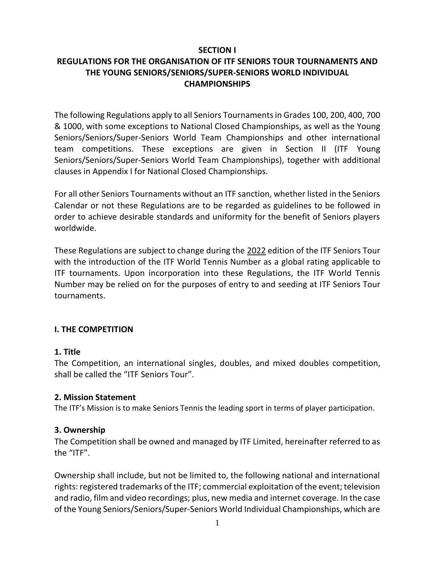#### **SECTION I**

#### **REGULATIONS FOR THE ORGANISATION OF ITF SENIORS TOUR TOURNAMENTS AND THE YOUNG SENIORS/SENIORS/SUPER-SENIORS WORLD INDIVIDUAL CHAMPIONSHIPS**

The following Regulations apply to all Seniors Tournaments in Grades 100, 200, 400, 700 & 1000, with some exceptions to National Closed Championships, as well as the Young Seniors/Seniors/Super-Seniors World Team Championships and other international team competitions. These exceptions are given in Section II (ITF Young Seniors/Seniors/Super-Seniors World Team Championships), together with additional clauses in Appendix I for National Closed Championships.

For all other Seniors Tournaments without an ITF sanction, whether listed in the Seniors Calendar or not these Regulations are to be regarded as guidelines to be followed in order to achieve desirable standards and uniformity for the benefit of Seniors players worldwide.

These Regulations are subject to change during the 2022 edition of the ITF Seniors Tour with the introduction of the ITF World Tennis Number as a global rating applicable to ITF tournaments. Upon incorporation into these Regulations, the ITF World Tennis Number may be relied on for the purposes of entry to and seeding at ITF Seniors Tour tournaments.

#### **I. THE COMPETITION**

#### **1. Title**

The Competition, an international singles, doubles, and mixed doubles competition, shall be called the "ITF Seniors Tour".

#### **2. Mission Statement**

The ITF's Mission is to make Seniors Tennis the leading sport in terms of player participation.

#### **3. Ownership**

The Competition shall be owned and managed by ITF Limited, hereinafter referred to as the "ITF".

Ownership shall include, but not be limited to, the following national and international rights: registered trademarks of the ITF; commercial exploitation of the event; television and radio, film and video recordings; plus, new media and internet coverage. In the case of the Young Seniors/Seniors/Super-Seniors World Individual Championships, which are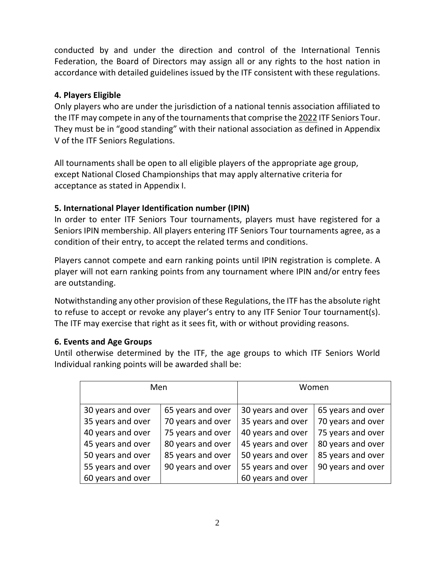conducted by and under the direction and control of the International Tennis Federation, the Board of Directors may assign all or any rights to the host nation in accordance with detailed guidelines issued by the ITF consistent with these regulations.

#### **4. Players Eligible**

Only players who are under the jurisdiction of a national tennis association affiliated to the ITF may compete in any of the tournaments that comprise the 2022 ITF Seniors Tour. They must be in "good standing" with their national association as defined in Appendix V of the ITF Seniors Regulations.

All tournaments shall be open to all eligible players of the appropriate age group, except National Closed Championships that may apply alternative criteria for acceptance as stated in Appendix I.

# **5. International Player Identification number (IPIN)**

In order to enter ITF Seniors Tour tournaments, players must have registered for a Seniors IPIN membership. All players entering ITF Seniors Tour tournaments agree, as a condition of their entry, to accept the related terms and conditions.

Players cannot compete and earn ranking points until IPIN registration is complete. A player will not earn ranking points from any tournament where IPIN and/or entry fees are outstanding.

Notwithstanding any other provision of these Regulations, the ITF has the absolute right to refuse to accept or revoke any player's entry to any ITF Senior Tour tournament(s). The ITF may exercise that right as it sees fit, with or without providing reasons.

#### **6. Events and Age Groups**

Until otherwise determined by the ITF, the age groups to which ITF Seniors World Individual ranking points will be awarded shall be:

| Men               |                   |                   | Women             |
|-------------------|-------------------|-------------------|-------------------|
| 30 years and over | 65 years and over | 30 years and over | 65 years and over |
| 35 years and over | 70 years and over | 35 years and over | 70 years and over |
| 40 years and over | 75 years and over | 40 years and over | 75 years and over |
| 45 years and over | 80 years and over | 45 years and over | 80 years and over |
| 50 years and over | 85 years and over | 50 years and over | 85 years and over |
| 55 years and over | 90 years and over | 55 years and over | 90 years and over |
| 60 years and over |                   | 60 years and over |                   |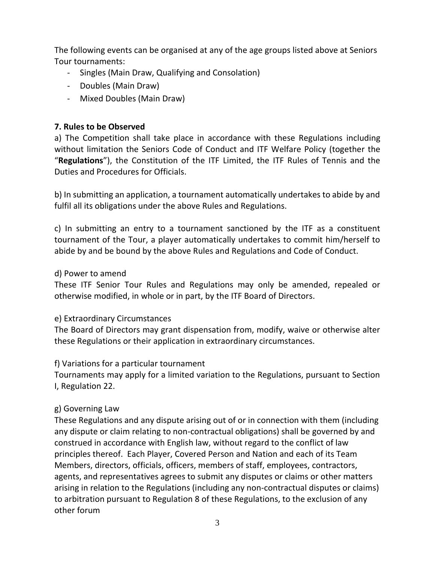The following events can be organised at any of the age groups listed above at Seniors Tour tournaments:

- Singles (Main Draw, Qualifying and Consolation)
- Doubles (Main Draw)
- Mixed Doubles (Main Draw)

# **7. Rules to be Observed**

a) The Competition shall take place in accordance with these Regulations including without limitation the Seniors Code of Conduct and ITF Welfare Policy (together the "**Regulations**"), the Constitution of the ITF Limited, the ITF Rules of Tennis and the Duties and Procedures for Officials.

b) In submitting an application, a tournament automatically undertakes to abide by and fulfil all its obligations under the above Rules and Regulations.

c) In submitting an entry to a tournament sanctioned by the ITF as a constituent tournament of the Tour, a player automatically undertakes to commit him/herself to abide by and be bound by the above Rules and Regulations and Code of Conduct.

# d) Power to amend

These ITF Senior Tour Rules and Regulations may only be amended, repealed or otherwise modified, in whole or in part, by the ITF Board of Directors.

# e) Extraordinary Circumstances

The Board of Directors may grant dispensation from, modify, waive or otherwise alter these Regulations or their application in extraordinary circumstances.

# f) Variations for a particular tournament

Tournaments may apply for a limited variation to the Regulations, pursuant to Section I, Regulation 22.

# g) Governing Law

These Regulations and any dispute arising out of or in connection with them (including any dispute or claim relating to non-contractual obligations) shall be governed by and construed in accordance with English law, without regard to the conflict of law principles thereof. Each Player, Covered Person and Nation and each of its Team Members, directors, officials, officers, members of staff, employees, contractors, agents, and representatives agrees to submit any disputes or claims or other matters arising in relation to the Regulations (including any non-contractual disputes or claims) to arbitration pursuant to Regulation 8 of these Regulations, to the exclusion of any other forum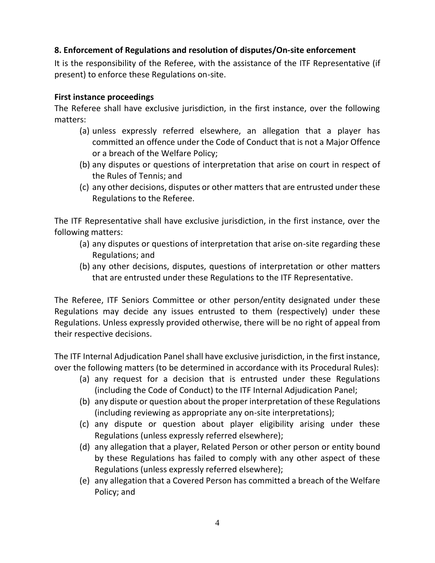#### **8. Enforcement of Regulations and resolution of disputes/On-site enforcement**

It is the responsibility of the Referee, with the assistance of the ITF Representative (if present) to enforce these Regulations on-site.

#### **First instance proceedings**

The Referee shall have exclusive jurisdiction, in the first instance, over the following matters:

- (a) unless expressly referred elsewhere, an allegation that a player has committed an offence under the Code of Conduct that is not a Major Offence or a breach of the Welfare Policy;
- (b) any disputes or questions of interpretation that arise on court in respect of the Rules of Tennis; and
- (c) any other decisions, disputes or other matters that are entrusted under these Regulations to the Referee.

The ITF Representative shall have exclusive jurisdiction, in the first instance, over the following matters:

- (a) any disputes or questions of interpretation that arise on-site regarding these Regulations; and
- (b) any other decisions, disputes, questions of interpretation or other matters that are entrusted under these Regulations to the ITF Representative.

The Referee, ITF Seniors Committee or other person/entity designated under these Regulations may decide any issues entrusted to them (respectively) under these Regulations. Unless expressly provided otherwise, there will be no right of appeal from their respective decisions.

The ITF Internal Adjudication Panel shall have exclusive jurisdiction, in the first instance, over the following matters (to be determined in accordance with its Procedural Rules):

- (a) any request for a decision that is entrusted under these Regulations (including the Code of Conduct) to the ITF Internal Adjudication Panel;
- (b) any dispute or question about the proper interpretation of these Regulations (including reviewing as appropriate any on-site interpretations);
- (c) any dispute or question about player eligibility arising under these Regulations (unless expressly referred elsewhere);
- (d) any allegation that a player, Related Person or other person or entity bound by these Regulations has failed to comply with any other aspect of these Regulations (unless expressly referred elsewhere);
- (e) any allegation that a Covered Person has committed a breach of the Welfare Policy; and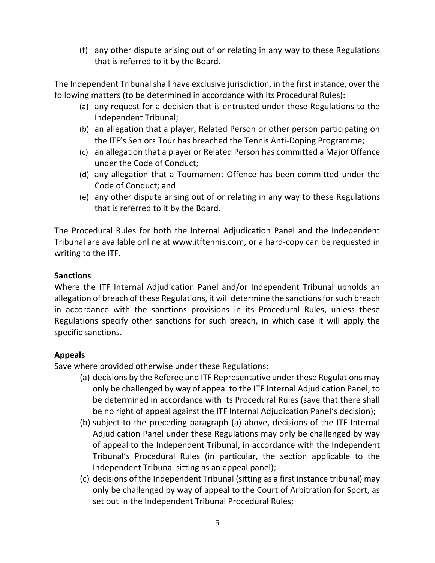(f) any other dispute arising out of or relating in any way to these Regulations that is referred to it by the Board.

The Independent Tribunal shall have exclusive jurisdiction, in the first instance, over the following matters (to be determined in accordance with its Procedural Rules):

- (a) any request for a decision that is entrusted under these Regulations to the Independent Tribunal;
- (b) an allegation that a player, Related Person or other person participating on the ITF's Seniors Tour has breached the Tennis Anti-Doping Programme;
- (c) an allegation that a player or Related Person has committed a Major Offence under the Code of Conduct;
- (d) any allegation that a Tournament Offence has been committed under the Code of Conduct; and
- (e) any other dispute arising out of or relating in any way to these Regulations that is referred to it by the Board.

The Procedural Rules for both the Internal Adjudication Panel and the Independent Tribunal are available online at www.itftennis.com, or a hard-copy can be requested in writing to the ITF.

# **Sanctions**

Where the ITF Internal Adjudication Panel and/or Independent Tribunal upholds an allegation of breach of these Regulations, it will determine the sanctions for such breach in accordance with the sanctions provisions in its Procedural Rules, unless these Regulations specify other sanctions for such breach, in which case it will apply the specific sanctions.

#### **Appeals**

Save where provided otherwise under these Regulations:

- (a) decisions by the Referee and ITF Representative under these Regulations may only be challenged by way of appeal to the ITF Internal Adjudication Panel, to be determined in accordance with its Procedural Rules (save that there shall be no right of appeal against the ITF Internal Adjudication Panel's decision);
- (b) subject to the preceding paragraph (a) above, decisions of the ITF Internal Adjudication Panel under these Regulations may only be challenged by way of appeal to the Independent Tribunal, in accordance with the Independent Tribunal's Procedural Rules (in particular, the section applicable to the Independent Tribunal sitting as an appeal panel);
- (c) decisions of the Independent Tribunal (sitting as a first instance tribunal) may only be challenged by way of appeal to the Court of Arbitration for Sport, as set out in the Independent Tribunal Procedural Rules;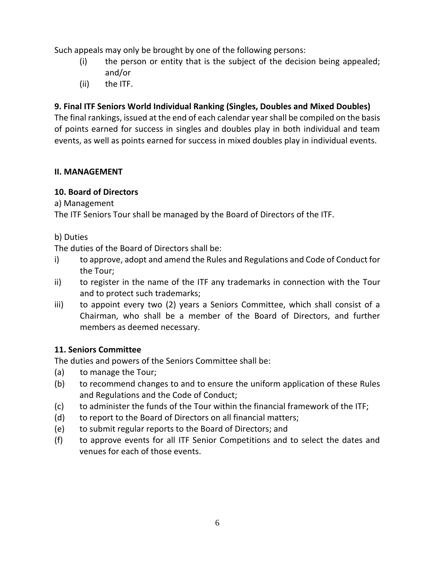Such appeals may only be brought by one of the following persons:

- (i) the person or entity that is the subject of the decision being appealed; and/or
- (ii) the ITF.

# **9. Final ITF Seniors World Individual Ranking (Singles, Doubles and Mixed Doubles)**

The final rankings, issued at the end of each calendar year shall be compiled on the basis of points earned for success in singles and doubles play in both individual and team events, as well as points earned for success in mixed doubles play in individual events.

# **II. MANAGEMENT**

# **10. Board of Directors**

a) Management

The ITF Seniors Tour shall be managed by the Board of Directors of the ITF.

#### b) Duties

The duties of the Board of Directors shall be:

- i) to approve, adopt and amend the Rules and Regulations and Code of Conduct for the Tour;
- ii) to register in the name of the ITF any trademarks in connection with the Tour and to protect such trademarks;
- iii) to appoint every two (2) years a Seniors Committee, which shall consist of a Chairman, who shall be a member of the Board of Directors, and further members as deemed necessary.

# **11. Seniors Committee**

The duties and powers of the Seniors Committee shall be:

- (a) to manage the Tour;
- (b) to recommend changes to and to ensure the uniform application of these Rules and Regulations and the Code of Conduct;
- (c) to administer the funds of the Tour within the financial framework of the ITF;
- (d) to report to the Board of Directors on all financial matters;
- (e) to submit regular reports to the Board of Directors; and
- (f) to approve events for all ITF Senior Competitions and to select the dates and venues for each of those events.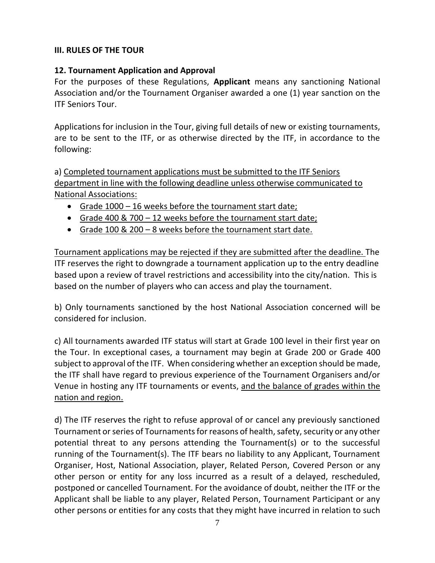#### **III. RULES OF THE TOUR**

#### **12. Tournament Application and Approval**

For the purposes of these Regulations, **Applicant** means any sanctioning National Association and/or the Tournament Organiser awarded a one (1) year sanction on the ITF Seniors Tour.

Applications for inclusion in the Tour, giving full details of new or existing tournaments, are to be sent to the ITF, or as otherwise directed by the ITF, in accordance to the following:

a) Completed tournament applications must be submitted to the ITF Seniors department in line with the following deadline unless otherwise communicated to National Associations:

- Grade 1000 16 weeks before the tournament start date;
- Grade 400 & 700 12 weeks before the tournament start date;
- Grade 100 & 200 8 weeks before the tournament start date.

Tournament applications may be rejected if they are submitted after the deadline. The ITF reserves the right to downgrade a tournament application up to the entry deadline based upon a review of travel restrictions and accessibility into the city/nation. This is based on the number of players who can access and play the tournament.

b) Only tournaments sanctioned by the host National Association concerned will be considered for inclusion.

c) All tournaments awarded ITF status will start at Grade 100 level in their first year on the Tour. In exceptional cases, a tournament may begin at Grade 200 or Grade 400 subject to approval of the ITF. When considering whether an exception should be made, the ITF shall have regard to previous experience of the Tournament Organisers and/or Venue in hosting any ITF tournaments or events, and the balance of grades within the nation and region.

d) The ITF reserves the right to refuse approval of or cancel any previously sanctioned Tournament or series of Tournaments for reasons of health, safety, security or any other potential threat to any persons attending the Tournament(s) or to the successful running of the Tournament(s). The ITF bears no liability to any Applicant, Tournament Organiser, Host, National Association, player, Related Person, Covered Person or any other person or entity for any loss incurred as a result of a delayed, rescheduled, postponed or cancelled Tournament. For the avoidance of doubt, neither the ITF or the Applicant shall be liable to any player, Related Person, Tournament Participant or any other persons or entities for any costs that they might have incurred in relation to such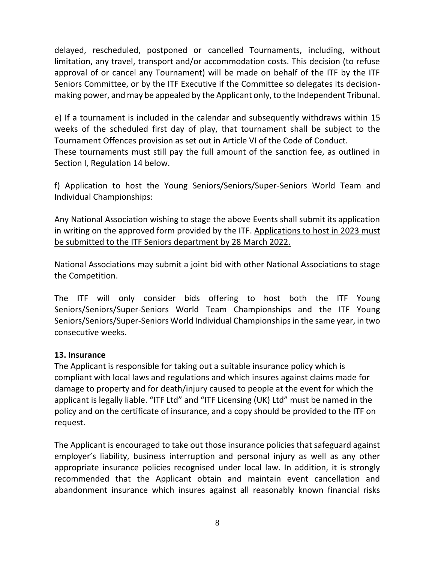delayed, rescheduled, postponed or cancelled Tournaments, including, without limitation, any travel, transport and/or accommodation costs. This decision (to refuse approval of or cancel any Tournament) will be made on behalf of the ITF by the ITF Seniors Committee, or by the ITF Executive if the Committee so delegates its decisionmaking power, and may be appealed by the Applicant only, to the Independent Tribunal.

e) If a tournament is included in the calendar and subsequently withdraws within 15 weeks of the scheduled first day of play, that tournament shall be subject to the Tournament Offences provision as set out in Article VI of the Code of Conduct. These tournaments must still pay the full amount of the sanction fee, as outlined in Section I, Regulation 14 below.

f) Application to host the Young Seniors/Seniors/Super-Seniors World Team and Individual Championships:

Any National Association wishing to stage the above Events shall submit its application in writing on the approved form provided by the ITF. Applications to host in 2023 must be submitted to the ITF Seniors department by 28 March 2022.

National Associations may submit a joint bid with other National Associations to stage the Competition.

The ITF will only consider bids offering to host both the ITF Young Seniors/Seniors/Super-Seniors World Team Championships and the ITF Young Seniors/Seniors/Super-Seniors World Individual Championships in the same year, in two consecutive weeks.

#### **13. Insurance**

The Applicant is responsible for taking out a suitable insurance policy which is compliant with local laws and regulations and which insures against claims made for damage to property and for death/injury caused to people at the event for which the applicant is legally liable. "ITF Ltd" and "ITF Licensing (UK) Ltd" must be named in the policy and on the certificate of insurance, and a copy should be provided to the ITF on request.

The Applicant is encouraged to take out those insurance policies that safeguard against employer's liability, business interruption and personal injury as well as any other appropriate insurance policies recognised under local law. In addition, it is strongly recommended that the Applicant obtain and maintain event cancellation and abandonment insurance which insures against all reasonably known financial risks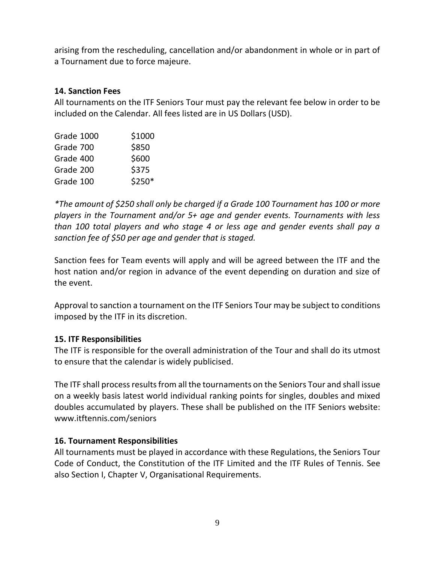arising from the rescheduling, cancellation and/or abandonment in whole or in part of a Tournament due to force majeure.

#### **14. Sanction Fees**

All tournaments on the ITF Seniors Tour must pay the relevant fee below in order to be included on the Calendar. All fees listed are in US Dollars (USD).

| Grade 1000 | \$1000 |
|------------|--------|
| Grade 700  | \$850  |
| Grade 400  | \$600  |
| Grade 200  | \$375  |
| Grade 100  | \$250* |

*\*The amount of \$250 shall only be charged if a Grade 100 Tournament has 100 or more players in the Tournament and/or 5+ age and gender events. Tournaments with less than 100 total players and who stage 4 or less age and gender events shall pay a sanction fee of \$50 per age and gender that is staged.*

Sanction fees for Team events will apply and will be agreed between the ITF and the host nation and/or region in advance of the event depending on duration and size of the event.

Approval to sanction a tournament on the ITF Seniors Tour may be subject to conditions imposed by the ITF in its discretion.

# **15. ITF Responsibilities**

The ITF is responsible for the overall administration of the Tour and shall do its utmost to ensure that the calendar is widely publicised.

The ITF shall process results from all the tournaments on the Seniors Tour and shall issue on a weekly basis latest world individual ranking points for singles, doubles and mixed doubles accumulated by players. These shall be published on the ITF Seniors website: [www.itftennis.com/seniors](http://www.itftennis.com/seniors)

#### **16. Tournament Responsibilities**

All tournaments must be played in accordance with these Regulations, the Seniors Tour Code of Conduct, the Constitution of the ITF Limited and the ITF Rules of Tennis. See also Section I, Chapter V, Organisational Requirements.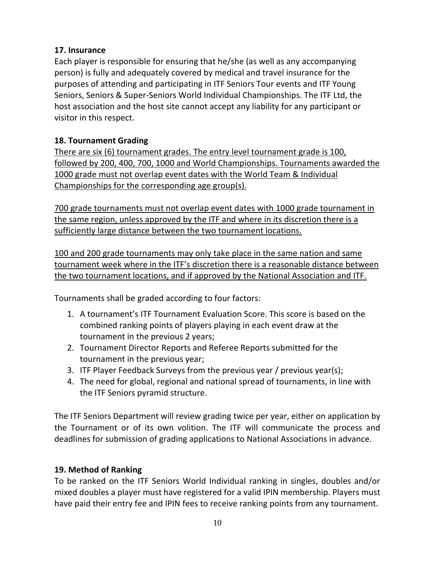#### **17. Insurance**

Each player is responsible for ensuring that he/she (as well as any accompanying person) is fully and adequately covered by medical and travel insurance for the purposes of attending and participating in ITF Seniors Tour events and ITF Young Seniors, Seniors & Super-Seniors World Individual Championships. The ITF Ltd, the host association and the host site cannot accept any liability for any participant or visitor in this respect.

## **18. Tournament Grading**

There are six (6) tournament grades. The entry level tournament grade is 100, followed by 200, 400, 700, 1000 and World Championships. Tournaments awarded the 1000 grade must not overlap event dates with the World Team & Individual Championships for the corresponding age group(s).

700 grade tournaments must not overlap event dates with 1000 grade tournament in the same region, unless approved by the ITF and where in its discretion there is a sufficiently large distance between the two tournament locations.

100 and 200 grade tournaments may only take place in the same nation and same tournament week where in the ITF's discretion there is a reasonable distance between the two tournament locations, and if approved by the National Association and ITF.

Tournaments shall be graded according to four factors:

- 1. A tournament's ITF Tournament Evaluation Score. This score is based on the combined ranking points of players playing in each event draw at the tournament in the previous 2 years;
- 2. Tournament Director Reports and Referee Reports submitted for the tournament in the previous year;
- 3. ITF Player Feedback Surveys from the previous year / previous year(s);
- 4. The need for global, regional and national spread of tournaments, in line with the ITF Seniors pyramid structure.

The ITF Seniors Department will review grading twice per year, either on application by the Tournament or of its own volition. The ITF will communicate the process and deadlines for submission of grading applications to National Associations in advance.

# **19. Method of Ranking**

To be ranked on the ITF Seniors World Individual ranking in singles, doubles and/or mixed doubles a player must have registered for a valid IPIN membership. Players must have paid their entry fee and IPIN fees to receive ranking points from any tournament.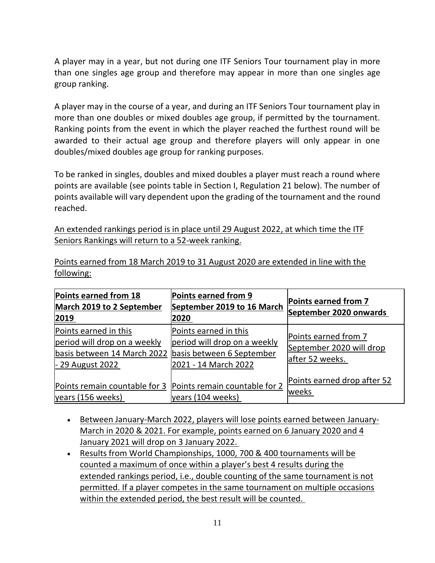A player may in a year, but not during one ITF Seniors Tour tournament play in more than one singles age group and therefore may appear in more than one singles age group ranking.

A player may in the course of a year, and during an ITF Seniors Tour tournament play in more than one doubles or mixed doubles age group, if permitted by the tournament. Ranking points from the event in which the player reached the furthest round will be awarded to their actual age group and therefore players will only appear in one doubles/mixed doubles age group for ranking purposes.

To be ranked in singles, doubles and mixed doubles a player must reach a round where points are available (see points table in Section I, Regulation 21 below). The number of points available will vary dependent upon the grading of the tournament and the round reached.

An extended rankings period is in place until 29 August 2022, at which time the ITF Seniors Rankings will return to a 52-week ranking.

Points earned from 18 March 2019 to 31 August 2020 are extended in line with the following:

| Points earned from 18<br><b>March 2019 to 2 September</b><br>2019                                                                  | Points earned from 9<br>September 2019 to 16 March<br>2020                    | Points earned from 7<br>September 2020 onwards                      |
|------------------------------------------------------------------------------------------------------------------------------------|-------------------------------------------------------------------------------|---------------------------------------------------------------------|
| Points earned in this<br>period will drop on a weekly<br>basis between 14 March 2022 basis between 6 September<br>- 29 August 2022 | Points earned in this<br>period will drop on a weekly<br>2021 - 14 March 2022 | Points earned from 7<br>September 2020 will drop<br>after 52 weeks. |
| Points remain countable for 3 Points remain countable for 2<br>years (156 weeks)                                                   | years (104 weeks)                                                             | Points earned drop after 52<br>weeks                                |

- Between January-March 2022, players will lose points earned between January-March in 2020 & 2021. For example, points earned on 6 January 2020 and 4 January 2021 will drop on 3 January 2022.
- Results from World Championships, 1000, 700 & 400 tournaments will be counted a maximum of once within a player's best 4 results during the extended rankings period, i.e., double counting of the same tournament is not permitted. If a player competes in the same tournament on multiple occasions within the extended period, the best result will be counted.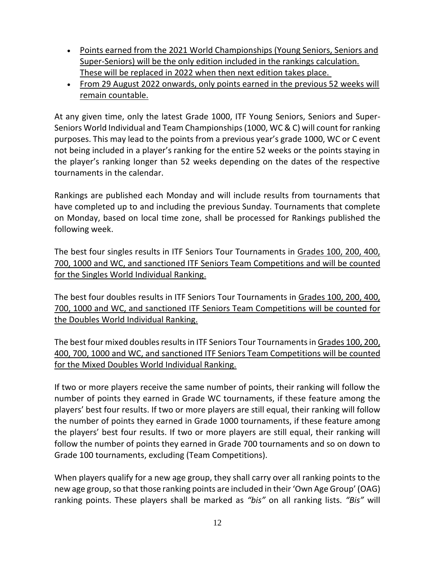- Points earned from the 2021 World Championships (Young Seniors, Seniors and Super-Seniors) will be the only edition included in the rankings calculation. These will be replaced in 2022 when then next edition takes place.
- From 29 August 2022 onwards, only points earned in the previous 52 weeks will remain countable.

At any given time, only the latest Grade 1000, ITF Young Seniors, Seniors and Super-Seniors World Individual and Team Championships(1000, WC & C) will count for ranking purposes. This may lead to the points from a previous year's grade 1000, WC or C event not being included in a player's ranking for the entire 52 weeks or the points staying in the player's ranking longer than 52 weeks depending on the dates of the respective tournaments in the calendar.

Rankings are published each Monday and will include results from tournaments that have completed up to and including the previous Sunday. Tournaments that complete on Monday, based on local time zone, shall be processed for Rankings published the following week.

The best four singles results in ITF Seniors Tour Tournaments in Grades 100, 200, 400, 700, 1000 and WC, and sanctioned ITF Seniors Team Competitions and will be counted for the Singles World Individual Ranking.

The best four doubles results in ITF Seniors Tour Tournaments in Grades 100, 200, 400, 700, 1000 and WC, and sanctioned ITF Seniors Team Competitions will be counted for the Doubles World Individual Ranking.

The best four mixed doubles results in ITF Seniors Tour Tournaments in Grades 100, 200, 400, 700, 1000 and WC, and sanctioned ITF Seniors Team Competitions will be counted for the Mixed Doubles World Individual Ranking.

If two or more players receive the same number of points, their ranking will follow the number of points they earned in Grade WC tournaments, if these feature among the players' best four results. If two or more players are still equal, their ranking will follow the number of points they earned in Grade 1000 tournaments, if these feature among the players' best four results. If two or more players are still equal, their ranking will follow the number of points they earned in Grade 700 tournaments and so on down to Grade 100 tournaments, excluding (Team Competitions).

When players qualify for a new age group, they shall carry over all ranking points to the new age group, so that those ranking points are included in their 'Own Age Group' (OAG) ranking points. These players shall be marked as *"bis"* on all ranking lists. *"Bis"* will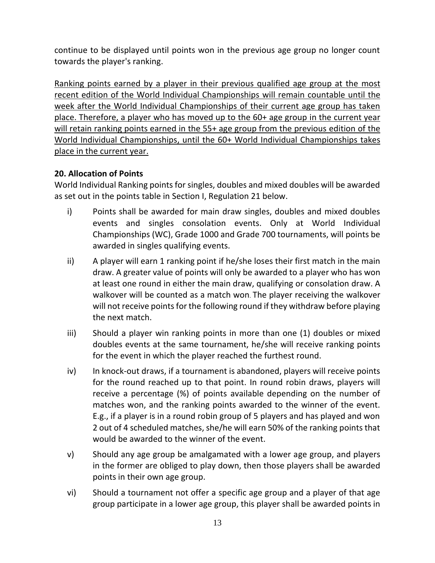continue to be displayed until points won in the previous age group no longer count towards the player's ranking.

Ranking points earned by a player in their previous qualified age group at the most recent edition of the World Individual Championships will remain countable until the week after the World Individual Championships of their current age group has taken place. Therefore, a player who has moved up to the 60+ age group in the current year will retain ranking points earned in the 55+ age group from the previous edition of the World Individual Championships, until the 60+ World Individual Championships takes place in the current year.

# **20. Allocation of Points**

World Individual Ranking points for singles, doubles and mixed doubles will be awarded as set out in the points table in Section I, Regulation 21 below.

- i) Points shall be awarded for main draw singles, doubles and mixed doubles events and singles consolation events. Only at World Individual Championships (WC), Grade 1000 and Grade 700 tournaments, will points be awarded in singles qualifying events.
- ii) A player will earn 1 ranking point if he/she loses their first match in the main draw. A greater value of points will only be awarded to a player who has won at least one round in either the main draw, qualifying or consolation draw. A walkover will be counted as a match won. The player receiving the walkover will not receive points for the following round if they withdraw before playing the next match.
- iii) Should a player win ranking points in more than one (1) doubles or mixed doubles events at the same tournament, he/she will receive ranking points for the event in which the player reached the furthest round.
- iv) In knock-out draws, if a tournament is abandoned, players will receive points for the round reached up to that point. In round robin draws, players will receive a percentage (%) of points available depending on the number of matches won, and the ranking points awarded to the winner of the event. E.g., if a player is in a round robin group of 5 players and has played and won 2 out of 4 scheduled matches, she/he will earn 50% of the ranking points that would be awarded to the winner of the event.
- v) Should any age group be amalgamated with a lower age group, and players in the former are obliged to play down, then those players shall be awarded points in their own age group.
- vi) Should a tournament not offer a specific age group and a player of that age group participate in a lower age group, this player shall be awarded points in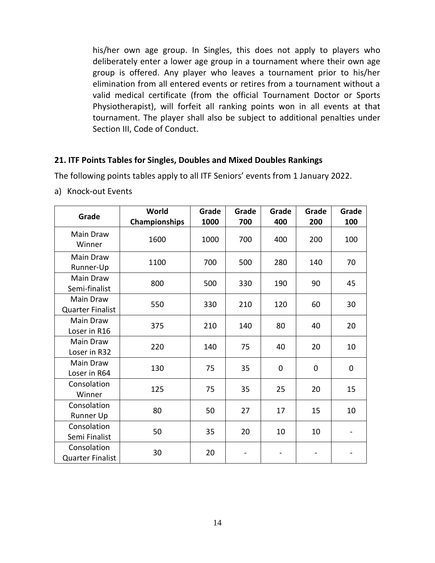his/her own age group. In Singles, this does not apply to players who deliberately enter a lower age group in a tournament where their own age group is offered. Any player who leaves a tournament prior to his/her elimination from all entered events or retires from a tournament without a valid medical certificate (from the official Tournament Doctor or Sports Physiotherapist), will forfeit all ranking points won in all events at that tournament. The player shall also be subject to additional penalties under Section III, Code of Conduct.

#### **21. ITF Points Tables for Singles, Doubles and Mixed Doubles Rankings**

The following points tables apply to all ITF Seniors' events from 1 January 2022.

a) Knock-out Events

| Grade                                       | World<br>Championships | Grade<br>1000 | Grade<br>700 | Grade<br>400 | Grade<br>200 | Grade<br>100 |
|---------------------------------------------|------------------------|---------------|--------------|--------------|--------------|--------------|
| Main Draw<br>Winner                         | 1600                   | 1000          | 700          | 400          | 200          | 100          |
| Main Draw<br>Runner-Up                      | 1100                   | 700           | 500          | 280          | 140          | 70           |
| Main Draw<br>Semi-finalist                  | 800                    | 500           | 330          | 190          | 90           | 45           |
| <b>Main Draw</b><br><b>Quarter Finalist</b> | 550                    | 330           | 210          | 120          | 60           | 30           |
| Main Draw<br>Loser in R16                   | 375                    | 210           | 140          | 80           | 40           | 20           |
| <b>Main Draw</b><br>Loser in R32            | 220                    | 140           | 75           | 40           | 20           | 10           |
| Main Draw<br>Loser in R64                   | 130                    | 75            | 35           | $\mathbf 0$  | $\mathbf 0$  | 0            |
| Consolation<br>Winner                       | 125                    | 75            | 35           | 25           | 20           | 15           |
| Consolation<br>Runner Up                    | 80                     | 50            | 27           | 17           | 15           | 10           |
| Consolation<br>Semi Finalist                | 50                     | 35            | 20           | 10           | 10           |              |
| Consolation<br><b>Quarter Finalist</b>      | 30                     | 20            |              |              |              |              |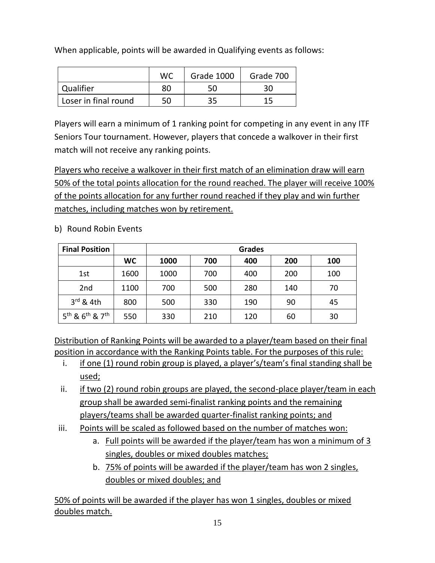When applicable, points will be awarded in Qualifying events as follows:

|                      | WC | Grade 1000 | Grade 700 |
|----------------------|----|------------|-----------|
| Qualifier            | 80 |            | 30        |
| Loser in final round | 50 | 35         |           |

Players will earn a minimum of 1 ranking point for competing in any event in any ITF Seniors Tour tournament. However, players that concede a walkover in their first match will not receive any ranking points.

Players who receive a walkover in their first match of an elimination draw will earn 50% of the total points allocation for the round reached. The player will receive 100% of the points allocation for any further round reached if they play and win further matches, including matches won by retirement.

| <b>Final Position</b>                               |           | <b>Grades</b> |     |     |     |     |
|-----------------------------------------------------|-----------|---------------|-----|-----|-----|-----|
|                                                     | <b>WC</b> | 1000          | 700 | 400 | 200 | 100 |
| 1st                                                 | 1600      | 1000          | 700 | 400 | 200 | 100 |
| 2 <sub>nd</sub>                                     | 1100      | 700           | 500 | 280 | 140 | 70  |
| $3rd$ & 4th                                         | 800       | 500           | 330 | 190 | 90  | 45  |
| 5 <sup>th</sup> & 6 <sup>th</sup> & 7 <sup>th</sup> | 550       | 330           | 210 | 120 | 60  | 30  |

b) Round Robin Events

Distribution of Ranking Points will be awarded to a player/team based on their final position in accordance with the Ranking Points table. For the purposes of this rule:

- i. if one (1) round robin group is played, a player's/team's final standing shall be used;
- ii. if two (2) round robin groups are played, the second-place player/team in each group shall be awarded semi-finalist ranking points and the remaining players/teams shall be awarded quarter-finalist ranking points; and
- iii. Points will be scaled as followed based on the number of matches won:
	- a. Full points will be awarded if the player/team has won a minimum of 3 singles, doubles or mixed doubles matches;
	- b. 75% of points will be awarded if the player/team has won 2 singles, doubles or mixed doubles; and

50% of points will be awarded if the player has won 1 singles, doubles or mixed doubles match.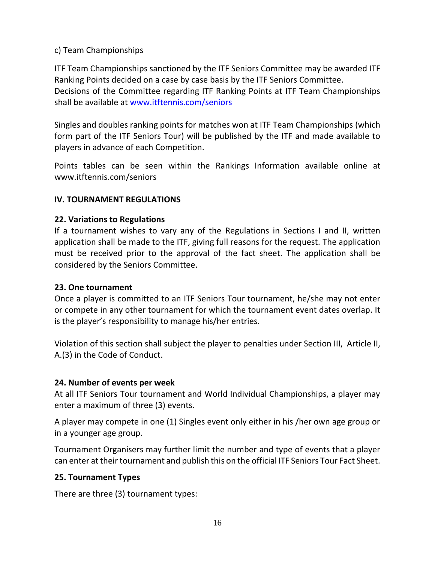#### c) Team Championships

ITF Team Championships sanctioned by the ITF Seniors Committee may be awarded ITF Ranking Points decided on a case by case basis by the ITF Seniors Committee. Decisions of the Committee regarding ITF Ranking Points at ITF Team Championships shall be available at [www.itftennis.com/seniors](http://www.itftennis.com/seniors)

Singles and doubles ranking points for matches won at ITF Team Championships (which form part of the ITF Seniors Tour) will be published by the ITF and made available to players in advance of each Competition.

Points tables can be seen within the Rankings Information available online at [www.itftennis.com/seniors](http://www.itftennis.com/seniors)

#### **IV. TOURNAMENT REGULATIONS**

#### **22. Variations to Regulations**

If a tournament wishes to vary any of the Regulations in Sections I and II, written application shall be made to the ITF, giving full reasons for the request. The application must be received prior to the approval of the fact sheet. The application shall be considered by the Seniors Committee.

#### **23. One tournament**

Once a player is committed to an ITF Seniors Tour tournament, he/she may not enter or compete in any other tournament for which the tournament event dates overlap. It is the player's responsibility to manage his/her entries.

Violation of this section shall subject the player to penalties under Section III, Article II, A.(3) in the Code of Conduct.

#### **24. Number of events per week**

At all ITF Seniors Tour tournament and World Individual Championships, a player may enter a maximum of three (3) events.

A player may compete in one (1) Singles event only either in his /her own age group or in a younger age group.

Tournament Organisers may further limit the number and type of events that a player can enter at their tournament and publish this on the official ITF Seniors Tour Fact Sheet.

#### **25. Tournament Types**

There are three (3) tournament types: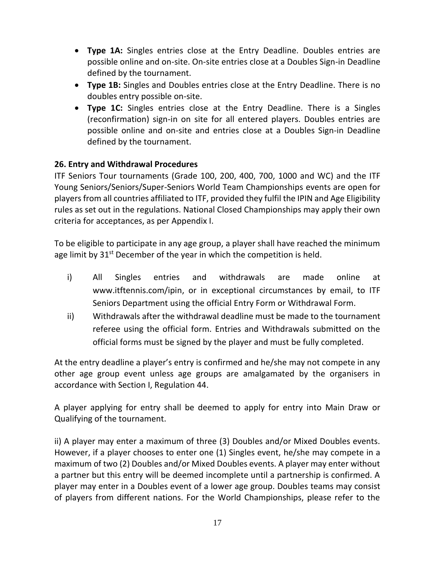- **Type 1A:** Singles entries close at the Entry Deadline. Doubles entries are possible online and on-site. On-site entries close at a Doubles Sign-in Deadline defined by the tournament.
- **Type 1B:** Singles and Doubles entries close at the Entry Deadline. There is no doubles entry possible on-site.
- **Type 1C:** Singles entries close at the Entry Deadline. There is a Singles (reconfirmation) sign-in on site for all entered players. Doubles entries are possible online and on-site and entries close at a Doubles Sign-in Deadline defined by the tournament.

# **26. Entry and Withdrawal Procedures**

ITF Seniors Tour tournaments (Grade 100, 200, 400, 700, 1000 and WC) and the ITF Young Seniors/Seniors/Super-Seniors World Team Championships events are open for players from all countries affiliated to ITF, provided they fulfil the IPIN and Age Eligibility rules as set out in the regulations. National Closed Championships may apply their own criteria for acceptances, as per Appendix I.

To be eligible to participate in any age group, a player shall have reached the minimum age limit by  $31<sup>st</sup>$  December of the year in which the competition is held.

- i) All Singles entries and withdrawals are made online at [www.itftennis.com/ipin,](http://www.itftennis.com/ipin) or in exceptional circumstances by email, to ITF Seniors Department using the official Entry Form or Withdrawal Form.
- ii) Withdrawals after the withdrawal deadline must be made to the tournament referee using the official form. Entries and Withdrawals submitted on the official forms must be signed by the player and must be fully completed.

At the entry deadline a player's entry is confirmed and he/she may not compete in any other age group event unless age groups are amalgamated by the organisers in accordance with Section I, Regulation 44.

A player applying for entry shall be deemed to apply for entry into Main Draw or Qualifying of the tournament.

ii) A player may enter a maximum of three (3) Doubles and/or Mixed Doubles events. However, if a player chooses to enter one (1) Singles event, he/she may compete in a maximum of two (2) Doubles and/or Mixed Doubles events. A player may enter without a partner but this entry will be deemed incomplete until a partnership is confirmed. A player may enter in a Doubles event of a lower age group. Doubles teams may consist of players from different nations. For the World Championships, please refer to the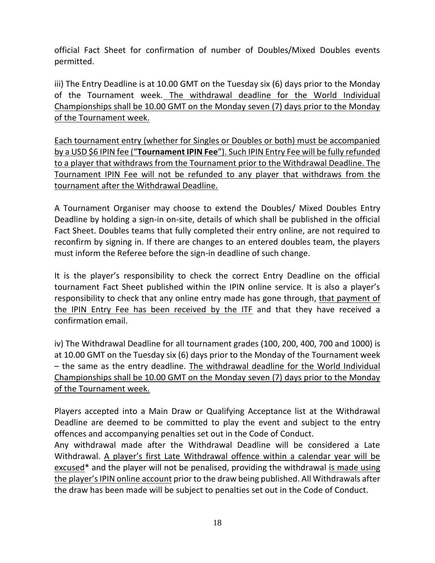official Fact Sheet for confirmation of number of Doubles/Mixed Doubles events permitted.

iii) The Entry Deadline is at 10.00 GMT on the Tuesday six (6) days prior to the Monday of the Tournament week. The withdrawal deadline for the World Individual Championships shall be 10.00 GMT on the Monday seven (7) days prior to the Monday of the Tournament week.

Each tournament entry (whether for Singles or Doubles or both) must be accompanied by a USD \$6 IPIN fee ("**Tournament IPIN Fee**"). Such IPIN Entry Fee will be fully refunded to a player that withdraws from the Tournament prior to the Withdrawal Deadline. The Tournament IPIN Fee will not be refunded to any player that withdraws from the tournament after the Withdrawal Deadline.

A Tournament Organiser may choose to extend the Doubles/ Mixed Doubles Entry Deadline by holding a sign-in on-site, details of which shall be published in the official Fact Sheet. Doubles teams that fully completed their entry online, are not required to reconfirm by signing in. If there are changes to an entered doubles team, the players must inform the Referee before the sign-in deadline of such change.

It is the player's responsibility to check the correct Entry Deadline on the official tournament Fact Sheet published within the IPIN online service. It is also a player's responsibility to check that any online entry made has gone through, that payment of the IPIN Entry Fee has been received by the ITF and that they have received a confirmation email.

iv) The Withdrawal Deadline for all tournament grades (100, 200, 400, 700 and 1000) is at 10.00 GMT on the Tuesday six (6) days prior to the Monday of the Tournament week – the same as the entry deadline. The withdrawal deadline for the World Individual Championships shall be 10.00 GMT on the Monday seven (7) days prior to the Monday of the Tournament week.

Players accepted into a Main Draw or Qualifying Acceptance list at the Withdrawal Deadline are deemed to be committed to play the event and subject to the entry offences and accompanying penalties set out in the Code of Conduct.

Any withdrawal made after the Withdrawal Deadline will be considered a Late Withdrawal. A player's first Late Withdrawal offence within a calendar year will be excused<sup>\*</sup> and the player will not be penalised, providing the withdrawal is made using the player's IPIN online account prior to the draw being published. All Withdrawals after the draw has been made will be subject to penalties set out in the Code of Conduct.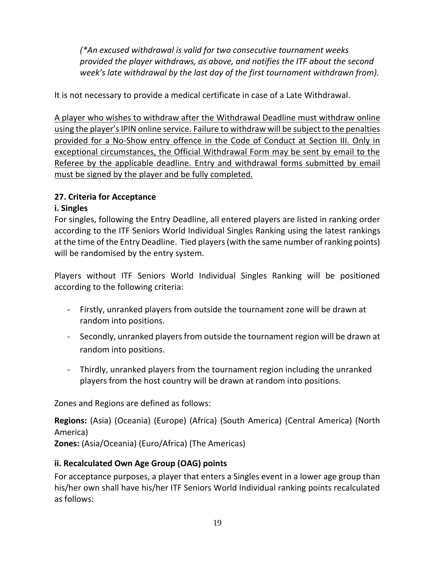*(\*An excused withdrawal is valid for two consecutive tournament weeks provided the player withdraws, as above, and notifies the ITF about the second week's late withdrawal by the last day of the first tournament withdrawn from).*

It is not necessary to provide a medical certificate in case of a Late Withdrawal.

A player who wishes to withdraw after the Withdrawal Deadline must withdraw online using the player's IPIN online service. Failure to withdraw will be subject to the penalties provided for a No-Show entry offence in the Code of Conduct at Section III. Only in exceptional circumstances, the Official Withdrawal Form may be sent by email to the Referee by the applicable deadline. Entry and withdrawal forms submitted by email must be signed by the player and be fully completed.

# **27. Criteria for Acceptance**

# **i. Singles**

For singles, following the Entry Deadline, all entered players are listed in ranking order according to the ITF Seniors World Individual Singles Ranking using the latest rankings at the time of the Entry Deadline. Tied players (with the same number of ranking points) will be randomised by the entry system.

Players without ITF Seniors World Individual Singles Ranking will be positioned according to the following criteria:

- Firstly, unranked players from outside the tournament zone will be drawn at random into positions.
- Secondly, unranked players from outside the tournament region will be drawn at random into positions.
- Thirdly, unranked players from the tournament region including the unranked players from the host country will be drawn at random into positions.

Zones and Regions are defined as follows:

**Regions:** (Asia) (Oceania) (Europe) (Africa) (South America) (Central America) (North America)

**Zones:** (Asia/Oceania) (Euro/Africa) (The Americas)

# **ii. Recalculated Own Age Group (OAG) points**

For acceptance purposes, a player that enters a Singles event in a lower age group than his/her own shall have his/her ITF Seniors World Individual ranking points recalculated as follows: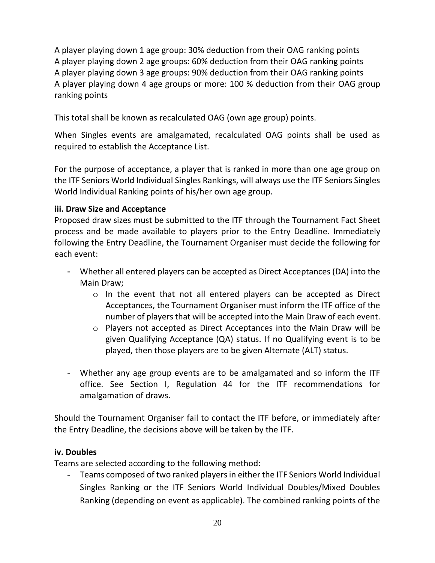A player playing down 1 age group: 30% deduction from their OAG ranking points A player playing down 2 age groups: 60% deduction from their OAG ranking points A player playing down 3 age groups: 90% deduction from their OAG ranking points A player playing down 4 age groups or more: 100 % deduction from their OAG group ranking points

This total shall be known as recalculated OAG (own age group) points.

When Singles events are amalgamated, recalculated OAG points shall be used as required to establish the Acceptance List.

For the purpose of acceptance, a player that is ranked in more than one age group on the ITF Seniors World Individual Singles Rankings, will always use the ITF Seniors Singles World Individual Ranking points of his/her own age group.

#### **iii. Draw Size and Acceptance**

Proposed draw sizes must be submitted to the ITF through the Tournament Fact Sheet process and be made available to players prior to the Entry Deadline. Immediately following the Entry Deadline, the Tournament Organiser must decide the following for each event:

- Whether all entered players can be accepted as Direct Acceptances (DA) into the Main Draw;
	- $\circ$  In the event that not all entered players can be accepted as Direct Acceptances, the Tournament Organiser must inform the ITF office of the number of players that will be accepted into the Main Draw of each event.
	- o Players not accepted as Direct Acceptances into the Main Draw will be given Qualifying Acceptance (QA) status. If no Qualifying event is to be played, then those players are to be given Alternate (ALT) status.
- Whether any age group events are to be amalgamated and so inform the ITF office. See Section I, Regulation 44 for the ITF recommendations for amalgamation of draws.

Should the Tournament Organiser fail to contact the ITF before, or immediately after the Entry Deadline, the decisions above will be taken by the ITF.

#### **iv. Doubles**

Teams are selected according to the following method:

Teams composed of two ranked players in either the ITF Seniors World Individual Singles Ranking or the ITF Seniors World Individual Doubles/Mixed Doubles Ranking (depending on event as applicable). The combined ranking points of the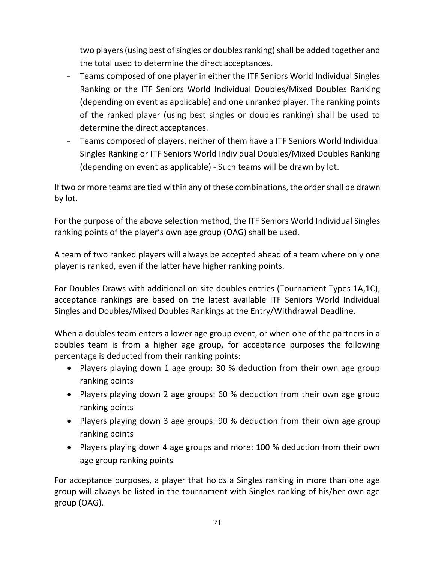two players (using best of singles or doubles ranking) shall be added together and the total used to determine the direct acceptances.

- Teams composed of one player in either the ITF Seniors World Individual Singles Ranking or the ITF Seniors World Individual Doubles/Mixed Doubles Ranking (depending on event as applicable) and one unranked player. The ranking points of the ranked player (using best singles or doubles ranking) shall be used to determine the direct acceptances.
- Teams composed of players, neither of them have a ITF Seniors World Individual Singles Ranking or ITF Seniors World Individual Doubles/Mixed Doubles Ranking (depending on event as applicable) - Such teams will be drawn by lot.

If two or more teams are tied within any of these combinations, the order shall be drawn by lot.

For the purpose of the above selection method, the ITF Seniors World Individual Singles ranking points of the player's own age group (OAG) shall be used.

A team of two ranked players will always be accepted ahead of a team where only one player is ranked, even if the latter have higher ranking points.

For Doubles Draws with additional on-site doubles entries (Tournament Types 1A,1C), acceptance rankings are based on the latest available ITF Seniors World Individual Singles and Doubles/Mixed Doubles Rankings at the Entry/Withdrawal Deadline.

When a doubles team enters a lower age group event, or when one of the partners in a doubles team is from a higher age group, for acceptance purposes the following percentage is deducted from their ranking points:

- Players playing down 1 age group: 30 % deduction from their own age group ranking points
- Players playing down 2 age groups: 60 % deduction from their own age group ranking points
- Players playing down 3 age groups: 90 % deduction from their own age group ranking points
- Players playing down 4 age groups and more: 100 % deduction from their own age group ranking points

For acceptance purposes, a player that holds a Singles ranking in more than one age group will always be listed in the tournament with Singles ranking of his/her own age group (OAG).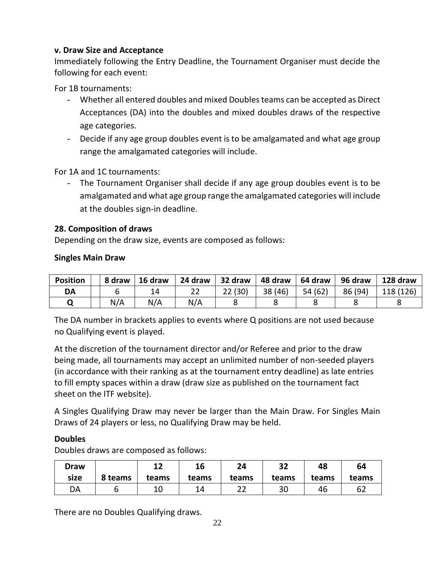#### **v. Draw Size and Acceptance**

Immediately following the Entry Deadline, the Tournament Organiser must decide the following for each event:

For 1B tournaments:

- Whether all entered doubles and mixed Doubles teams can be accepted as Direct Acceptances (DA) into the doubles and mixed doubles draws of the respective age categories.
- Decide if any age group doubles event is to be amalgamated and what age group range the amalgamated categories will include.

For 1A and 1C tournaments:

- The Tournament Organiser shall decide if any age group doubles event is to be amalgamated and what age group range the amalgamated categories will include at the doubles sign-in deadline.

#### **28. Composition of draws**

Depending on the draw size, events are composed as follows:

#### **Singles Main Draw**

| <b>Position</b> | 8 draw | 16 draw | 24 draw | 32 draw | 48 draw | 64 draw | 96 draw | 128 draw  |
|-----------------|--------|---------|---------|---------|---------|---------|---------|-----------|
| DA              |        | 14      | 22      | 22(30)  | 38 (46) | 54 (62) | 86 (94) | 118 (126) |
|                 | N/A    | N/A     | N/A     |         |         |         |         |           |

The DA number in brackets applies to events where Q positions are not used because no Qualifying event is played.

At the discretion of the tournament director and/or Referee and prior to the draw being made, all tournaments may accept an unlimited number of non-seeded players (in accordance with their ranking as at the tournament entry deadline) as late entries to fill empty spaces within a draw (draw size as published on the tournament fact sheet on the ITF website).

A Singles Qualifying Draw may never be larger than the Main Draw. For Singles Main Draws of 24 players or less, no Qualifying Draw may be held.

#### **Doubles**

Doubles draws are composed as follows:

| Draw |         | 1つ<br>∸∸ | 16    | 24        | 32    | 48    | 64    |
|------|---------|----------|-------|-----------|-------|-------|-------|
| size | 8 teams | teams    | teams | teams     | teams | teams | teams |
| DA   |         | ⊥∪       |       | າາ<br>ے ے | 30    | 46    | 62    |

There are no Doubles Qualifying draws.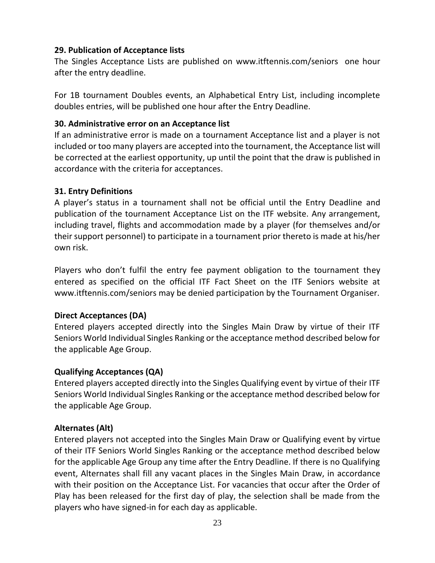#### **29. Publication of Acceptance lists**

The Singles Acceptance Lists are published on [www.itftennis.com/seniors](http://www.itftennis.com/seniors) one hour after the entry deadline.

For 1B tournament Doubles events, an Alphabetical Entry List, including incomplete doubles entries, will be published one hour after the Entry Deadline.

#### **30. Administrative error on an Acceptance list**

If an administrative error is made on a tournament Acceptance list and a player is not included or too many players are accepted into the tournament, the Acceptance list will be corrected at the earliest opportunity, up until the point that the draw is published in accordance with the criteria for acceptances.

#### **31. Entry Definitions**

A player's status in a tournament shall not be official until the Entry Deadline and publication of the tournament Acceptance List on the ITF website. Any arrangement, including travel, flights and accommodation made by a player (for themselves and/or their support personnel) to participate in a tournament prior thereto is made at his/her own risk.

Players who don't fulfil the entry fee payment obligation to the tournament they entered as specified on the official ITF Fact Sheet on the ITF Seniors website at [www.itftennis.com/seniors](http://www.itftennis.com/seniors) may be denied participation by the Tournament Organiser.

#### **Direct Acceptances (DA)**

Entered players accepted directly into the Singles Main Draw by virtue of their ITF Seniors World Individual Singles Ranking or the acceptance method described below for the applicable Age Group.

#### **Qualifying Acceptances (QA)**

Entered players accepted directly into the Singles Qualifying event by virtue of their ITF Seniors World Individual Singles Ranking or the acceptance method described below for the applicable Age Group.

#### **Alternates (Alt)**

Entered players not accepted into the Singles Main Draw or Qualifying event by virtue of their ITF Seniors World Singles Ranking or the acceptance method described below for the applicable Age Group any time after the Entry Deadline. If there is no Qualifying event, Alternates shall fill any vacant places in the Singles Main Draw, in accordance with their position on the Acceptance List. For vacancies that occur after the Order of Play has been released for the first day of play, the selection shall be made from the players who have signed-in for each day as applicable.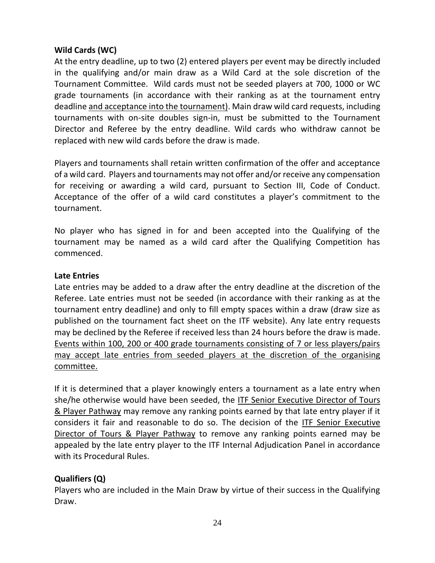#### **Wild Cards (WC)**

At the entry deadline, up to two (2) entered players per event may be directly included in the qualifying and/or main draw as a Wild Card at the sole discretion of the Tournament Committee. Wild cards must not be seeded players at 700, 1000 or WC grade tournaments (in accordance with their ranking as at the tournament entry deadline and acceptance into the tournament). Main draw wild card requests, including tournaments with on-site doubles sign-in, must be submitted to the Tournament Director and Referee by the entry deadline. Wild cards who withdraw cannot be replaced with new wild cards before the draw is made.

Players and tournaments shall retain written confirmation of the offer and acceptance of a wild card. Players and tournaments may not offer and/or receive any compensation for receiving or awarding a wild card, pursuant to Section III, Code of Conduct. Acceptance of the offer of a wild card constitutes a player's commitment to the tournament.

No player who has signed in for and been accepted into the Qualifying of the tournament may be named as a wild card after the Qualifying Competition has commenced.

#### **Late Entries**

Late entries may be added to a draw after the entry deadline at the discretion of the Referee. Late entries must not be seeded (in accordance with their ranking as at the tournament entry deadline) and only to fill empty spaces within a draw (draw size as published on the tournament fact sheet on the ITF website). Any late entry requests may be declined by the Referee if received less than 24 hours before the draw is made. Events within 100, 200 or 400 grade tournaments consisting of 7 or less players/pairs may accept late entries from seeded players at the discretion of the organising committee.

If it is determined that a player knowingly enters a tournament as a late entry when she/he otherwise would have been seeded, the ITF Senior Executive Director of Tours & Player Pathway may remove any ranking points earned by that late entry player if it considers it fair and reasonable to do so. The decision of the ITF Senior Executive Director of Tours & Player Pathway to remove any ranking points earned may be appealed by the late entry player to the ITF Internal Adjudication Panel in accordance with its Procedural Rules.

#### **Qualifiers (Q)**

Players who are included in the Main Draw by virtue of their success in the Qualifying Draw.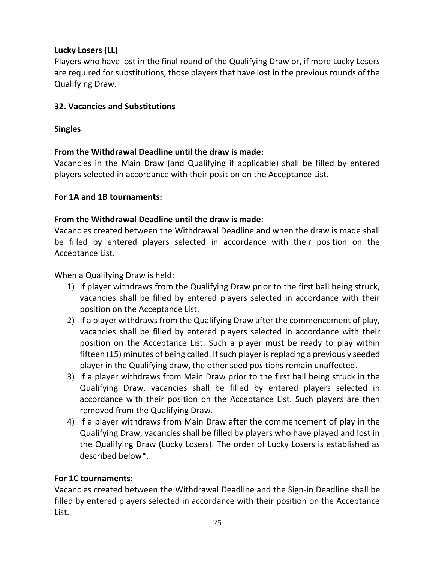# **Lucky Losers (LL)**

Players who have lost in the final round of the Qualifying Draw or, if more Lucky Losers are required for substitutions, those players that have lost in the previous rounds of the Qualifying Draw.

# **32. Vacancies and Substitutions**

# **Singles**

# **From the Withdrawal Deadline until the draw is made:**

Vacancies in the Main Draw (and Qualifying if applicable) shall be filled by entered players selected in accordance with their position on the Acceptance List.

# **For 1A and 1B tournaments:**

# **From the Withdrawal Deadline until the draw is made**:

Vacancies created between the Withdrawal Deadline and when the draw is made shall be filled by entered players selected in accordance with their position on the Acceptance List.

When a Qualifying Draw is held:

- 1) If player withdraws from the Qualifying Draw prior to the first ball being struck, vacancies shall be filled by entered players selected in accordance with their position on the Acceptance List.
- 2) If a player withdraws from the Qualifying Draw after the commencement of play, vacancies shall be filled by entered players selected in accordance with their position on the Acceptance List. Such a player must be ready to play within fifteen (15) minutes of being called. If such player is replacing a previously seeded player in the Qualifying draw, the other seed positions remain unaffected.
- 3) If a player withdraws from Main Draw prior to the first ball being struck in the Qualifying Draw, vacancies shall be filled by entered players selected in accordance with their position on the Acceptance List. Such players are then removed from the Qualifying Draw.
- 4) If a player withdraws from Main Draw after the commencement of play in the Qualifying Draw, vacancies shall be filled by players who have played and lost in the Qualifying Draw (Lucky Losers). The order of Lucky Losers is established as described below\*.

# **For 1C tournaments:**

Vacancies created between the Withdrawal Deadline and the Sign-in Deadline shall be filled by entered players selected in accordance with their position on the Acceptance List.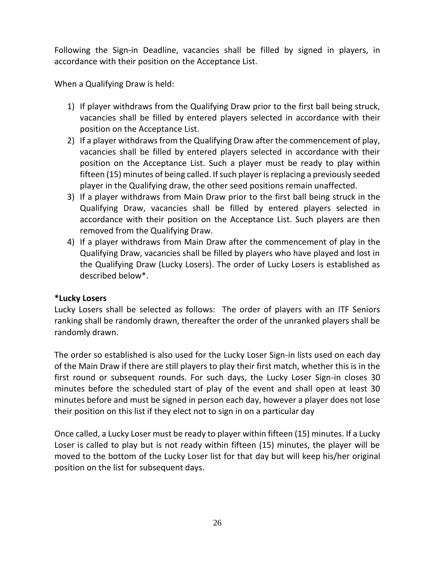Following the Sign-in Deadline, vacancies shall be filled by signed in players, in accordance with their position on the Acceptance List.

When a Qualifying Draw is held:

- 1) If player withdraws from the Qualifying Draw prior to the first ball being struck, vacancies shall be filled by entered players selected in accordance with their position on the Acceptance List.
- 2) If a player withdraws from the Qualifying Draw after the commencement of play, vacancies shall be filled by entered players selected in accordance with their position on the Acceptance List. Such a player must be ready to play within fifteen (15) minutes of being called. If such player is replacing a previously seeded player in the Qualifying draw, the other seed positions remain unaffected.
- 3) If a player withdraws from Main Draw prior to the first ball being struck in the Qualifying Draw, vacancies shall be filled by entered players selected in accordance with their position on the Acceptance List. Such players are then removed from the Qualifying Draw.
- 4) If a player withdraws from Main Draw after the commencement of play in the Qualifying Draw, vacancies shall be filled by players who have played and lost in the Qualifying Draw (Lucky Losers). The order of Lucky Losers is established as described below\*.

# **\*Lucky Losers**

Lucky Losers shall be selected as follows: The order of players with an ITF Seniors ranking shall be randomly drawn, thereafter the order of the unranked players shall be randomly drawn.

The order so established is also used for the Lucky Loser Sign-in lists used on each day of the Main Draw if there are still players to play their first match, whether this is in the first round or subsequent rounds. For such days, the Lucky Loser Sign-in closes 30 minutes before the scheduled start of play of the event and shall open at least 30 minutes before and must be signed in person each day, however a player does not lose their position on this list if they elect not to sign in on a particular day

Once called, a Lucky Loser must be ready to player within fifteen (15) minutes. If a Lucky Loser is called to play but is not ready within fifteen (15) minutes, the player will be moved to the bottom of the Lucky Loser list for that day but will keep his/her original position on the list for subsequent days.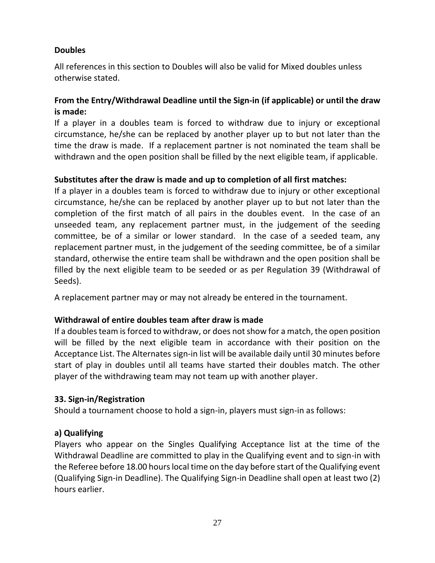#### **Doubles**

All references in this section to Doubles will also be valid for Mixed doubles unless otherwise stated.

#### **From the Entry/Withdrawal Deadline until the Sign-in (if applicable) or until the draw is made:**

If a player in a doubles team is forced to withdraw due to injury or exceptional circumstance, he/she can be replaced by another player up to but not later than the time the draw is made. If a replacement partner is not nominated the team shall be withdrawn and the open position shall be filled by the next eligible team, if applicable.

#### **Substitutes after the draw is made and up to completion of all first matches:**

If a player in a doubles team is forced to withdraw due to injury or other exceptional circumstance, he/she can be replaced by another player up to but not later than the completion of the first match of all pairs in the doubles event. In the case of an unseeded team, any replacement partner must, in the judgement of the seeding committee, be of a similar or lower standard. In the case of a seeded team, any replacement partner must, in the judgement of the seeding committee, be of a similar standard, otherwise the entire team shall be withdrawn and the open position shall be filled by the next eligible team to be seeded or as per Regulation 39 (Withdrawal of Seeds).

A replacement partner may or may not already be entered in the tournament.

#### **Withdrawal of entire doubles team after draw is made**

If a doubles team is forced to withdraw, or does not show for a match, the open position will be filled by the next eligible team in accordance with their position on the Acceptance List. The Alternates sign-in list will be available daily until 30 minutes before start of play in doubles until all teams have started their doubles match. The other player of the withdrawing team may not team up with another player.

#### **33. Sign-in/Registration**

Should a tournament choose to hold a sign-in, players must sign-in as follows:

#### **a) Qualifying**

Players who appear on the Singles Qualifying Acceptance list at the time of the Withdrawal Deadline are committed to play in the Qualifying event and to sign-in with the Referee before 18.00 hours local time on the day before start of the Qualifying event (Qualifying Sign-in Deadline). The Qualifying Sign-in Deadline shall open at least two (2) hours earlier.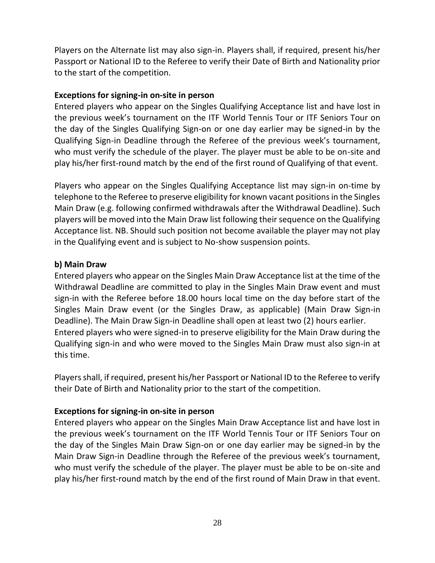Players on the Alternate list may also sign-in. Players shall, if required, present his/her Passport or National ID to the Referee to verify their Date of Birth and Nationality prior to the start of the competition.

#### **Exceptions for signing-in on-site in person**

Entered players who appear on the Singles Qualifying Acceptance list and have lost in the previous week's tournament on the ITF World Tennis Tour or ITF Seniors Tour on the day of the Singles Qualifying Sign-on or one day earlier may be signed-in by the Qualifying Sign-in Deadline through the Referee of the previous week's tournament, who must verify the schedule of the player. The player must be able to be on-site and play his/her first-round match by the end of the first round of Qualifying of that event.

Players who appear on the Singles Qualifying Acceptance list may sign-in on-time by telephone to the Referee to preserve eligibility for known vacant positions in the Singles Main Draw (e.g. following confirmed withdrawals after the Withdrawal Deadline). Such players will be moved into the Main Draw list following their sequence on the Qualifying Acceptance list. NB. Should such position not become available the player may not play in the Qualifying event and is subject to No-show suspension points.

#### **b) Main Draw**

Entered players who appear on the Singles Main Draw Acceptance list at the time of the Withdrawal Deadline are committed to play in the Singles Main Draw event and must sign-in with the Referee before 18.00 hours local time on the day before start of the Singles Main Draw event (or the Singles Draw, as applicable) (Main Draw Sign-in Deadline). The Main Draw Sign-in Deadline shall open at least two (2) hours earlier. Entered players who were signed-in to preserve eligibility for the Main Draw during the Qualifying sign-in and who were moved to the Singles Main Draw must also sign-in at this time.

Players shall, if required, present his/her Passport or National ID to the Referee to verify their Date of Birth and Nationality prior to the start of the competition.

#### **Exceptions for signing-in on-site in person**

Entered players who appear on the Singles Main Draw Acceptance list and have lost in the previous week's tournament on the ITF World Tennis Tour or ITF Seniors Tour on the day of the Singles Main Draw Sign-on or one day earlier may be signed-in by the Main Draw Sign-in Deadline through the Referee of the previous week's tournament, who must verify the schedule of the player. The player must be able to be on-site and play his/her first-round match by the end of the first round of Main Draw in that event.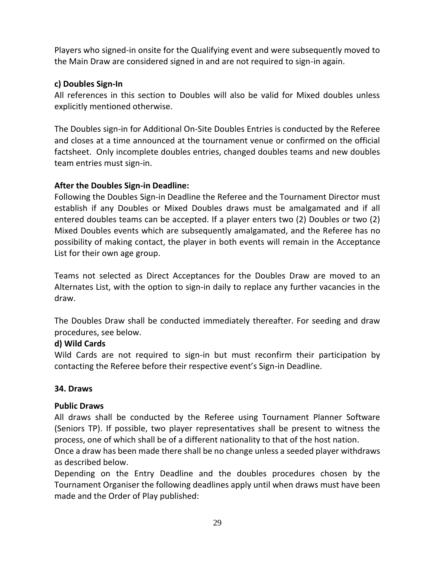Players who signed-in onsite for the Qualifying event and were subsequently moved to the Main Draw are considered signed in and are not required to sign-in again.

#### **c) Doubles Sign-In**

All references in this section to Doubles will also be valid for Mixed doubles unless explicitly mentioned otherwise.

The Doubles sign-in for Additional On-Site Doubles Entries is conducted by the Referee and closes at a time announced at the tournament venue or confirmed on the official factsheet. Only incomplete doubles entries, changed doubles teams and new doubles team entries must sign-in.

#### **After the Doubles Sign-in Deadline:**

Following the Doubles Sign-in Deadline the Referee and the Tournament Director must establish if any Doubles or Mixed Doubles draws must be amalgamated and if all entered doubles teams can be accepted. If a player enters two (2) Doubles or two (2) Mixed Doubles events which are subsequently amalgamated, and the Referee has no possibility of making contact, the player in both events will remain in the Acceptance List for their own age group.

Teams not selected as Direct Acceptances for the Doubles Draw are moved to an Alternates List, with the option to sign-in daily to replace any further vacancies in the draw.

The Doubles Draw shall be conducted immediately thereafter. For seeding and draw procedures, see below.

#### **d) Wild Cards**

Wild Cards are not required to sign-in but must reconfirm their participation by contacting the Referee before their respective event's Sign-in Deadline.

#### **34. Draws**

#### **Public Draws**

All draws shall be conducted by the Referee using Tournament Planner Software (Seniors TP). If possible, two player representatives shall be present to witness the process, one of which shall be of a different nationality to that of the host nation.

Once a draw has been made there shall be no change unless a seeded player withdraws as described below.

Depending on the Entry Deadline and the doubles procedures chosen by the Tournament Organiser the following deadlines apply until when draws must have been made and the Order of Play published: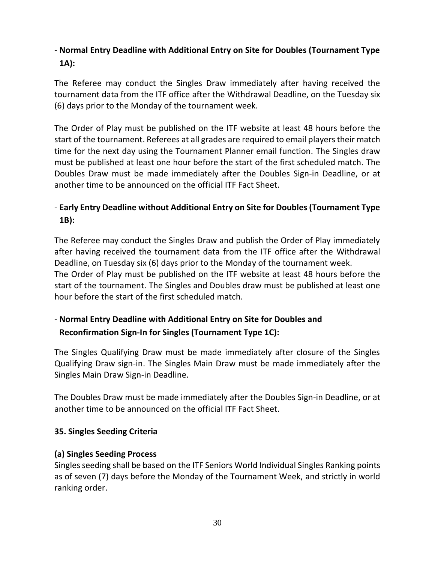# - **Normal Entry Deadline with Additional Entry on Site for Doubles (Tournament Type 1A):**

The Referee may conduct the Singles Draw immediately after having received the tournament data from the ITF office after the Withdrawal Deadline, on the Tuesday six (6) days prior to the Monday of the tournament week.

The Order of Play must be published on the ITF website at least 48 hours before the start of the tournament. Referees at all grades are required to email players their match time for the next day using the Tournament Planner email function. The Singles draw must be published at least one hour before the start of the first scheduled match. The Doubles Draw must be made immediately after the Doubles Sign-in Deadline, or at another time to be announced on the official ITF Fact Sheet.

# - **Early Entry Deadline without Additional Entry on Site for Doubles (Tournament Type 1B):**

The Referee may conduct the Singles Draw and publish the Order of Play immediately after having received the tournament data from the ITF office after the Withdrawal Deadline, on Tuesday six (6) days prior to the Monday of the tournament week. The Order of Play must be published on the ITF website at least 48 hours before the start of the tournament. The Singles and Doubles draw must be published at least one hour before the start of the first scheduled match.

# - **Normal Entry Deadline with Additional Entry on Site for Doubles and Reconfirmation Sign-In for Singles (Tournament Type 1C):**

The Singles Qualifying Draw must be made immediately after closure of the Singles Qualifying Draw sign-in. The Singles Main Draw must be made immediately after the Singles Main Draw Sign-in Deadline.

The Doubles Draw must be made immediately after the Doubles Sign-in Deadline, or at another time to be announced on the official ITF Fact Sheet.

#### **35. Singles Seeding Criteria**

#### **(a) Singles Seeding Process**

Singles seeding shall be based on the ITF Seniors World Individual Singles Ranking points as of seven (7) days before the Monday of the Tournament Week, and strictly in world ranking order.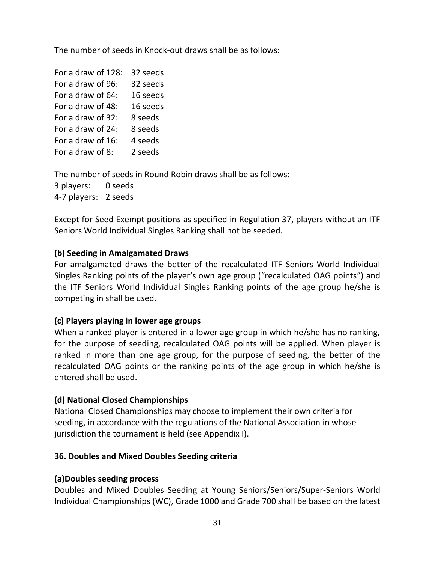The number of seeds in Knock-out draws shall be as follows:

| For a draw of 128: | 32 seeds |
|--------------------|----------|
|                    |          |
| For a draw of 96:  | 32 seeds |
| For a draw of 64:  | 16 seeds |
| For a draw of 48:  | 16 seeds |
| For a draw of 32:  | 8 seeds  |
| For a draw of 24:  | 8 seeds  |
| For a draw of 16:  | 4 seeds  |
| For a draw of 8:   | 2 seeds  |

The number of seeds in Round Robin draws shall be as follows: 3 players: 0 seeds 4-7 players: 2 seeds

Except for Seed Exempt positions as specified in Regulation 37, players without an ITF Seniors World Individual Singles Ranking shall not be seeded.

#### **(b) Seeding in Amalgamated Draws**

For amalgamated draws the better of the recalculated ITF Seniors World Individual Singles Ranking points of the player's own age group ("recalculated OAG points") and the ITF Seniors World Individual Singles Ranking points of the age group he/she is competing in shall be used.

#### **(c) Players playing in lower age groups**

When a ranked player is entered in a lower age group in which he/she has no ranking, for the purpose of seeding, recalculated OAG points will be applied. When player is ranked in more than one age group, for the purpose of seeding, the better of the recalculated OAG points or the ranking points of the age group in which he/she is entered shall be used.

#### **(d) National Closed Championships**

National Closed Championships may choose to implement their own criteria for seeding, in accordance with the regulations of the National Association in whose jurisdiction the tournament is held (see Appendix I).

#### **36. Doubles and Mixed Doubles Seeding criteria**

#### **(a)Doubles seeding process**

Doubles and Mixed Doubles Seeding at Young Seniors/Seniors/Super-Seniors World Individual Championships (WC), Grade 1000 and Grade 700 shall be based on the latest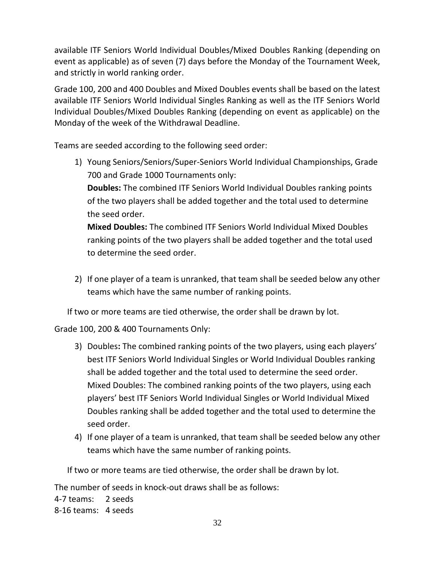available ITF Seniors World Individual Doubles/Mixed Doubles Ranking (depending on event as applicable) as of seven (7) days before the Monday of the Tournament Week, and strictly in world ranking order.

Grade 100, 200 and 400 Doubles and Mixed Doubles events shall be based on the latest available ITF Seniors World Individual Singles Ranking as well as the ITF Seniors World Individual Doubles/Mixed Doubles Ranking (depending on event as applicable) on the Monday of the week of the Withdrawal Deadline.

Teams are seeded according to the following seed order:

- 1) Young Seniors/Seniors/Super-Seniors World Individual Championships, Grade 700 and Grade 1000 Tournaments only: **Doubles:** The combined ITF Seniors World Individual Doubles ranking points of the two players shall be added together and the total used to determine the seed order. **Mixed Doubles:** The combined ITF Seniors World Individual Mixed Doubles ranking points of the two players shall be added together and the total used to determine the seed order.
- 2) If one player of a team is unranked, that team shall be seeded below any other teams which have the same number of ranking points.

If two or more teams are tied otherwise, the order shall be drawn by lot.

Grade 100, 200 & 400 Tournaments Only:

- 3) Doubles**:** The combined ranking points of the two players, using each players' best ITF Seniors World Individual Singles or World Individual Doubles ranking shall be added together and the total used to determine the seed order. Mixed Doubles: The combined ranking points of the two players, using each players' best ITF Seniors World Individual Singles or World Individual Mixed Doubles ranking shall be added together and the total used to determine the seed order.
- 4) If one player of a team is unranked, that team shall be seeded below any other teams which have the same number of ranking points.

If two or more teams are tied otherwise, the order shall be drawn by lot.

The number of seeds in knock-out draws shall be as follows: 4-7 teams: 2 seeds 8-16 teams: 4 seeds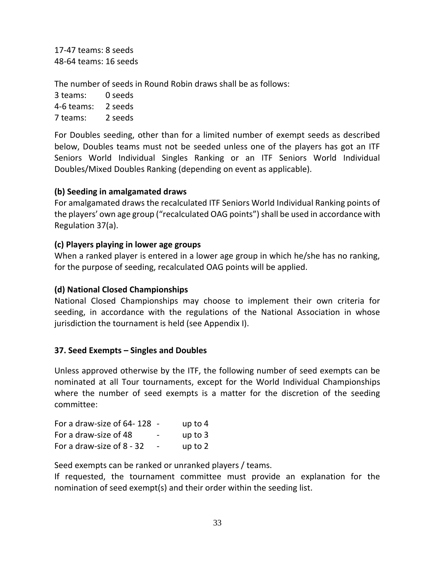17-47 teams: 8 seeds 48-64 teams: 16 seeds

The number of seeds in Round Robin draws shall be as follows:

| 3 teams:   | 0 seeds |
|------------|---------|
| 4-6 teams: | 2 seeds |
| 7 teams:   | 2 seeds |

For Doubles seeding, other than for a limited number of exempt seeds as described below, Doubles teams must not be seeded unless one of the players has got an ITF Seniors World Individual Singles Ranking or an ITF Seniors World Individual Doubles/Mixed Doubles Ranking (depending on event as applicable).

## **(b) Seeding in amalgamated draws**

For amalgamated draws the recalculated ITF Seniors World Individual Ranking points of the players' own age group ("recalculated OAG points") shall be used in accordance with Regulation 37(a).

## **(c) Players playing in lower age groups**

When a ranked player is entered in a lower age group in which he/she has no ranking, for the purpose of seeding, recalculated OAG points will be applied.

# **(d) National Closed Championships**

National Closed Championships may choose to implement their own criteria for seeding, in accordance with the regulations of the National Association in whose jurisdiction the tournament is held (see Appendix I).

## **37. Seed Exempts – Singles and Doubles**

Unless approved otherwise by the ITF, the following number of seed exempts can be nominated at all Tour tournaments, except for the World Individual Championships where the number of seed exempts is a matter for the discretion of the seeding committee:

| For a draw-size of 64-128 - |                          | up to $4$ |
|-----------------------------|--------------------------|-----------|
| For a draw-size of 48       | $\overline{\phantom{0}}$ | up to $3$ |
| For a draw-size of 8 - 32   | $\overline{\phantom{a}}$ | up to $2$ |

Seed exempts can be ranked or unranked players / teams.

If requested, the tournament committee must provide an explanation for the nomination of seed exempt(s) and their order within the seeding list.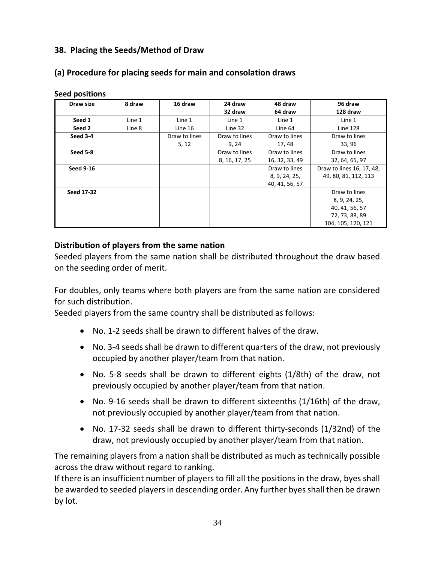## **38. Placing the Seeds/Method of Draw**

## **(a) Procedure for placing seeds for main and consolation draws**

| Draw size         | 8 draw | 16 draw       | 24 draw       | 48 draw        | 96 draw                   |
|-------------------|--------|---------------|---------------|----------------|---------------------------|
|                   |        |               | 32 draw       | 64 draw        | 128 draw                  |
| Seed 1            | Line 1 | Line 1        | Line 1        | Line 1         | Line 1                    |
| Seed 2            | Line 8 | Line 16       | Line 32       | Line 64        | <b>Line 128</b>           |
| Seed 3-4          |        | Draw to lines | Draw to lines | Draw to lines  | Draw to lines             |
|                   |        | 5, 12         | 9, 24         | 17,48          | 33, 96                    |
| Seed 5-8          |        |               | Draw to lines | Draw to lines  | Draw to lines             |
|                   |        |               | 8, 16, 17, 25 | 16, 32, 33, 49 | 32, 64, 65, 97            |
| <b>Seed 9-16</b>  |        |               |               | Draw to lines  | Draw to lines 16, 17, 48, |
|                   |        |               |               | 8, 9, 24, 25,  | 49, 80, 81, 112, 113      |
|                   |        |               |               | 40, 41, 56, 57 |                           |
| <b>Seed 17-32</b> |        |               |               |                | Draw to lines             |
|                   |        |               |               |                | 8, 9, 24, 25,             |
|                   |        |               |               |                | 40, 41, 56, 57            |
|                   |        |               |               |                | 72, 73, 88, 89            |
|                   |        |               |               |                | 104, 105, 120, 121        |

#### **Seed positions**

#### **Distribution of players from the same nation**

Seeded players from the same nation shall be distributed throughout the draw based on the seeding order of merit.

For doubles, only teams where both players are from the same nation are considered for such distribution.

Seeded players from the same country shall be distributed as follows:

- No. 1-2 seeds shall be drawn to different halves of the draw.
- No. 3-4 seeds shall be drawn to different quarters of the draw, not previously occupied by another player/team from that nation.
- No. 5-8 seeds shall be drawn to different eights (1/8th) of the draw, not previously occupied by another player/team from that nation.
- No. 9-16 seeds shall be drawn to different sixteenths (1/16th) of the draw, not previously occupied by another player/team from that nation.
- No. 17-32 seeds shall be drawn to different thirty-seconds (1/32nd) of the draw, not previously occupied by another player/team from that nation.

The remaining players from a nation shall be distributed as much as technically possible across the draw without regard to ranking.

If there is an insufficient number of players to fill all the positions in the draw, byes shall be awarded to seeded players in descending order. Any further byes shall then be drawn by lot.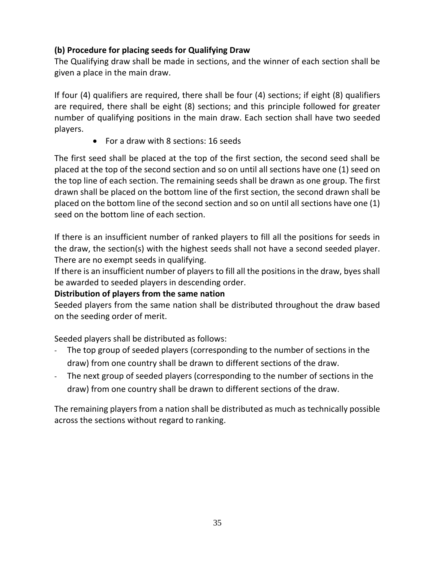# **(b) Procedure for placing seeds for Qualifying Draw**

The Qualifying draw shall be made in sections, and the winner of each section shall be given a place in the main draw.

If four (4) qualifiers are required, there shall be four (4) sections; if eight (8) qualifiers are required, there shall be eight (8) sections; and this principle followed for greater number of qualifying positions in the main draw. Each section shall have two seeded players.

• For a draw with 8 sections: 16 seeds

The first seed shall be placed at the top of the first section, the second seed shall be placed at the top of the second section and so on until all sections have one (1) seed on the top line of each section. The remaining seeds shall be drawn as one group. The first drawn shall be placed on the bottom line of the first section, the second drawn shall be placed on the bottom line of the second section and so on until all sections have one (1) seed on the bottom line of each section.

If there is an insufficient number of ranked players to fill all the positions for seeds in the draw, the section(s) with the highest seeds shall not have a second seeded player. There are no exempt seeds in qualifying.

If there is an insufficient number of players to fill all the positions in the draw, byes shall be awarded to seeded players in descending order.

## **Distribution of players from the same nation**

Seeded players from the same nation shall be distributed throughout the draw based on the seeding order of merit.

Seeded players shall be distributed as follows:

- The top group of seeded players (corresponding to the number of sections in the draw) from one country shall be drawn to different sections of the draw.
- The next group of seeded players (corresponding to the number of sections in the draw) from one country shall be drawn to different sections of the draw.

The remaining players from a nation shall be distributed as much as technically possible across the sections without regard to ranking.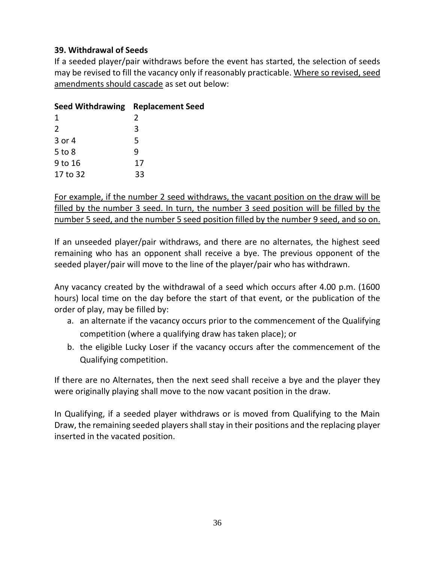## **39. Withdrawal of Seeds**

If a seeded player/pair withdraws before the event has started, the selection of seeds may be revised to fill the vacancy only if reasonably practicable. Where so revised, seed amendments should cascade as set out below:

| Seed Withdrawing Replacement Seed |               |
|-----------------------------------|---------------|
| 1                                 | $\mathcal{P}$ |
| $\mathcal{L}$                     | 3             |
| $3$ or $4$                        | 5             |
| $5$ to $8$                        | q             |
| 9 to 16                           | 17            |
| 17 to 32                          | 33            |

For example, if the number 2 seed withdraws, the vacant position on the draw will be filled by the number 3 seed. In turn, the number 3 seed position will be filled by the number 5 seed, and the number 5 seed position filled by the number 9 seed, and so on.

If an unseeded player/pair withdraws, and there are no alternates, the highest seed remaining who has an opponent shall receive a bye. The previous opponent of the seeded player/pair will move to the line of the player/pair who has withdrawn.

Any vacancy created by the withdrawal of a seed which occurs after 4.00 p.m. (1600 hours) local time on the day before the start of that event, or the publication of the order of play, may be filled by:

- a. an alternate if the vacancy occurs prior to the commencement of the Qualifying competition (where a qualifying draw has taken place); or
- b. the eligible Lucky Loser if the vacancy occurs after the commencement of the Qualifying competition.

If there are no Alternates, then the next seed shall receive a bye and the player they were originally playing shall move to the now vacant position in the draw.

In Qualifying, if a seeded player withdraws or is moved from Qualifying to the Main Draw, the remaining seeded players shall stay in their positions and the replacing player inserted in the vacated position.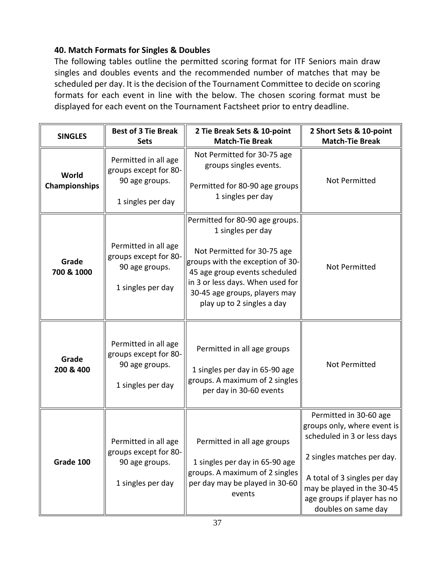## **40. Match Formats for Singles & Doubles**

The following tables outline the permitted scoring format for ITF Seniors main draw singles and doubles events and the recommended number of matches that may be scheduled per day. It is the decision of the Tournament Committee to decide on scoring formats for each event in line with the below. The chosen scoring format must be displayed for each event on the Tournament Factsheet prior to entry deadline.

| <b>SINGLES</b>         | <b>Best of 3 Tie Break</b><br><b>Sets</b>                                            | 2 Tie Break Sets & 10-point<br><b>Match-Tie Break</b>                                                                                                                                                                                                       | 2 Short Sets & 10-point<br><b>Match-Tie Break</b>                                                                                                                                                                                      |
|------------------------|--------------------------------------------------------------------------------------|-------------------------------------------------------------------------------------------------------------------------------------------------------------------------------------------------------------------------------------------------------------|----------------------------------------------------------------------------------------------------------------------------------------------------------------------------------------------------------------------------------------|
| World<br>Championships | Permitted in all age<br>groups except for 80-<br>90 age groups.<br>1 singles per day | Not Permitted for 30-75 age<br>groups singles events.<br>Permitted for 80-90 age groups<br>1 singles per day                                                                                                                                                | Not Permitted                                                                                                                                                                                                                          |
| Grade<br>700 & 1000    | Permitted in all age<br>groups except for 80-<br>90 age groups.<br>1 singles per day | Permitted for 80-90 age groups.<br>1 singles per day<br>Not Permitted for 30-75 age<br>groups with the exception of 30-<br>45 age group events scheduled<br>in 3 or less days. When used for<br>30-45 age groups, players may<br>play up to 2 singles a day | Not Permitted                                                                                                                                                                                                                          |
| Grade<br>200 & 400     | Permitted in all age<br>groups except for 80-<br>90 age groups.<br>1 singles per day | Permitted in all age groups<br>1 singles per day in 65-90 age<br>groups. A maximum of 2 singles<br>per day in 30-60 events                                                                                                                                  | <b>Not Permitted</b>                                                                                                                                                                                                                   |
| Grade 100              | Permitted in all age<br>groups except for 80-<br>90 age groups.<br>1 singles per day | Permitted in all age groups<br>1 singles per day in 65-90 age<br>groups. A maximum of 2 singles<br>per day may be played in 30-60<br>events                                                                                                                 | Permitted in 30-60 age<br>groups only, where event is<br>scheduled in 3 or less days<br>2 singles matches per day.<br>A total of 3 singles per day<br>may be played in the 30-45<br>age groups if player has no<br>doubles on same day |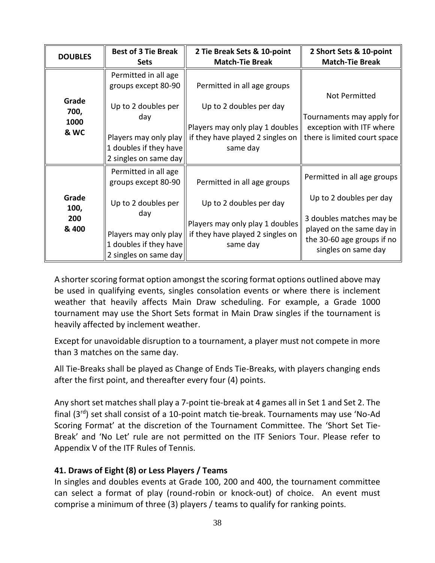| <b>DOUBLES</b> | <b>Best of 3 Tie Break</b> | 2 Tie Break Sets & 10-point                                        | 2 Short Sets & 10-point                               |
|----------------|----------------------------|--------------------------------------------------------------------|-------------------------------------------------------|
|                | <b>Sets</b>                | <b>Match-Tie Break</b>                                             | <b>Match-Tie Break</b>                                |
|                | Permitted in all age       |                                                                    |                                                       |
|                | groups except 80-90        | Permitted in all age groups                                        |                                                       |
| Grade          |                            |                                                                    | Not Permitted                                         |
| 700,           | Up to 2 doubles per        | Up to 2 doubles per day                                            |                                                       |
| 1000           | day                        |                                                                    | Tournaments may apply for                             |
| & WC           |                            | Players may only play 1 doubles $\parallel$                        | exception with ITF where                              |
|                |                            | Players may only play $\parallel$ if they have played 2 singles on | there is limited court space                          |
|                | 1 doubles if they have     | same day                                                           |                                                       |
|                | 2 singles on same day      |                                                                    |                                                       |
|                | Permitted in all age       |                                                                    |                                                       |
|                | groups except 80-90        | Permitted in all age groups                                        | Permitted in all age groups                           |
| Grade<br>100,  | Up to 2 doubles per        | Up to 2 doubles per day                                            | Up to 2 doubles per day                               |
| 200<br>& 400   | day                        | Players may only play 1 doubles                                    | 3 doubles matches may be<br>played on the same day in |
|                |                            | Players may only play $\parallel$ if they have played 2 singles on | the 30-60 age groups if no                            |
|                | 1 doubles if they have     | same day                                                           | singles on same day                                   |
|                | 2 singles on same day      |                                                                    |                                                       |

A shorter scoring format option amongst the scoring format options outlined above may be used in qualifying events, singles consolation events or where there is inclement weather that heavily affects Main Draw scheduling. For example, a Grade 1000 tournament may use the Short Sets format in Main Draw singles if the tournament is heavily affected by inclement weather.

Except for unavoidable disruption to a tournament, a player must not compete in more than 3 matches on the same day.

All Tie-Breaks shall be played as Change of Ends Tie-Breaks, with players changing ends after the first point, and thereafter every four (4) points.

Any short set matches shall play a 7-point tie-break at 4 games all in Set 1 and Set 2. The final (3rd) set shall consist of a 10-point match tie-break. Tournaments may use 'No-Ad Scoring Format' at the discretion of the Tournament Committee. The 'Short Set Tie-Break' and 'No Let' rule are not permitted on the ITF Seniors Tour. Please refer to Appendix V of the ITF Rules of Tennis.

## **41. Draws of Eight (8) or Less Players / Teams**

In singles and doubles events at Grade 100, 200 and 400, the tournament committee can select a format of play (round-robin or knock-out) of choice. An event must comprise a minimum of three (3) players / teams to qualify for ranking points.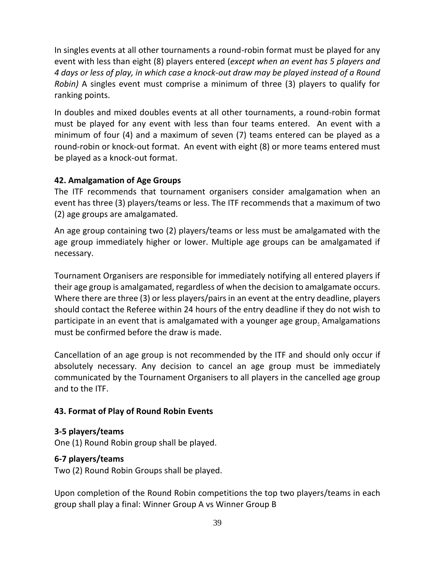In singles events at all other tournaments a round-robin format must be played for any event with less than eight (8) players entered (*except when an event has 5 players and 4 days or less of play, in which case a knock-out draw may be played instead of a Round Robin)* A singles event must comprise a minimum of three (3) players to qualify for ranking points.

In doubles and mixed doubles events at all other tournaments, a round-robin format must be played for any event with less than four teams entered. An event with a minimum of four (4) and a maximum of seven (7) teams entered can be played as a round-robin or knock-out format. An event with eight (8) or more teams entered must be played as a knock-out format.

## **42. Amalgamation of Age Groups**

The ITF recommends that tournament organisers consider amalgamation when an event has three (3) players/teams or less. The ITF recommends that a maximum of two (2) age groups are amalgamated.

An age group containing two (2) players/teams or less must be amalgamated with the age group immediately higher or lower. Multiple age groups can be amalgamated if necessary.

Tournament Organisers are responsible for immediately notifying all entered players if their age group is amalgamated, regardless of when the decision to amalgamate occurs. Where there are three (3) or less players/pairs in an event at the entry deadline, players should contact the Referee within 24 hours of the entry deadline if they do not wish to participate in an event that is amalgamated with a younger age group. Amalgamations must be confirmed before the draw is made.

Cancellation of an age group is not recommended by the ITF and should only occur if absolutely necessary. Any decision to cancel an age group must be immediately communicated by the Tournament Organisers to all players in the cancelled age group and to the ITF.

# **43. Format of Play of Round Robin Events**

## **3-5 players/teams**

One (1) Round Robin group shall be played.

## **6-7 players/teams**

Two (2) Round Robin Groups shall be played.

Upon completion of the Round Robin competitions the top two players/teams in each group shall play a final: Winner Group A vs Winner Group B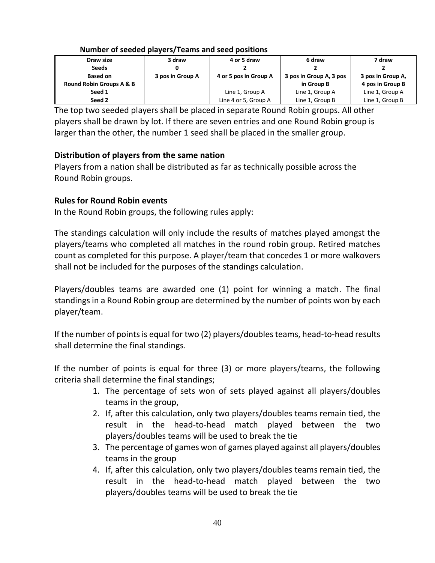| Draw size                | 3 draw           | 4 or 5 draw           | 6 draw                  | 7 draw            |
|--------------------------|------------------|-----------------------|-------------------------|-------------------|
| <b>Seeds</b>             |                  |                       |                         |                   |
| <b>Based on</b>          | 3 pos in Group A | 4 or 5 pos in Group A | 3 pos in Group A, 3 pos | 3 pos in Group A, |
| Round Robin Groups A & B |                  |                       | in Group B              | 4 pos in Group B  |
| Seed 1                   |                  | Line 1, Group A       | Line 1, Group A         | Line 1, Group A   |
| Seed 2                   |                  | Line 4 or 5, Group A  | Line 1, Group B         | Line 1, Group B   |

#### **Number of seeded players/Teams and seed positions**

The top two seeded players shall be placed in separate Round Robin groups. All other players shall be drawn by lot. If there are seven entries and one Round Robin group is larger than the other, the number 1 seed shall be placed in the smaller group.

# **Distribution of players from the same nation**

Players from a nation shall be distributed as far as technically possible across the Round Robin groups.

## **Rules for Round Robin events**

In the Round Robin groups, the following rules apply:

The standings calculation will only include the results of matches played amongst the players/teams who completed all matches in the round robin group. Retired matches count as completed for this purpose. A player/team that concedes 1 or more walkovers shall not be included for the purposes of the standings calculation.

Players/doubles teams are awarded one (1) point for winning a match. The final standings in a Round Robin group are determined by the number of points won by each player/team.

If the number of points is equal for two (2) players/doubles teams, head-to-head results shall determine the final standings.

If the number of points is equal for three (3) or more players/teams, the following criteria shall determine the final standings;

- 1. The percentage of sets won of sets played against all players/doubles teams in the group,
- 2. If, after this calculation, only two players/doubles teams remain tied, the result in the head-to-head match played between the two players/doubles teams will be used to break the tie
- 3. The percentage of games won of games played against all players/doubles teams in the group
- 4. If, after this calculation, only two players/doubles teams remain tied, the result in the head-to-head match played between the two players/doubles teams will be used to break the tie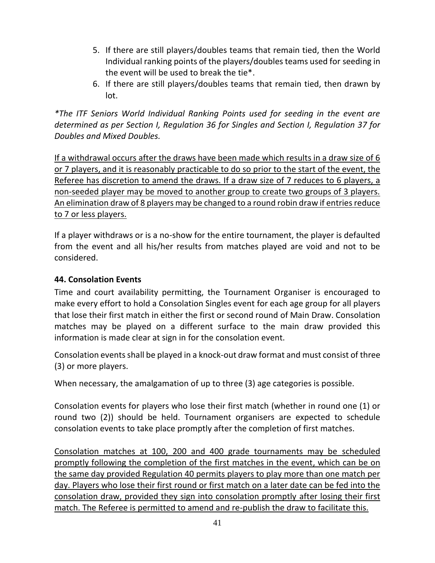- 5. If there are still players/doubles teams that remain tied, then the World Individual ranking points of the players/doubles teams used for seeding in the event will be used to break the tie\*.
- 6. If there are still players/doubles teams that remain tied, then drawn by lot.

*\*The ITF Seniors World Individual Ranking Points used for seeding in the event are determined as per Section I, Regulation 36 for Singles and Section I, Regulation 37 for Doubles and Mixed Doubles.*

If a withdrawal occurs after the draws have been made which results in a draw size of 6 or 7 players, and it is reasonably practicable to do so prior to the start of the event, the Referee has discretion to amend the draws. If a draw size of 7 reduces to 6 players, a non-seeded player may be moved to another group to create two groups of 3 players. An elimination draw of 8 players may be changed to a round robin draw if entries reduce to 7 or less players.

If a player withdraws or is a no-show for the entire tournament, the player is defaulted from the event and all his/her results from matches played are void and not to be considered.

## **44. Consolation Events**

Time and court availability permitting, the Tournament Organiser is encouraged to make every effort to hold a Consolation Singles event for each age group for all players that lose their first match in either the first or second round of Main Draw. Consolation matches may be played on a different surface to the main draw provided this information is made clear at sign in for the consolation event.

Consolation events shall be played in a knock-out draw format and must consist of three (3) or more players.

When necessary, the amalgamation of up to three (3) age categories is possible.

Consolation events for players who lose their first match (whether in round one (1) or round two (2)) should be held. Tournament organisers are expected to schedule consolation events to take place promptly after the completion of first matches.

Consolation matches at 100, 200 and 400 grade tournaments may be scheduled promptly following the completion of the first matches in the event, which can be on the same day provided Regulation 40 permits players to play more than one match per day. Players who lose their first round or first match on a later date can be fed into the consolation draw, provided they sign into consolation promptly after losing their first match. The Referee is permitted to amend and re-publish the draw to facilitate this.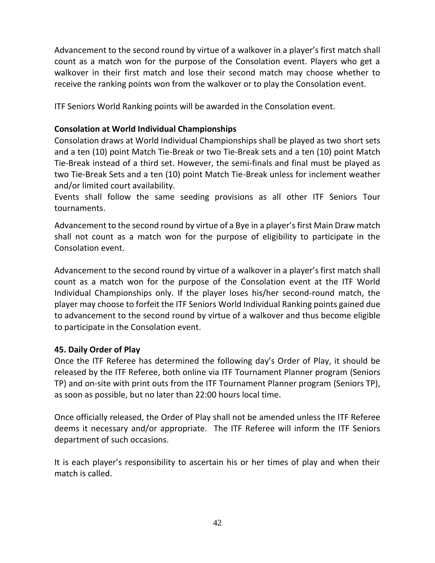Advancement to the second round by virtue of a walkover in a player's first match shall count as a match won for the purpose of the Consolation event. Players who get a walkover in their first match and lose their second match may choose whether to receive the ranking points won from the walkover or to play the Consolation event.

ITF Seniors World Ranking points will be awarded in the Consolation event.

# **Consolation at World Individual Championships**

Consolation draws at World Individual Championships shall be played as two short sets and a ten (10) point Match Tie-Break or two Tie-Break sets and a ten (10) point Match Tie-Break instead of a third set. However, the semi-finals and final must be played as two Tie-Break Sets and a ten (10) point Match Tie-Break unless for inclement weather and/or limited court availability.

Events shall follow the same seeding provisions as all other ITF Seniors Tour tournaments.

Advancement to the second round by virtue of a Bye in a player's first Main Draw match shall not count as a match won for the purpose of eligibility to participate in the Consolation event.

Advancement to the second round by virtue of a walkover in a player's first match shall count as a match won for the purpose of the Consolation event at the ITF World Individual Championships only. If the player loses his/her second-round match, the player may choose to forfeit the ITF Seniors World Individual Ranking points gained due to advancement to the second round by virtue of a walkover and thus become eligible to participate in the Consolation event.

## **45. Daily Order of Play**

Once the ITF Referee has determined the following day's Order of Play, it should be released by the ITF Referee, both online via ITF Tournament Planner program (Seniors TP) and on-site with print outs from the ITF Tournament Planner program (Seniors TP), as soon as possible, but no later than 22:00 hours local time.

Once officially released, the Order of Play shall not be amended unless the ITF Referee deems it necessary and/or appropriate. The ITF Referee will inform the ITF Seniors department of such occasions.

It is each player's responsibility to ascertain his or her times of play and when their match is called.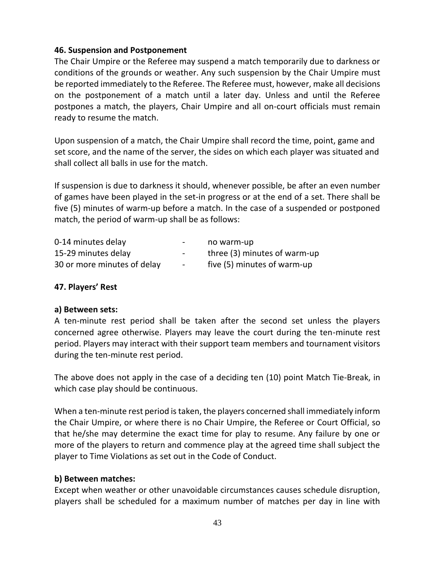#### **46. Suspension and Postponement**

The Chair Umpire or the Referee may suspend a match temporarily due to darkness or conditions of the grounds or weather. Any such suspension by the Chair Umpire must be reported immediately to the Referee. The Referee must, however, make all decisions on the postponement of a match until a later day. Unless and until the Referee postpones a match, the players, Chair Umpire and all on-court officials must remain ready to resume the match.

Upon suspension of a match, the Chair Umpire shall record the time, point, game and set score, and the name of the server, the sides on which each player was situated and shall collect all balls in use for the match.

If suspension is due to darkness it should, whenever possible, be after an even number of games have been played in the set-in progress or at the end of a set. There shall be five (5) minutes of warm-up before a match. In the case of a suspended or postponed match, the period of warm-up shall be as follows:

| 0-14 minutes delay          | $\sim$ | no warm-up                   |
|-----------------------------|--------|------------------------------|
| 15-29 minutes delay         | $\sim$ | three (3) minutes of warm-up |
| 30 or more minutes of delay | $\sim$ | five (5) minutes of warm-up  |

## **47. Players' Rest**

#### **a) Between sets:**

A ten-minute rest period shall be taken after the second set unless the players concerned agree otherwise. Players may leave the court during the ten-minute rest period. Players may interact with their support team members and tournament visitors during the ten-minute rest period.

The above does not apply in the case of a deciding ten (10) point Match Tie-Break, in which case play should be continuous.

When a ten-minute rest period is taken, the players concerned shall immediately inform the Chair Umpire, or where there is no Chair Umpire, the Referee or Court Official, so that he/she may determine the exact time for play to resume. Any failure by one or more of the players to return and commence play at the agreed time shall subject the player to Time Violations as set out in the Code of Conduct.

#### **b) Between matches:**

Except when weather or other unavoidable circumstances causes schedule disruption, players shall be scheduled for a maximum number of matches per day in line with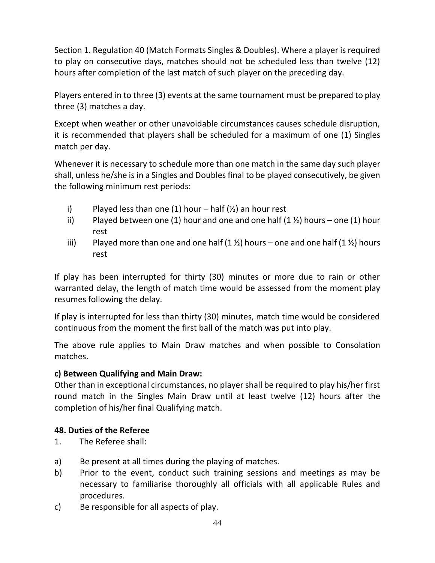Section 1. Regulation 40 (Match Formats Singles & Doubles). Where a player is required to play on consecutive days, matches should not be scheduled less than twelve (12) hours after completion of the last match of such player on the preceding day.

Players entered in to three (3) events at the same tournament must be prepared to play three (3) matches a day.

Except when weather or other unavoidable circumstances causes schedule disruption, it is recommended that players shall be scheduled for a maximum of one (1) Singles match per day.

Whenever it is necessary to schedule more than one match in the same day such player shall, unless he/she is in a Singles and Doubles final to be played consecutively, be given the following minimum rest periods:

- i) Played less than one (1) hour half  $(\frac{1}{2})$  an hour rest
- ii) Played between one (1) hour and one and one half  $(1 \frac{1}{2})$  hours one (1) hour rest
- iii) Played more than one and one half  $(1 \frac{1}{2})$  hours one and one half  $(1 \frac{1}{2})$  hours rest

If play has been interrupted for thirty (30) minutes or more due to rain or other warranted delay, the length of match time would be assessed from the moment play resumes following the delay.

If play is interrupted for less than thirty (30) minutes, match time would be considered continuous from the moment the first ball of the match was put into play.

The above rule applies to Main Draw matches and when possible to Consolation matches.

## **c) Between Qualifying and Main Draw:**

Other than in exceptional circumstances, no player shall be required to play his/her first round match in the Singles Main Draw until at least twelve (12) hours after the completion of his/her final Qualifying match.

## **48. Duties of the Referee**

- 1. The Referee shall:
- a) Be present at all times during the playing of matches.
- b) Prior to the event, conduct such training sessions and meetings as may be necessary to familiarise thoroughly all officials with all applicable Rules and procedures.
- c) Be responsible for all aspects of play.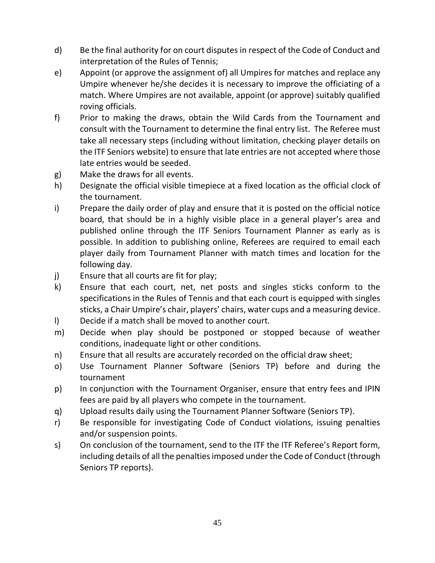- d) Be the final authority for on court disputes in respect of the Code of Conduct and interpretation of the Rules of Tennis;
- e) Appoint (or approve the assignment of) all Umpires for matches and replace any Umpire whenever he/she decides it is necessary to improve the officiating of a match. Where Umpires are not available, appoint (or approve) suitably qualified roving officials.
- f) Prior to making the draws, obtain the Wild Cards from the Tournament and consult with the Tournament to determine the final entry list. The Referee must take all necessary steps (including without limitation, checking player details on the ITF Seniors website) to ensure that late entries are not accepted where those late entries would be seeded.
- g) Make the draws for all events.
- h) Designate the official visible timepiece at a fixed location as the official clock of the tournament.
- i) Prepare the daily order of play and ensure that it is posted on the official notice board, that should be in a highly visible place in a general player's area and published online through the ITF Seniors Tournament Planner as early as is possible. In addition to publishing online, Referees are required to email each player daily from Tournament Planner with match times and location for the following day.
- j) Ensure that all courts are fit for play;
- k) Ensure that each court, net, net posts and singles sticks conform to the specifications in the Rules of Tennis and that each court is equipped with singles sticks, a Chair Umpire's chair, players' chairs, water cups and a measuring device.
- l) Decide if a match shall be moved to another court.
- m) Decide when play should be postponed or stopped because of weather conditions, inadequate light or other conditions.
- n) Ensure that all results are accurately recorded on the official draw sheet;
- o) Use Tournament Planner Software (Seniors TP) before and during the tournament
- p) In conjunction with the Tournament Organiser, ensure that entry fees and IPIN fees are paid by all players who compete in the tournament.
- q) Upload results daily using the Tournament Planner Software (Seniors TP).
- r) Be responsible for investigating Code of Conduct violations, issuing penalties and/or suspension points.
- s) On conclusion of the tournament, send to the ITF the ITF Referee's Report form, including details of all the penalties imposed under the Code of Conduct (through Seniors TP reports).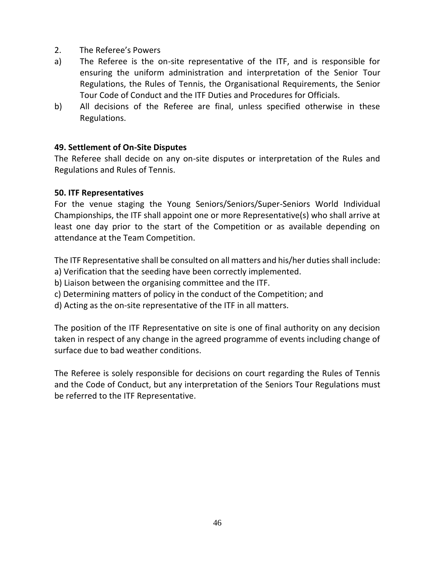- 2. The Referee's Powers
- a) The Referee is the on-site representative of the ITF, and is responsible for ensuring the uniform administration and interpretation of the Senior Tour Regulations, the Rules of Tennis, the Organisational Requirements, the Senior Tour Code of Conduct and the ITF Duties and Procedures for Officials.
- b) All decisions of the Referee are final, unless specified otherwise in these Regulations.

#### **49. Settlement of On-Site Disputes**

The Referee shall decide on any on-site disputes or interpretation of the Rules and Regulations and Rules of Tennis.

#### **50. ITF Representatives**

For the venue staging the Young Seniors/Seniors/Super-Seniors World Individual Championships, the ITF shall appoint one or more Representative(s) who shall arrive at least one day prior to the start of the Competition or as available depending on attendance at the Team Competition.

The ITF Representative shall be consulted on all matters and his/her duties shall include:

- a) Verification that the seeding have been correctly implemented.
- b) Liaison between the organising committee and the ITF.
- c) Determining matters of policy in the conduct of the Competition; and
- d) Acting as the on-site representative of the ITF in all matters.

The position of the ITF Representative on site is one of final authority on any decision taken in respect of any change in the agreed programme of events including change of surface due to bad weather conditions.

The Referee is solely responsible for decisions on court regarding the Rules of Tennis and the Code of Conduct, but any interpretation of the Seniors Tour Regulations must be referred to the ITF Representative.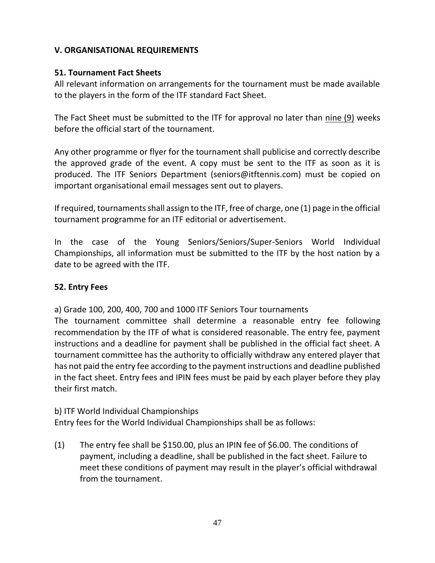## **V. ORGANISATIONAL REQUIREMENTS**

## **51. Tournament Fact Sheets**

All relevant information on arrangements for the tournament must be made available to the players in the form of the ITF standard Fact Sheet.

The Fact Sheet must be submitted to the ITF for approval no later than nine (9) weeks before the official start of the tournament.

Any other programme or flyer for the tournament shall publicise and correctly describe the approved grade of the event. A copy must be sent to the ITF as soon as it is produced. The ITF Seniors Department [\(seniors@itftennis.com\)](mailto:seniors@itftennis.com) must be copied on important organisational email messages sent out to players.

If required, tournaments shall assign to the ITF, free of charge, one (1) page in the official tournament programme for an ITF editorial or advertisement.

In the case of the Young Seniors/Seniors/Super-Seniors World Individual Championships, all information must be submitted to the ITF by the host nation by a date to be agreed with the ITF.

## **52. Entry Fees**

a) Grade 100, 200, 400, 700 and 1000 ITF Seniors Tour tournaments

The tournament committee shall determine a reasonable entry fee following recommendation by the ITF of what is considered reasonable. The entry fee, payment instructions and a deadline for payment shall be published in the official fact sheet. A tournament committee has the authority to officially withdraw any entered player that has not paid the entry fee according to the payment instructions and deadline published in the fact sheet. Entry fees and IPIN fees must be paid by each player before they play their first match.

b) ITF World Individual Championships

Entry fees for the World Individual Championships shall be as follows:

(1) The entry fee shall be \$150.00, plus an IPIN fee of \$6.00. The conditions of payment, including a deadline, shall be published in the fact sheet. Failure to meet these conditions of payment may result in the player's official withdrawal from the tournament.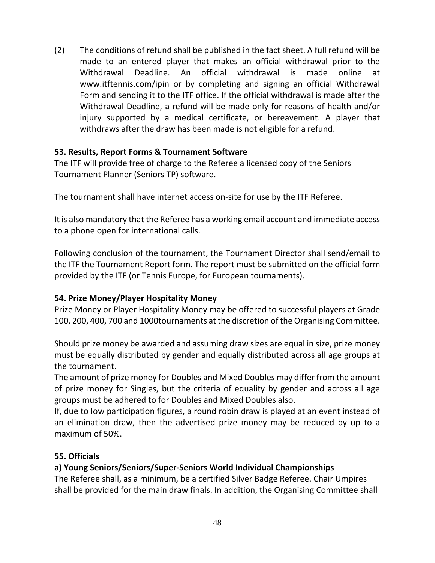(2) The conditions of refund shall be published in the fact sheet. A full refund will be made to an entered player that makes an official withdrawal prior to the Withdrawal Deadline. An official withdrawal is made online at [www.itftennis.com/ipin](http://www.itftennis.com/ipin) or by completing and signing an official Withdrawal Form and sending it to the ITF office. If the official withdrawal is made after the Withdrawal Deadline, a refund will be made only for reasons of health and/or injury supported by a medical certificate, or bereavement. A player that withdraws after the draw has been made is not eligible for a refund.

## **53. Results, Report Forms & Tournament Software**

The ITF will provide free of charge to the Referee a licensed copy of the Seniors Tournament Planner (Seniors TP) software.

The tournament shall have internet access on-site for use by the ITF Referee.

It is also mandatory that the Referee has a working email account and immediate access to a phone open for international calls.

Following conclusion of the tournament, the Tournament Director shall send/email to the ITF the Tournament Report form. The report must be submitted on the official form provided by the ITF (or Tennis Europe, for European tournaments).

# **54. Prize Money/Player Hospitality Money**

Prize Money or Player Hospitality Money may be offered to successful players at Grade 100, 200, 400, 700 and 1000tournaments at the discretion of the Organising Committee.

Should prize money be awarded and assuming draw sizes are equal in size, prize money must be equally distributed by gender and equally distributed across all age groups at the tournament.

The amount of prize money for Doubles and Mixed Doubles may differ from the amount of prize money for Singles, but the criteria of equality by gender and across all age groups must be adhered to for Doubles and Mixed Doubles also.

If, due to low participation figures, a round robin draw is played at an event instead of an elimination draw, then the advertised prize money may be reduced by up to a maximum of 50%.

## **55. Officials**

# **a) Young Seniors/Seniors/Super-Seniors World Individual Championships**

The Referee shall, as a minimum, be a certified Silver Badge Referee. Chair Umpires shall be provided for the main draw finals. In addition, the Organising Committee shall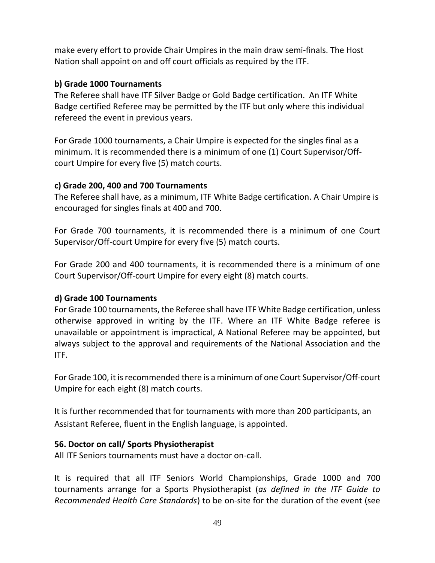make every effort to provide Chair Umpires in the main draw semi-finals. The Host Nation shall appoint on and off court officials as required by the ITF.

## **b) Grade 1000 Tournaments**

The Referee shall have ITF Silver Badge or Gold Badge certification. An ITF White Badge certified Referee may be permitted by the ITF but only where this individual refereed the event in previous years.

For Grade 1000 tournaments, a Chair Umpire is expected for the singles final as a minimum. It is recommended there is a minimum of one (1) Court Supervisor/Offcourt Umpire for every five (5) match courts.

## **c) Grade 200, 400 and 700 Tournaments**

The Referee shall have, as a minimum, ITF White Badge certification. A Chair Umpire is encouraged for singles finals at 400 and 700.

For Grade 700 tournaments, it is recommended there is a minimum of one Court Supervisor/Off-court Umpire for every five (5) match courts.

For Grade 200 and 400 tournaments, it is recommended there is a minimum of one Court Supervisor/Off-court Umpire for every eight (8) match courts.

# **d) Grade 100 Tournaments**

For Grade 100 tournaments, the Referee shall have ITF White Badge certification, unless otherwise approved in writing by the ITF. Where an ITF White Badge referee is unavailable or appointment is impractical, A National Referee may be appointed, but always subject to the approval and requirements of the National Association and the ITF.

For Grade 100, it isrecommended there is a minimum of one Court Supervisor/Off-court Umpire for each eight (8) match courts.

It is further recommended that for tournaments with more than 200 participants, an Assistant Referee, fluent in the English language, is appointed.

## **56. Doctor on call/ Sports Physiotherapist**

All ITF Seniors tournaments must have a doctor on-call.

It is required that all ITF Seniors World Championships, Grade 1000 and 700 tournaments arrange for a Sports Physiotherapist (*as defined in the ITF Guide to Recommended Health Care Standards*) to be on-site for the duration of the event (see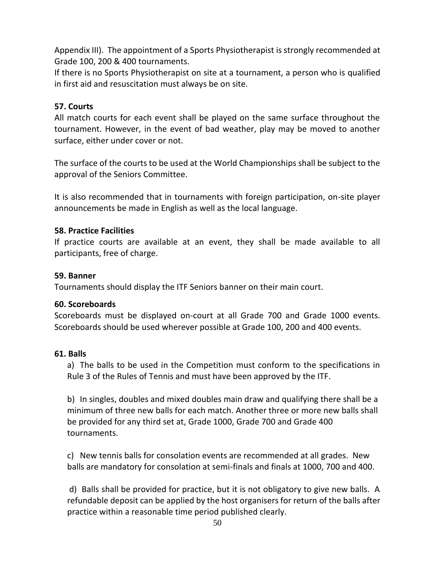Appendix III). The appointment of a Sports Physiotherapist is strongly recommended at Grade 100, 200 & 400 tournaments.

If there is no Sports Physiotherapist on site at a tournament, a person who is qualified in first aid and resuscitation must always be on site.

## **57. Courts**

All match courts for each event shall be played on the same surface throughout the tournament. However, in the event of bad weather, play may be moved to another surface, either under cover or not.

The surface of the courts to be used at the World Championships shall be subject to the approval of the Seniors Committee.

It is also recommended that in tournaments with foreign participation, on-site player announcements be made in English as well as the local language.

## **58. Practice Facilities**

If practice courts are available at an event, they shall be made available to all participants, free of charge.

#### **59. Banner**

Tournaments should display the ITF Seniors banner on their main court.

#### **60. Scoreboards**

Scoreboards must be displayed on-court at all Grade 700 and Grade 1000 events. Scoreboards should be used wherever possible at Grade 100, 200 and 400 events.

#### **61. Balls**

a) The balls to be used in the Competition must conform to the specifications in Rule 3 of the Rules of Tennis and must have been approved by the ITF.

b) In singles, doubles and mixed doubles main draw and qualifying there shall be a minimum of three new balls for each match. Another three or more new balls shall be provided for any third set at, Grade 1000, Grade 700 and Grade 400 tournaments.

c) New tennis balls for consolation events are recommended at all grades. New balls are mandatory for consolation at semi-finals and finals at 1000, 700 and 400.

d) Balls shall be provided for practice, but it is not obligatory to give new balls. A refundable deposit can be applied by the host organisers for return of the balls after practice within a reasonable time period published clearly.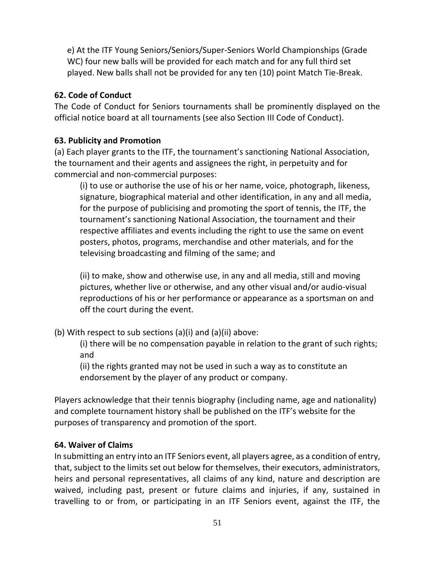e) At the ITF Young Seniors/Seniors/Super-Seniors World Championships (Grade WC) four new balls will be provided for each match and for any full third set played. New balls shall not be provided for any ten (10) point Match Tie-Break.

# **62. Code of Conduct**

The Code of Conduct for Seniors tournaments shall be prominently displayed on the official notice board at all tournaments (see also Section III Code of Conduct).

## **63. Publicity and Promotion**

(a) Each player grants to the ITF, the tournament's sanctioning National Association, the tournament and their agents and assignees the right, in perpetuity and for commercial and non-commercial purposes:

(i) to use or authorise the use of his or her name, voice, photograph, likeness, signature, biographical material and other identification, in any and all media, for the purpose of publicising and promoting the sport of tennis, the ITF, the tournament's sanctioning National Association, the tournament and their respective affiliates and events including the right to use the same on event posters, photos, programs, merchandise and other materials, and for the televising broadcasting and filming of the same; and

(ii) to make, show and otherwise use, in any and all media, still and moving pictures, whether live or otherwise, and any other visual and/or audio-visual reproductions of his or her performance or appearance as a sportsman on and off the court during the event.

(b) With respect to sub sections (a)(i) and (a)(ii) above:

(i) there will be no compensation payable in relation to the grant of such rights; and

(ii) the rights granted may not be used in such a way as to constitute an endorsement by the player of any product or company.

Players acknowledge that their tennis biography (including name, age and nationality) and complete tournament history shall be published on the ITF's website for the purposes of transparency and promotion of the sport.

# **64. Waiver of Claims**

In submitting an entry into an ITF Seniors event, all players agree, as a condition of entry, that, subject to the limits set out below for themselves, their executors, administrators, heirs and personal representatives, all claims of any kind, nature and description are waived, including past, present or future claims and injuries, if any, sustained in travelling to or from, or participating in an ITF Seniors event, against the ITF, the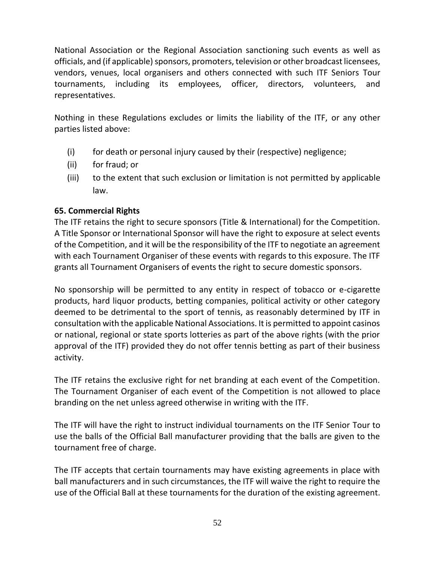National Association or the Regional Association sanctioning such events as well as officials, and (if applicable) sponsors, promoters, television or other broadcast licensees, vendors, venues, local organisers and others connected with such ITF Seniors Tour tournaments, including its employees, officer, directors, volunteers, and representatives.

Nothing in these Regulations excludes or limits the liability of the ITF, or any other parties listed above:

- (i) for death or personal injury caused by their (respective) negligence;
- (ii) for fraud; or
- (iii) to the extent that such exclusion or limitation is not permitted by applicable law.

## **65. Commercial Rights**

The ITF retains the right to secure sponsors (Title & International) for the Competition. A Title Sponsor or International Sponsor will have the right to exposure at select events of the Competition, and it will be the responsibility of the ITF to negotiate an agreement with each Tournament Organiser of these events with regards to this exposure. The ITF grants all Tournament Organisers of events the right to secure domestic sponsors.

No sponsorship will be permitted to any entity in respect of tobacco or e-cigarette products, hard liquor products, betting companies, political activity or other category deemed to be detrimental to the sport of tennis, as reasonably determined by ITF in consultation with the applicable National Associations. It is permitted to appoint casinos or national, regional or state sports lotteries as part of the above rights (with the prior approval of the ITF) provided they do not offer tennis betting as part of their business activity.

The ITF retains the exclusive right for net branding at each event of the Competition. The Tournament Organiser of each event of the Competition is not allowed to place branding on the net unless agreed otherwise in writing with the ITF.

The ITF will have the right to instruct individual tournaments on the ITF Senior Tour to use the balls of the Official Ball manufacturer providing that the balls are given to the tournament free of charge.

The ITF accepts that certain tournaments may have existing agreements in place with ball manufacturers and in such circumstances, the ITF will waive the right to require the use of the Official Ball at these tournaments for the duration of the existing agreement.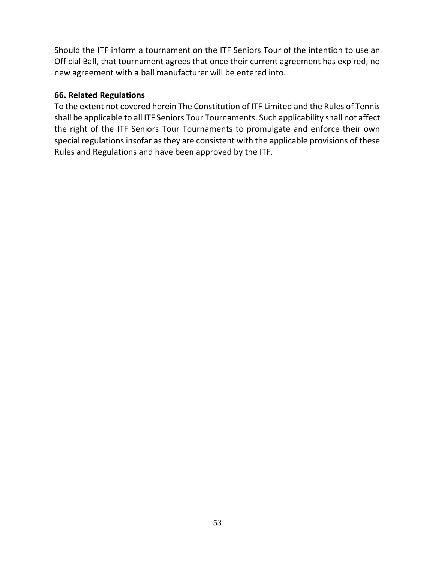Should the ITF inform a tournament on the ITF Seniors Tour of the intention to use an Official Ball, that tournament agrees that once their current agreement has expired, no new agreement with a ball manufacturer will be entered into.

#### **66. Related Regulations**

To the extent not covered herein The Constitution of ITF Limited and the Rules of Tennis shall be applicable to all ITF Seniors Tour Tournaments. Such applicability shall not affect the right of the ITF Seniors Tour Tournaments to promulgate and enforce their own special regulations insofar as they are consistent with the applicable provisions of these Rules and Regulations and have been approved by the ITF.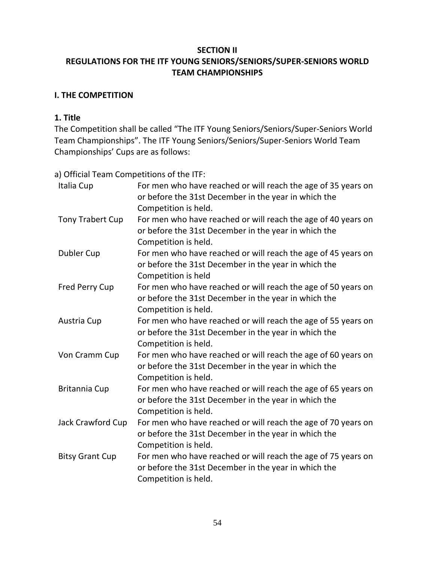## **SECTION II REGULATIONS FOR THE ITF YOUNG SENIORS/SENIORS/SUPER-SENIORS WORLD TEAM CHAMPIONSHIPS**

## **I. THE COMPETITION**

## **1. Title**

The Competition shall be called "The ITF Young Seniors/Seniors/Super-Seniors World Team Championships". The ITF Young Seniors/Seniors/Super-Seniors World Team Championships' Cups are as follows:

a) Official Team Competitions of the ITF:

| Italia Cup              | For men who have reached or will reach the age of 35 years on<br>or before the 31st December in the year in which the<br>Competition is held. |
|-------------------------|-----------------------------------------------------------------------------------------------------------------------------------------------|
| <b>Tony Trabert Cup</b> | For men who have reached or will reach the age of 40 years on<br>or before the 31st December in the year in which the<br>Competition is held. |
| <b>Dubler Cup</b>       | For men who have reached or will reach the age of 45 years on<br>or before the 31st December in the year in which the<br>Competition is held  |
| <b>Fred Perry Cup</b>   | For men who have reached or will reach the age of 50 years on<br>or before the 31st December in the year in which the<br>Competition is held. |
| Austria Cup             | For men who have reached or will reach the age of 55 years on<br>or before the 31st December in the year in which the<br>Competition is held. |
| Von Cramm Cup           | For men who have reached or will reach the age of 60 years on<br>or before the 31st December in the year in which the<br>Competition is held. |
| <b>Britannia Cup</b>    | For men who have reached or will reach the age of 65 years on<br>or before the 31st December in the year in which the<br>Competition is held. |
| Jack Crawford Cup       | For men who have reached or will reach the age of 70 years on<br>or before the 31st December in the year in which the<br>Competition is held. |
| <b>Bitsy Grant Cup</b>  | For men who have reached or will reach the age of 75 years on<br>or before the 31st December in the year in which the<br>Competition is held. |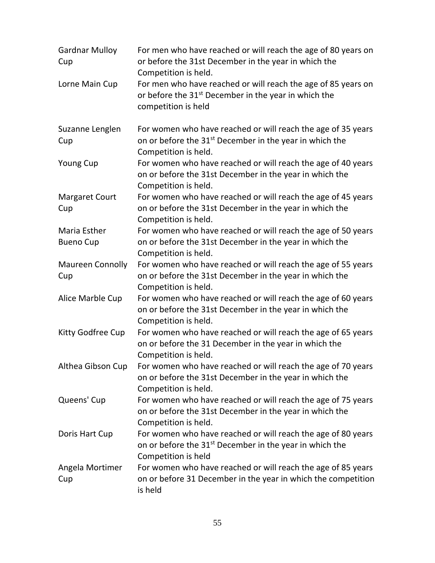| <b>Gardnar Mulloy</b><br>Cup   | For men who have reached or will reach the age of 80 years on<br>or before the 31st December in the year in which the<br>Competition is held.               |
|--------------------------------|-------------------------------------------------------------------------------------------------------------------------------------------------------------|
| Lorne Main Cup                 | For men who have reached or will reach the age of 85 years on<br>or before the 31 <sup>st</sup> December in the year in which the<br>competition is held    |
| Suzanne Lenglen<br>Cup         | For women who have reached or will reach the age of 35 years<br>on or before the 31 <sup>st</sup> December in the year in which the<br>Competition is held. |
| <b>Young Cup</b>               | For women who have reached or will reach the age of 40 years<br>on or before the 31st December in the year in which the<br>Competition is held.             |
| <b>Margaret Court</b><br>Cup   | For women who have reached or will reach the age of 45 years<br>on or before the 31st December in the year in which the<br>Competition is held.             |
| Maria Esther                   | For women who have reached or will reach the age of 50 years                                                                                                |
| <b>Bueno Cup</b>               | on or before the 31st December in the year in which the<br>Competition is held.                                                                             |
| <b>Maureen Connolly</b><br>Cup | For women who have reached or will reach the age of 55 years<br>on or before the 31st December in the year in which the<br>Competition is held.             |
| Alice Marble Cup               | For women who have reached or will reach the age of 60 years<br>on or before the 31st December in the year in which the<br>Competition is held.             |
| Kitty Godfree Cup              | For women who have reached or will reach the age of 65 years<br>on or before the 31 December in the year in which the<br>Competition is held.               |
| Althea Gibson Cup              | For women who have reached or will reach the age of 70 years<br>on or before the 31st December in the year in which the<br>Competition is held.             |
| Queens' Cup                    | For women who have reached or will reach the age of 75 years<br>on or before the 31st December in the year in which the<br>Competition is held.             |
| Doris Hart Cup                 | For women who have reached or will reach the age of 80 years<br>on or before the 31 <sup>st</sup> December in the year in which the<br>Competition is held  |
| Angela Mortimer<br>Cup         | For women who have reached or will reach the age of 85 years<br>on or before 31 December in the year in which the competition<br>is held                    |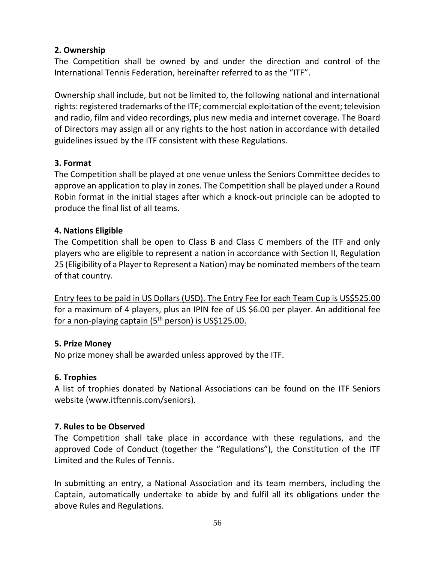## **2. Ownership**

The Competition shall be owned by and under the direction and control of the International Tennis Federation, hereinafter referred to as the "ITF".

Ownership shall include, but not be limited to, the following national and international rights: registered trademarks of the ITF; commercial exploitation of the event; television and radio, film and video recordings, plus new media and internet coverage. The Board of Directors may assign all or any rights to the host nation in accordance with detailed guidelines issued by the ITF consistent with these Regulations.

# **3. Format**

The Competition shall be played at one venue unless the Seniors Committee decides to approve an application to play in zones. The Competition shall be played under a Round Robin format in the initial stages after which a knock-out principle can be adopted to produce the final list of all teams.

## **4. Nations Eligible**

The Competition shall be open to Class B and Class C members of the ITF and only players who are eligible to represent a nation in accordance with Section II, Regulation 25 (Eligibility of a Player to Represent a Nation) may be nominated members of the team of that country.

Entry fees to be paid in US Dollars (USD). The Entry Fee for each Team Cup is US\$525.00 for a maximum of 4 players, plus an IPIN fee of US \$6.00 per player. An additional fee for a non-playing captain (5<sup>th</sup> person) is US\$125.00.

## **5. Prize Money**

No prize money shall be awarded unless approved by the ITF.

## **6. Trophies**

A list of trophies donated by National Associations can be found on the ITF Seniors website (www.itftennis.com/seniors).

# **7. Rules to be Observed**

The Competition shall take place in accordance with these regulations, and the approved Code of Conduct (together the "Regulations"), the Constitution of the ITF Limited and the Rules of Tennis.

In submitting an entry, a National Association and its team members, including the Captain, automatically undertake to abide by and fulfil all its obligations under the above Rules and Regulations.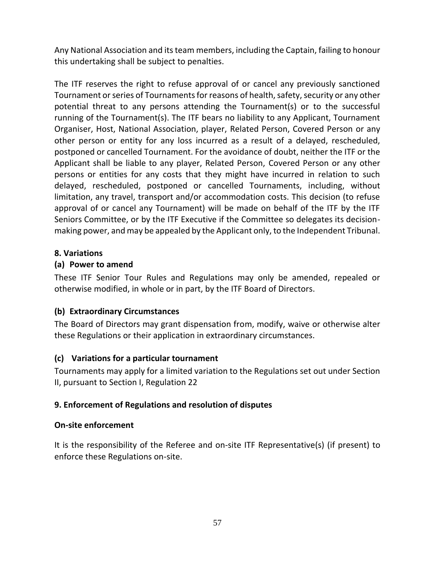Any National Association and its team members, including the Captain, failing to honour this undertaking shall be subject to penalties.

The ITF reserves the right to refuse approval of or cancel any previously sanctioned Tournament or series of Tournaments for reasons of health, safety, security or any other potential threat to any persons attending the Tournament(s) or to the successful running of the Tournament(s). The ITF bears no liability to any Applicant, Tournament Organiser, Host, National Association, player, Related Person, Covered Person or any other person or entity for any loss incurred as a result of a delayed, rescheduled, postponed or cancelled Tournament. For the avoidance of doubt, neither the ITF or the Applicant shall be liable to any player, Related Person, Covered Person or any other persons or entities for any costs that they might have incurred in relation to such delayed, rescheduled, postponed or cancelled Tournaments, including, without limitation, any travel, transport and/or accommodation costs. This decision (to refuse approval of or cancel any Tournament) will be made on behalf of the ITF by the ITF Seniors Committee, or by the ITF Executive if the Committee so delegates its decisionmaking power, and may be appealed by the Applicant only, to the Independent Tribunal.

## **8. Variations**

## **(a) Power to amend**

These ITF Senior Tour Rules and Regulations may only be amended, repealed or otherwise modified, in whole or in part, by the ITF Board of Directors.

## **(b) Extraordinary Circumstances**

The Board of Directors may grant dispensation from, modify, waive or otherwise alter these Regulations or their application in extraordinary circumstances.

## **(c) Variations for a particular tournament**

Tournaments may apply for a limited variation to the Regulations set out under Section II, pursuant to Section I, Regulation 22

## **9. Enforcement of Regulations and resolution of disputes**

## **On-site enforcement**

It is the responsibility of the Referee and on-site ITF Representative(s) (if present) to enforce these Regulations on-site.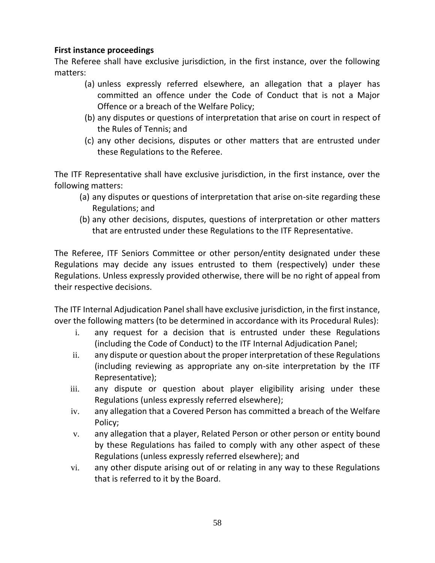## **First instance proceedings**

The Referee shall have exclusive jurisdiction, in the first instance, over the following matters:

- (a) unless expressly referred elsewhere, an allegation that a player has committed an offence under the Code of Conduct that is not a Major Offence or a breach of the Welfare Policy;
- (b) any disputes or questions of interpretation that arise on court in respect of the Rules of Tennis; and
- (c) any other decisions, disputes or other matters that are entrusted under these Regulations to the Referee.

The ITF Representative shall have exclusive jurisdiction, in the first instance, over the following matters:

- (a) any disputes or questions of interpretation that arise on-site regarding these Regulations; and
- (b) any other decisions, disputes, questions of interpretation or other matters that are entrusted under these Regulations to the ITF Representative.

The Referee, ITF Seniors Committee or other person/entity designated under these Regulations may decide any issues entrusted to them (respectively) under these Regulations. Unless expressly provided otherwise, there will be no right of appeal from their respective decisions.

The ITF Internal Adjudication Panel shall have exclusive jurisdiction, in the first instance, over the following matters (to be determined in accordance with its Procedural Rules):

- i. any request for a decision that is entrusted under these Regulations (including the Code of Conduct) to the ITF Internal Adjudication Panel;
- ii. any dispute or question about the proper interpretation of these Regulations (including reviewing as appropriate any on-site interpretation by the ITF Representative);
- iii. any dispute or question about player eligibility arising under these Regulations (unless expressly referred elsewhere);
- iv. any allegation that a Covered Person has committed a breach of the Welfare Policy;
- v. any allegation that a player, Related Person or other person or entity bound by these Regulations has failed to comply with any other aspect of these Regulations (unless expressly referred elsewhere); and
- vi. any other dispute arising out of or relating in any way to these Regulations that is referred to it by the Board.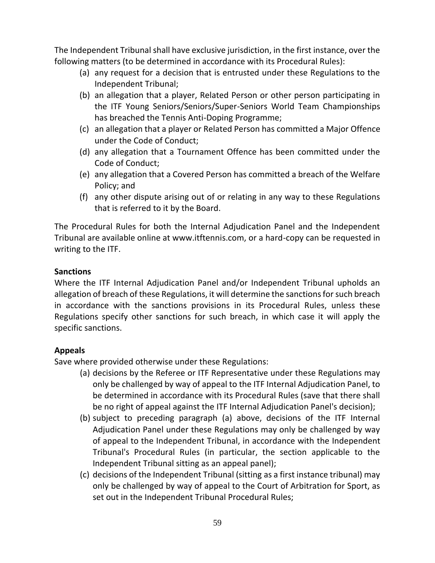The Independent Tribunal shall have exclusive jurisdiction, in the first instance, over the following matters (to be determined in accordance with its Procedural Rules):

- (a) any request for a decision that is entrusted under these Regulations to the Independent Tribunal;
- (b) an allegation that a player, Related Person or other person participating in the ITF Young Seniors/Seniors/Super-Seniors World Team Championships has breached the Tennis Anti-Doping Programme;
- (c) an allegation that a player or Related Person has committed a Major Offence under the Code of Conduct;
- (d) any allegation that a Tournament Offence has been committed under the Code of Conduct;
- (e) any allegation that a Covered Person has committed a breach of the Welfare Policy; and
- (f) any other dispute arising out of or relating in any way to these Regulations that is referred to it by the Board.

The Procedural Rules for both the Internal Adjudication Panel and the Independent Tribunal are available online at www.itftennis.com, or a hard-copy can be requested in writing to the ITF.

## **Sanctions**

Where the ITF Internal Adjudication Panel and/or Independent Tribunal upholds an allegation of breach of these Regulations, it will determine the sanctions for such breach in accordance with the sanctions provisions in its Procedural Rules, unless these Regulations specify other sanctions for such breach, in which case it will apply the specific sanctions.

## **Appeals**

Save where provided otherwise under these Regulations:

- (a) decisions by the Referee or ITF Representative under these Regulations may only be challenged by way of appeal to the ITF Internal Adjudication Panel, to be determined in accordance with its Procedural Rules (save that there shall be no right of appeal against the ITF Internal Adjudication Panel's decision);
- (b) subject to preceding paragraph (a) above, decisions of the ITF Internal Adjudication Panel under these Regulations may only be challenged by way of appeal to the Independent Tribunal, in accordance with the Independent Tribunal's Procedural Rules (in particular, the section applicable to the Independent Tribunal sitting as an appeal panel);
- (c) decisions of the Independent Tribunal (sitting as a first instance tribunal) may only be challenged by way of appeal to the Court of Arbitration for Sport, as set out in the Independent Tribunal Procedural Rules;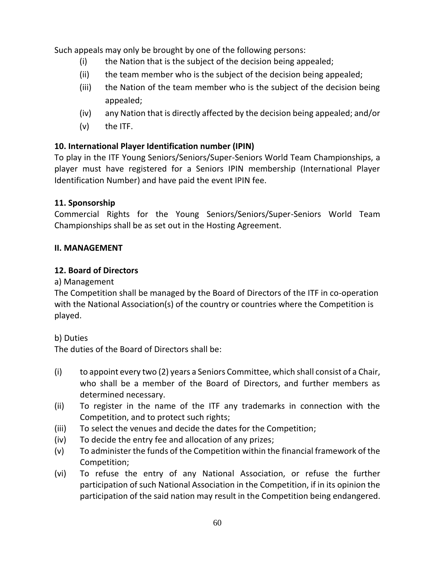Such appeals may only be brought by one of the following persons:

- (i) the Nation that is the subject of the decision being appealed;
- (ii) the team member who is the subject of the decision being appealed;
- (iii) the Nation of the team member who is the subject of the decision being appealed;
- (iv) any Nation that is directly affected by the decision being appealed; and/or
- (v) the ITF.

# **10. International Player Identification number (IPIN)**

To play in the ITF Young Seniors/Seniors/Super-Seniors World Team Championships, a player must have registered for a Seniors IPIN membership (International Player Identification Number) and have paid the event IPIN fee.

## **11. Sponsorship**

Commercial Rights for the Young Seniors/Seniors/Super-Seniors World Team Championships shall be as set out in the Hosting Agreement.

## **II. MANAGEMENT**

## **12. Board of Directors**

a) Management

The Competition shall be managed by the Board of Directors of the ITF in co-operation with the National Association(s) of the country or countries where the Competition is played.

b) Duties

The duties of the Board of Directors shall be:

- (i) to appoint every two (2) years a Seniors Committee, which shall consist of a Chair, who shall be a member of the Board of Directors, and further members as determined necessary.
- (ii) To register in the name of the ITF any trademarks in connection with the Competition, and to protect such rights;
- (iii) To select the venues and decide the dates for the Competition;
- (iv) To decide the entry fee and allocation of any prizes;
- (v) To administer the funds of the Competition within the financial framework of the Competition;
- (vi) To refuse the entry of any National Association, or refuse the further participation of such National Association in the Competition, if in its opinion the participation of the said nation may result in the Competition being endangered.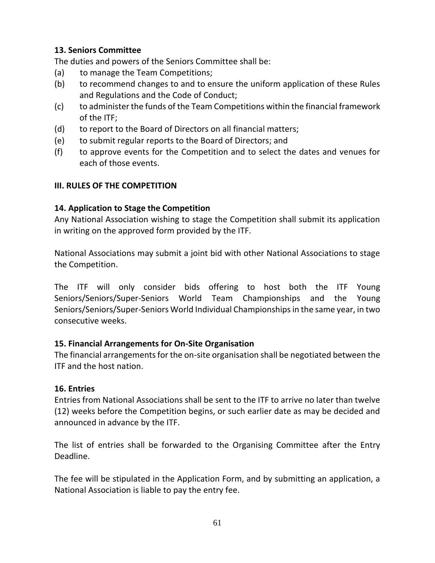## **13. Seniors Committee**

The duties and powers of the Seniors Committee shall be:

- (a) to manage the Team Competitions;
- (b) to recommend changes to and to ensure the uniform application of these Rules and Regulations and the Code of Conduct;
- (c) to administer the funds of the Team Competitions within the financial framework of the ITF;
- (d) to report to the Board of Directors on all financial matters;
- (e) to submit regular reports to the Board of Directors; and
- (f) to approve events for the Competition and to select the dates and venues for each of those events.

## **III. RULES OF THE COMPETITION**

## **14. Application to Stage the Competition**

Any National Association wishing to stage the Competition shall submit its application in writing on the approved form provided by the ITF.

National Associations may submit a joint bid with other National Associations to stage the Competition.

The ITF will only consider bids offering to host both the ITF Young Seniors/Seniors/Super-Seniors World Team Championships and the Young Seniors/Seniors/Super-Seniors World Individual Championships in the same year, in two consecutive weeks.

# **15. Financial Arrangements for On-Site Organisation**

The financial arrangements for the on-site organisation shall be negotiated between the ITF and the host nation.

## **16. Entries**

Entries from National Associations shall be sent to the ITF to arrive no later than twelve (12) weeks before the Competition begins, or such earlier date as may be decided and announced in advance by the ITF.

The list of entries shall be forwarded to the Organising Committee after the Entry Deadline.

The fee will be stipulated in the Application Form, and by submitting an application, a National Association is liable to pay the entry fee.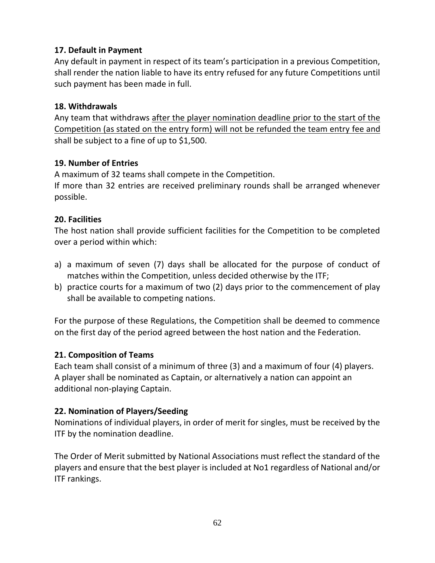## **17. Default in Payment**

Any default in payment in respect of its team's participation in a previous Competition, shall render the nation liable to have its entry refused for any future Competitions until such payment has been made in full.

## **18. Withdrawals**

Any team that withdraws after the player nomination deadline prior to the start of the Competition (as stated on the entry form) will not be refunded the team entry fee and shall be subject to a fine of up to \$1,500.

## **19. Number of Entries**

A maximum of 32 teams shall compete in the Competition.

If more than 32 entries are received preliminary rounds shall be arranged whenever possible.

## **20. Facilities**

The host nation shall provide sufficient facilities for the Competition to be completed over a period within which:

- a) a maximum of seven (7) days shall be allocated for the purpose of conduct of matches within the Competition, unless decided otherwise by the ITF;
- b) practice courts for a maximum of two (2) days prior to the commencement of play shall be available to competing nations.

For the purpose of these Regulations, the Competition shall be deemed to commence on the first day of the period agreed between the host nation and the Federation.

## **21. Composition of Teams**

Each team shall consist of a minimum of three (3) and a maximum of four (4) players. A player shall be nominated as Captain, or alternatively a nation can appoint an additional non-playing Captain.

## **22. Nomination of Players/Seeding**

Nominations of individual players, in order of merit for singles, must be received by the ITF by the nomination deadline.

The Order of Merit submitted by National Associations must reflect the standard of the players and ensure that the best player is included at No1 regardless of National and/or ITF rankings.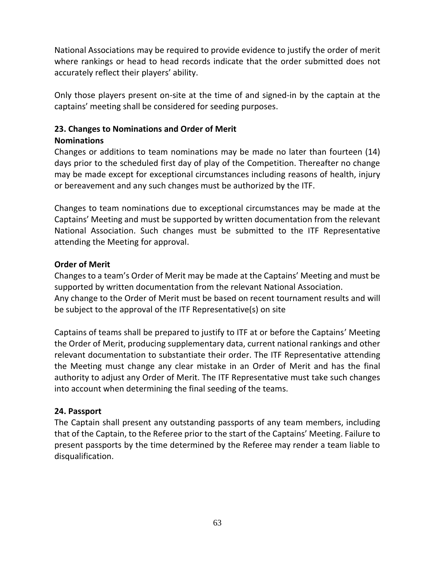National Associations may be required to provide evidence to justify the order of merit where rankings or head to head records indicate that the order submitted does not accurately reflect their players' ability.

Only those players present on-site at the time of and signed-in by the captain at the captains' meeting shall be considered for seeding purposes.

# **23. Changes to Nominations and Order of Merit**

## **Nominations**

Changes or additions to team nominations may be made no later than fourteen (14) days prior to the scheduled first day of play of the Competition. Thereafter no change may be made except for exceptional circumstances including reasons of health, injury or bereavement and any such changes must be authorized by the ITF.

Changes to team nominations due to exceptional circumstances may be made at the Captains' Meeting and must be supported by written documentation from the relevant National Association. Such changes must be submitted to the ITF Representative attending the Meeting for approval.

## **Order of Merit**

Changes to a team's Order of Merit may be made at the Captains' Meeting and must be supported by written documentation from the relevant National Association.

Any change to the Order of Merit must be based on recent tournament results and will be subject to the approval of the ITF Representative(s) on site

Captains of teams shall be prepared to justify to ITF at or before the Captains' Meeting the Order of Merit, producing supplementary data, current national rankings and other relevant documentation to substantiate their order. The ITF Representative attending the Meeting must change any clear mistake in an Order of Merit and has the final authority to adjust any Order of Merit. The ITF Representative must take such changes into account when determining the final seeding of the teams.

## **24. Passport**

The Captain shall present any outstanding passports of any team members, including that of the Captain, to the Referee prior to the start of the Captains' Meeting. Failure to present passports by the time determined by the Referee may render a team liable to disqualification.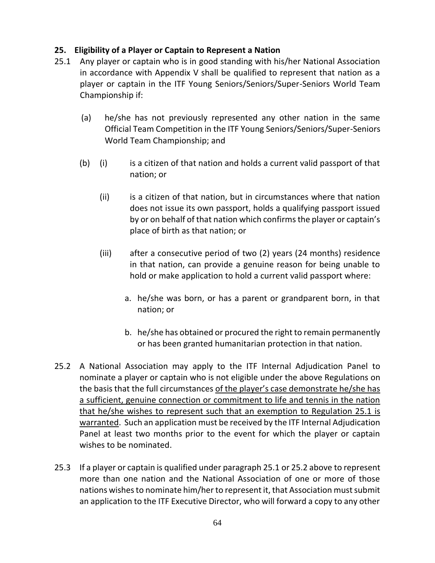## **25. Eligibility of a Player or Captain to Represent a Nation**

- 25.1 Any player or captain who is in good standing with his/her National Association in accordance with Appendix V shall be qualified to represent that nation as a player or captain in the ITF Young Seniors/Seniors/Super-Seniors World Team Championship if:
	- (a) he/she has not previously represented any other nation in the same Official Team Competition in the ITF Young Seniors/Seniors/Super-Seniors World Team Championship; and
	- (b) (i) is a citizen of that nation and holds a current valid passport of that nation; or
		- (ii) is a citizen of that nation, but in circumstances where that nation does not issue its own passport, holds a qualifying passport issued by or on behalf of that nation which confirms the player or captain's place of birth as that nation; or
		- (iii) after a consecutive period of two (2) years (24 months) residence in that nation, can provide a genuine reason for being unable to hold or make application to hold a current valid passport where:
			- a. he/she was born, or has a parent or grandparent born, in that nation; or
			- b. he/she has obtained or procured the right to remain permanently or has been granted humanitarian protection in that nation.
- 25.2 A National Association may apply to the ITF Internal Adjudication Panel to nominate a player or captain who is not eligible under the above Regulations on the basis that the full circumstances of the player's case demonstrate he/she has a sufficient, genuine connection or commitment to life and tennis in the nation that he/she wishes to represent such that an exemption to Regulation 25.1 is warranted. Such an application must be received by the ITF Internal Adjudication Panel at least two months prior to the event for which the player or captain wishes to be nominated.
- 25.3 If a player or captain is qualified under paragraph 25.1 or 25.2 above to represent more than one nation and the National Association of one or more of those nations wishes to nominate him/her to represent it, that Association must submit an application to the ITF Executive Director, who will forward a copy to any other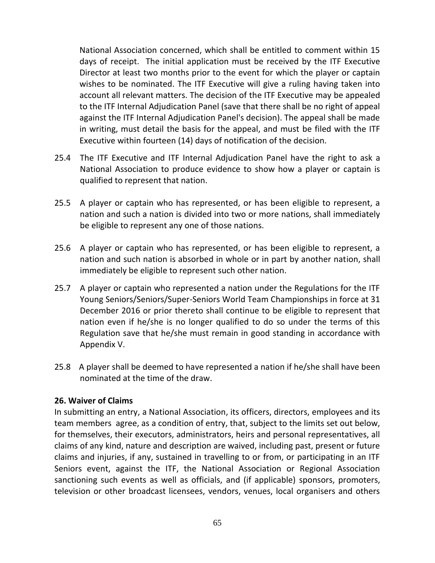National Association concerned, which shall be entitled to comment within 15 days of receipt. The initial application must be received by the ITF Executive Director at least two months prior to the event for which the player or captain wishes to be nominated. The ITF Executive will give a ruling having taken into account all relevant matters. The decision of the ITF Executive may be appealed to the ITF Internal Adjudication Panel (save that there shall be no right of appeal against the ITF Internal Adjudication Panel's decision). The appeal shall be made in writing, must detail the basis for the appeal, and must be filed with the ITF Executive within fourteen (14) days of notification of the decision.

- 25.4 The ITF Executive and ITF Internal Adjudication Panel have the right to ask a National Association to produce evidence to show how a player or captain is qualified to represent that nation.
- 25.5 A player or captain who has represented, or has been eligible to represent, a nation and such a nation is divided into two or more nations, shall immediately be eligible to represent any one of those nations.
- 25.6 A player or captain who has represented, or has been eligible to represent, a nation and such nation is absorbed in whole or in part by another nation, shall immediately be eligible to represent such other nation.
- 25.7 A player or captain who represented a nation under the Regulations for the ITF Young Seniors/Seniors/Super-Seniors World Team Championships in force at 31 December 2016 or prior thereto shall continue to be eligible to represent that nation even if he/she is no longer qualified to do so under the terms of this Regulation save that he/she must remain in good standing in accordance with Appendix V.
- 25.8 A player shall be deemed to have represented a nation if he/she shall have been nominated at the time of the draw.

#### **26. Waiver of Claims**

In submitting an entry, a National Association, its officers, directors, employees and its team members agree, as a condition of entry, that, subject to the limits set out below, for themselves, their executors, administrators, heirs and personal representatives, all claims of any kind, nature and description are waived, including past, present or future claims and injuries, if any, sustained in travelling to or from, or participating in an ITF Seniors event, against the ITF, the National Association or Regional Association sanctioning such events as well as officials, and (if applicable) sponsors, promoters, television or other broadcast licensees, vendors, venues, local organisers and others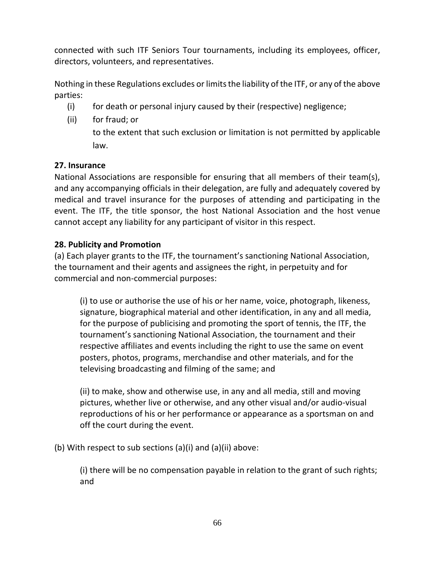connected with such ITF Seniors Tour tournaments, including its employees, officer, directors, volunteers, and representatives.

Nothing in these Regulations excludes or limits the liability of the ITF, or any of the above parties:

- (i) for death or personal injury caused by their (respective) negligence;
- (ii) for fraud; or

to the extent that such exclusion or limitation is not permitted by applicable law.

# **27. Insurance**

National Associations are responsible for ensuring that all members of their team(s), and any accompanying officials in their delegation, are fully and adequately covered by medical and travel insurance for the purposes of attending and participating in the event. The ITF, the title sponsor, the host National Association and the host venue cannot accept any liability for any participant of visitor in this respect.

# **28. Publicity and Promotion**

(a) Each player grants to the ITF, the tournament's sanctioning National Association, the tournament and their agents and assignees the right, in perpetuity and for commercial and non-commercial purposes:

(i) to use or authorise the use of his or her name, voice, photograph, likeness, signature, biographical material and other identification, in any and all media, for the purpose of publicising and promoting the sport of tennis, the ITF, the tournament's sanctioning National Association, the tournament and their respective affiliates and events including the right to use the same on event posters, photos, programs, merchandise and other materials, and for the televising broadcasting and filming of the same; and

(ii) to make, show and otherwise use, in any and all media, still and moving pictures, whether live or otherwise, and any other visual and/or audio-visual reproductions of his or her performance or appearance as a sportsman on and off the court during the event.

(b) With respect to sub sections (a)(i) and (a)(ii) above:

(i) there will be no compensation payable in relation to the grant of such rights; and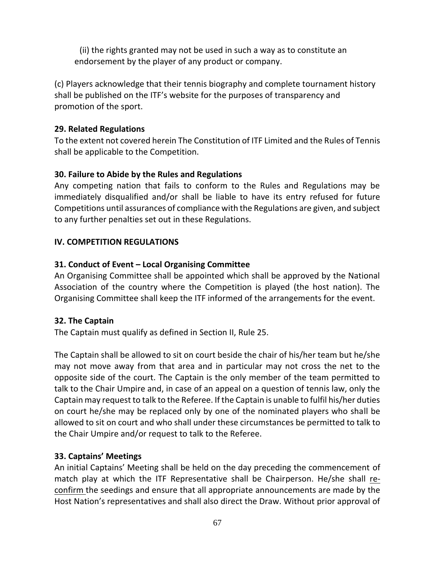(ii) the rights granted may not be used in such a way as to constitute an endorsement by the player of any product or company.

(c) Players acknowledge that their tennis biography and complete tournament history shall be published on the ITF's website for the purposes of transparency and promotion of the sport.

## **29. Related Regulations**

To the extent not covered herein The Constitution of ITF Limited and the Rules of Tennis shall be applicable to the Competition.

# **30. Failure to Abide by the Rules and Regulations**

Any competing nation that fails to conform to the Rules and Regulations may be immediately disqualified and/or shall be liable to have its entry refused for future Competitions until assurances of compliance with the Regulations are given, and subject to any further penalties set out in these Regulations.

# **IV. COMPETITION REGULATIONS**

# **31. Conduct of Event – Local Organising Committee**

An Organising Committee shall be appointed which shall be approved by the National Association of the country where the Competition is played (the host nation). The Organising Committee shall keep the ITF informed of the arrangements for the event.

# **32. The Captain**

The Captain must qualify as defined in Section II, Rule 25.

The Captain shall be allowed to sit on court beside the chair of his/her team but he/she may not move away from that area and in particular may not cross the net to the opposite side of the court. The Captain is the only member of the team permitted to talk to the Chair Umpire and, in case of an appeal on a question of tennis law, only the Captain may request to talk to the Referee. If the Captain is unable to fulfil his/her duties on court he/she may be replaced only by one of the nominated players who shall be allowed to sit on court and who shall under these circumstances be permitted to talk to the Chair Umpire and/or request to talk to the Referee.

# **33. Captains' Meetings**

An initial Captains' Meeting shall be held on the day preceding the commencement of match play at which the ITF Representative shall be Chairperson. He/she shall reconfirm the seedings and ensure that all appropriate announcements are made by the Host Nation's representatives and shall also direct the Draw. Without prior approval of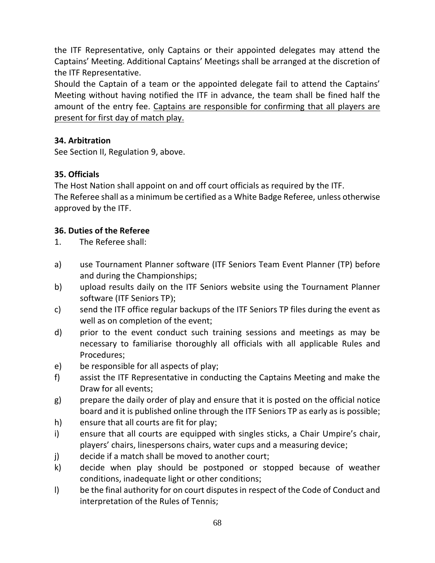the ITF Representative, only Captains or their appointed delegates may attend the Captains' Meeting. Additional Captains' Meetings shall be arranged at the discretion of the ITF Representative.

Should the Captain of a team or the appointed delegate fail to attend the Captains' Meeting without having notified the ITF in advance, the team shall be fined half the amount of the entry fee. Captains are responsible for confirming that all players are present for first day of match play.

## **34. Arbitration**

See Section II, Regulation 9, above.

# **35. Officials**

The Host Nation shall appoint on and off court officials as required by the ITF. The Referee shall as a minimum be certified as a White Badge Referee, unless otherwise approved by the ITF.

# **36. Duties of the Referee**

- 1. The Referee shall:
- a) use Tournament Planner software (ITF Seniors Team Event Planner (TP) before and during the Championships;
- b) upload results daily on the ITF Seniors website using the Tournament Planner software (ITF Seniors TP);
- c) send the ITF office regular backups of the ITF Seniors TP files during the event as well as on completion of the event;
- d) prior to the event conduct such training sessions and meetings as may be necessary to familiarise thoroughly all officials with all applicable Rules and Procedures;
- e) be responsible for all aspects of play;
- f) assist the ITF Representative in conducting the Captains Meeting and make the Draw for all events;
- g) prepare the daily order of play and ensure that it is posted on the official notice board and it is published online through the ITF Seniors TP as early as is possible;
- h) ensure that all courts are fit for play;
- i) ensure that all courts are equipped with singles sticks, a Chair Umpire's chair, players' chairs, linespersons chairs, water cups and a measuring device;
- j) decide if a match shall be moved to another court;
- k) decide when play should be postponed or stopped because of weather conditions, inadequate light or other conditions;
- l) be the final authority for on court disputes in respect of the Code of Conduct and interpretation of the Rules of Tennis;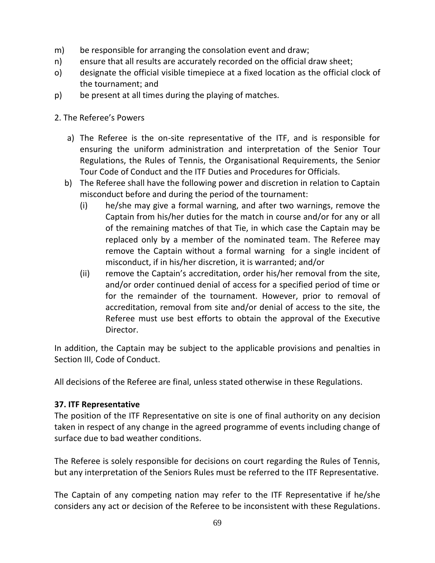- m) be responsible for arranging the consolation event and draw;
- n) ensure that all results are accurately recorded on the official draw sheet;
- o) designate the official visible timepiece at a fixed location as the official clock of the tournament; and
- p) be present at all times during the playing of matches.
- 2. The Referee's Powers
	- a) The Referee is the on-site representative of the ITF, and is responsible for ensuring the uniform administration and interpretation of the Senior Tour Regulations, the Rules of Tennis, the Organisational Requirements, the Senior Tour Code of Conduct and the ITF Duties and Procedures for Officials.
	- b) The Referee shall have the following power and discretion in relation to Captain misconduct before and during the period of the tournament:
		- (i) he/she may give a formal warning, and after two warnings, remove the Captain from his/her duties for the match in course and/or for any or all of the remaining matches of that Tie, in which case the Captain may be replaced only by a member of the nominated team. The Referee may remove the Captain without a formal warning for a single incident of misconduct, if in his/her discretion, it is warranted; and/or
		- (ii) remove the Captain's accreditation, order his/her removal from the site, and/or order continued denial of access for a specified period of time or for the remainder of the tournament. However, prior to removal of accreditation, removal from site and/or denial of access to the site, the Referee must use best efforts to obtain the approval of the Executive Director.

In addition, the Captain may be subject to the applicable provisions and penalties in Section III, Code of Conduct.

All decisions of the Referee are final, unless stated otherwise in these Regulations.

### **37. ITF Representative**

The position of the ITF Representative on site is one of final authority on any decision taken in respect of any change in the agreed programme of events including change of surface due to bad weather conditions.

The Referee is solely responsible for decisions on court regarding the Rules of Tennis, but any interpretation of the Seniors Rules must be referred to the ITF Representative.

The Captain of any competing nation may refer to the ITF Representative if he/she considers any act or decision of the Referee to be inconsistent with these Regulations.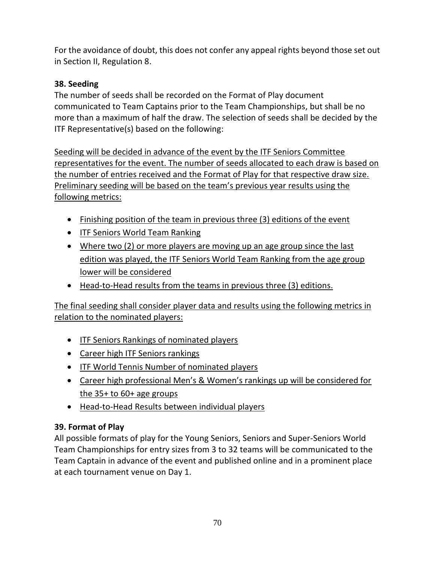For the avoidance of doubt, this does not confer any appeal rights beyond those set out in Section II, Regulation 8.

# **38. Seeding**

The number of seeds shall be recorded on the Format of Play document communicated to Team Captains prior to the Team Championships, but shall be no more than a maximum of half the draw. The selection of seeds shall be decided by the ITF Representative(s) based on the following:

Seeding will be decided in advance of the event by the ITF Seniors Committee representatives for the event. The number of seeds allocated to each draw is based on the number of entries received and the Format of Play for that respective draw size. Preliminary seeding will be based on the team's previous year results using the following metrics:

- Finishing position of the team in previous three (3) editions of the event
- ITF Seniors World Team Ranking
- Where two (2) or more players are moving up an age group since the last edition was played, the ITF Seniors World Team Ranking from the age group lower will be considered
- Head-to-Head results from the teams in previous three (3) editions.

The final seeding shall consider player data and results using the following metrics in relation to the nominated players:

- ITF Seniors Rankings of nominated players
- Career high ITF Seniors rankings
- ITF World Tennis Number of nominated players
- Career high professional Men's & Women's rankings up will be considered for the  $35+$  to  $60+$  age groups
- Head-to-Head Results between individual players

# **39. Format of Play**

All possible formats of play for the Young Seniors, Seniors and Super-Seniors World Team Championships for entry sizes from 3 to 32 teams will be communicated to the Team Captain in advance of the event and published online and in a prominent place at each tournament venue on Day 1.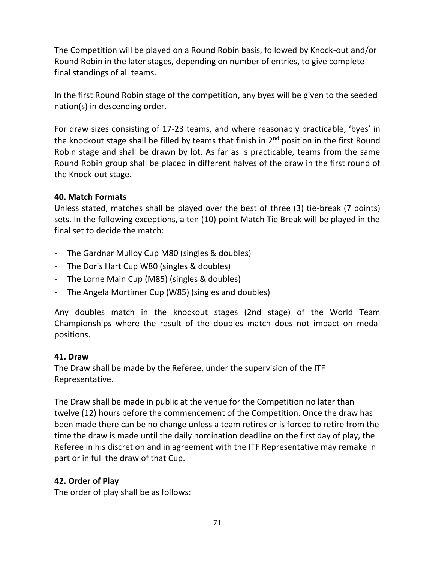The Competition will be played on a Round Robin basis, followed by Knock-out and/or Round Robin in the later stages, depending on number of entries, to give complete final standings of all teams.

In the first Round Robin stage of the competition, any byes will be given to the seeded nation(s) in descending order.

For draw sizes consisting of 17-23 teams, and where reasonably practicable, 'byes' in the knockout stage shall be filled by teams that finish in 2<sup>nd</sup> position in the first Round Robin stage and shall be drawn by lot. As far as is practicable, teams from the same Round Robin group shall be placed in different halves of the draw in the first round of the Knock-out stage.

#### **40. Match Formats**

Unless stated, matches shall be played over the best of three (3) tie-break (7 points) sets. In the following exceptions, a ten (10) point Match Tie Break will be played in the final set to decide the match:

- The Gardnar Mulloy Cup M80 (singles & doubles)
- The Doris Hart Cup W80 (singles & doubles)
- The Lorne Main Cup (M85) (singles & doubles)
- The Angela Mortimer Cup (W85) (singles and doubles)

Any doubles match in the knockout stages (2nd stage) of the World Team Championships where the result of the doubles match does not impact on medal positions.

### **41. Draw**

The Draw shall be made by the Referee, under the supervision of the ITF Representative.

The Draw shall be made in public at the venue for the Competition no later than twelve (12) hours before the commencement of the Competition. Once the draw has been made there can be no change unless a team retires or is forced to retire from the time the draw is made until the daily nomination deadline on the first day of play, the Referee in his discretion and in agreement with the ITF Representative may remake in part or in full the draw of that Cup.

### **42. Order of Play**

The order of play shall be as follows: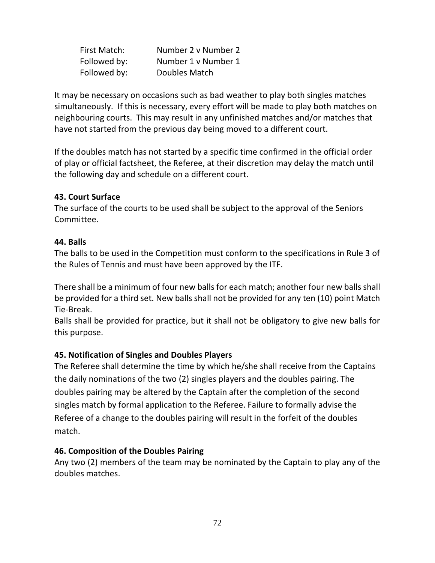| First Match: | Number 2 v Number 2 |
|--------------|---------------------|
| Followed by: | Number 1 v Number 1 |
| Followed by: | Doubles Match       |

It may be necessary on occasions such as bad weather to play both singles matches simultaneously. If this is necessary, every effort will be made to play both matches on neighbouring courts. This may result in any unfinished matches and/or matches that have not started from the previous day being moved to a different court.

If the doubles match has not started by a specific time confirmed in the official order of play or official factsheet, the Referee, at their discretion may delay the match until the following day and schedule on a different court.

### **43. Court Surface**

The surface of the courts to be used shall be subject to the approval of the Seniors Committee.

#### **44. Balls**

The balls to be used in the Competition must conform to the specifications in Rule 3 of the Rules of Tennis and must have been approved by the ITF.

There shall be a minimum of four new balls for each match; another four new balls shall be provided for a third set. New balls shall not be provided for any ten (10) point Match Tie-Break.

Balls shall be provided for practice, but it shall not be obligatory to give new balls for this purpose.

### **45. Notification of Singles and Doubles Players**

The Referee shall determine the time by which he/she shall receive from the Captains the daily nominations of the two (2) singles players and the doubles pairing. The doubles pairing may be altered by the Captain after the completion of the second singles match by formal application to the Referee. Failure to formally advise the Referee of a change to the doubles pairing will result in the forfeit of the doubles match.

#### **46. Composition of the Doubles Pairing**

Any two (2) members of the team may be nominated by the Captain to play any of the doubles matches.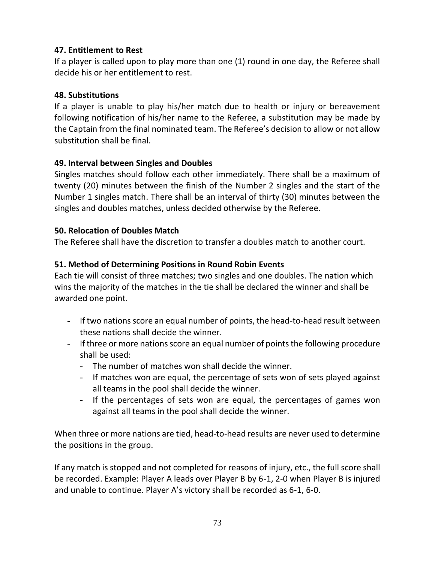## **47. Entitlement to Rest**

If a player is called upon to play more than one (1) round in one day, the Referee shall decide his or her entitlement to rest.

### **48. Substitutions**

If a player is unable to play his/her match due to health or injury or bereavement following notification of his/her name to the Referee, a substitution may be made by the Captain from the final nominated team. The Referee's decision to allow or not allow substitution shall be final.

## **49. Interval between Singles and Doubles**

Singles matches should follow each other immediately. There shall be a maximum of twenty (20) minutes between the finish of the Number 2 singles and the start of the Number 1 singles match. There shall be an interval of thirty (30) minutes between the singles and doubles matches, unless decided otherwise by the Referee.

## **50. Relocation of Doubles Match**

The Referee shall have the discretion to transfer a doubles match to another court.

## **51. Method of Determining Positions in Round Robin Events**

Each tie will consist of three matches; two singles and one doubles. The nation which wins the majority of the matches in the tie shall be declared the winner and shall be awarded one point.

- If two nations score an equal number of points, the head-to-head result between these nations shall decide the winner.
- If three or more nations score an equal number of points the following procedure shall be used:
	- The number of matches won shall decide the winner.
	- If matches won are equal, the percentage of sets won of sets played against all teams in the pool shall decide the winner.
	- If the percentages of sets won are equal, the percentages of games won against all teams in the pool shall decide the winner.

When three or more nations are tied, head-to-head results are never used to determine the positions in the group.

If any match is stopped and not completed for reasons of injury, etc., the full score shall be recorded. Example: Player A leads over Player B by 6-1, 2-0 when Player B is injured and unable to continue. Player A's victory shall be recorded as 6-1, 6-0.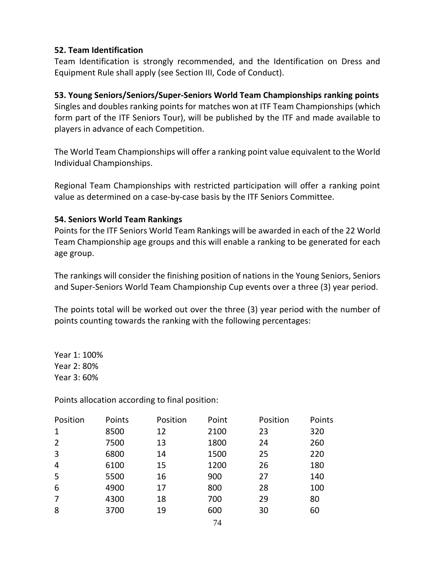#### **52. Team Identification**

Team Identification is strongly recommended, and the Identification on Dress and Equipment Rule shall apply (see Section III, Code of Conduct).

## **53. Young Seniors/Seniors/Super-Seniors World Team Championships ranking points**

Singles and doubles ranking points for matches won at ITF Team Championships (which form part of the ITF Seniors Tour), will be published by the ITF and made available to players in advance of each Competition.

The World Team Championships will offer a ranking point value equivalent to the World Individual Championships.

Regional Team Championships with restricted participation will offer a ranking point value as determined on a case-by-case basis by the ITF Seniors Committee.

### **54. Seniors World Team Rankings**

Points for the ITF Seniors World Team Rankings will be awarded in each of the 22 World Team Championship age groups and this will enable a ranking to be generated for each age group.

The rankings will consider the finishing position of nations in the Young Seniors, Seniors and Super-Seniors World Team Championship Cup events over a three (3) year period.

The points total will be worked out over the three (3) year period with the number of points counting towards the ranking with the following percentages:

Year 1: 100% Year 2: 80% Year 3: 60%

Points allocation according to final position:

| Position | Points | Position | Point | Position | Points |
|----------|--------|----------|-------|----------|--------|
| 1        | 8500   | 12       | 2100  | 23       | 320    |
| 2        | 7500   | 13       | 1800  | 24       | 260    |
| 3        | 6800   | 14       | 1500  | 25       | 220    |
| 4        | 6100   | 15       | 1200  | 26       | 180    |
| 5        | 5500   | 16       | 900   | 27       | 140    |
| 6        | 4900   | 17       | 800   | 28       | 100    |
|          |        |          |       |          |        |
| 7        | 4300   | 18       | 700   | 29       | 80     |
| 8        | 3700   | 19       | 600   | 30       | 60     |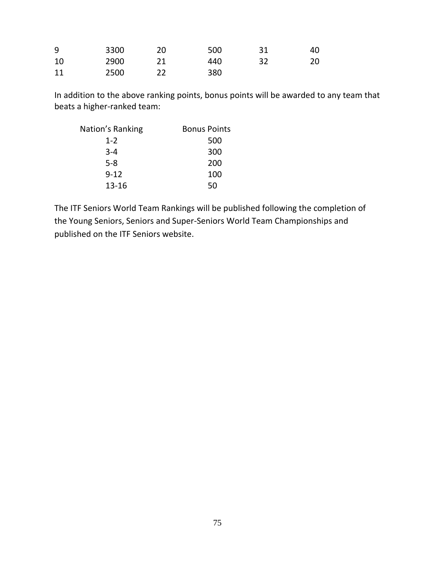| 9  | 3300 | 20 | 500 | 31 | 40 |
|----|------|----|-----|----|----|
| 10 | 2900 |    | 440 |    | 20 |
| 11 | 2500 |    | 380 |    |    |

In addition to the above ranking points, bonus points will be awarded to any team that beats a higher-ranked team:

| Nation's Ranking | <b>Bonus Points</b> |
|------------------|---------------------|
| $1 - 2$          | 500                 |
| $3 - 4$          | 300                 |
| $5-8$            | 200                 |
| $9 - 12$         | 100                 |
| $13 - 16$        | 50                  |

The ITF Seniors World Team Rankings will be published following the completion of the Young Seniors, Seniors and Super-Seniors World Team Championships and published on the ITF Seniors website.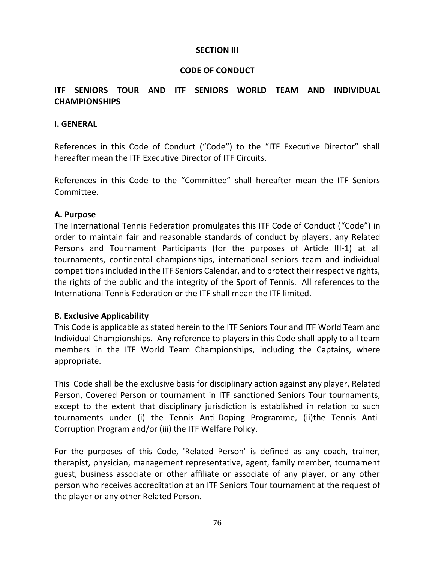#### **SECTION III**

### **CODE OF CONDUCT**

## **ITF SENIORS TOUR AND ITF SENIORS WORLD TEAM AND INDIVIDUAL CHAMPIONSHIPS**

#### **I. GENERAL**

References in this Code of Conduct ("Code") to the "ITF Executive Director" shall hereafter mean the ITF Executive Director of ITF Circuits.

References in this Code to the "Committee" shall hereafter mean the ITF Seniors Committee.

#### **A. Purpose**

The International Tennis Federation promulgates this ITF Code of Conduct ("Code") in order to maintain fair and reasonable standards of conduct by players, any Related Persons and Tournament Participants (for the purposes of Article III-1) at all tournaments, continental championships, international seniors team and individual competitions included in the ITF Seniors Calendar, and to protect their respective rights, the rights of the public and the integrity of the Sport of Tennis. All references to the International Tennis Federation or the ITF shall mean the ITF limited.

### **B. Exclusive Applicability**

This Code is applicable as stated herein to the ITF Seniors Tour and ITF World Team and Individual Championships. Any reference to players in this Code shall apply to all team members in the ITF World Team Championships, including the Captains, where appropriate.

This Code shall be the exclusive basis for disciplinary action against any player, Related Person, Covered Person or tournament in ITF sanctioned Seniors Tour tournaments, except to the extent that disciplinary jurisdiction is established in relation to such tournaments under (i) the Tennis Anti-Doping Programme, (ii)the Tennis Anti-Corruption Program and/or (iii) the ITF Welfare Policy.

For the purposes of this Code, 'Related Person' is defined as any coach, trainer, therapist, physician, management representative, agent, family member, tournament guest, business associate or other affiliate or associate of any player, or any other person who receives accreditation at an ITF Seniors Tour tournament at the request of the player or any other Related Person.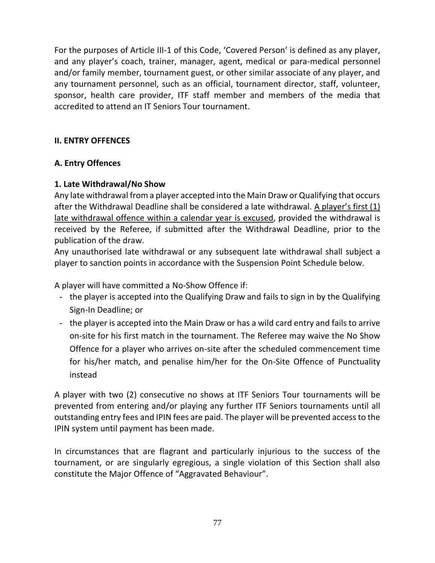For the purposes of Article III-1 of this Code, 'Covered Person' is defined as any player, and any player's coach, trainer, manager, agent, medical or para-medical personnel and/or family member, tournament guest, or other similar associate of any player, and any tournament personnel, such as an official, tournament director, staff, volunteer, sponsor, health care provider, ITF staff member and members of the media that accredited to attend an IT Seniors Tour tournament.

# **II. ENTRY OFFENCES**

## **A. Entry Offences**

## **1. Late Withdrawal/No Show**

Any late withdrawal from a player accepted into the Main Draw or Qualifying that occurs after the Withdrawal Deadline shall be considered a late withdrawal. A player's first (1) late withdrawal offence within a calendar year is excused, provided the withdrawal is received by the Referee, if submitted after the Withdrawal Deadline, prior to the publication of the draw.

Any unauthorised late withdrawal or any subsequent late withdrawal shall subject a player to sanction points in accordance with the Suspension Point Schedule below.

A player will have committed a No-Show Offence if:

- the player is accepted into the Qualifying Draw and fails to sign in by the Qualifying Sign-In Deadline; or
- the player is accepted into the Main Draw or has a wild card entry and fails to arrive on-site for his first match in the tournament. The Referee may waive the No Show Offence for a player who arrives on-site after the scheduled commencement time for his/her match, and penalise him/her for the On-Site Offence of Punctuality instead

A player with two (2) consecutive no shows at ITF Seniors Tour tournaments will be prevented from entering and/or playing any further ITF Seniors tournaments until all outstanding entry fees and IPIN fees are paid. The player will be prevented access to the IPIN system until payment has been made.

In circumstances that are flagrant and particularly injurious to the success of the tournament, or are singularly egregious, a single violation of this Section shall also constitute the Major Offence of "Aggravated Behaviour".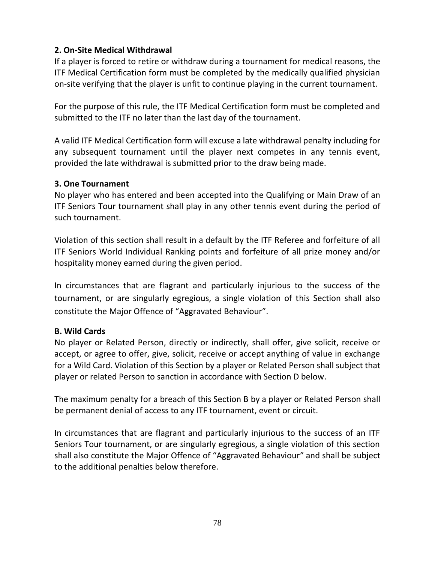## **2. On-Site Medical Withdrawal**

If a player is forced to retire or withdraw during a tournament for medical reasons, the ITF Medical Certification form must be completed by the medically qualified physician on-site verifying that the player is unfit to continue playing in the current tournament.

For the purpose of this rule, the ITF Medical Certification form must be completed and submitted to the ITF no later than the last day of the tournament.

A valid ITF Medical Certification form will excuse a late withdrawal penalty including for any subsequent tournament until the player next competes in any tennis event, provided the late withdrawal is submitted prior to the draw being made.

### **3. One Tournament**

No player who has entered and been accepted into the Qualifying or Main Draw of an ITF Seniors Tour tournament shall play in any other tennis event during the period of such tournament.

Violation of this section shall result in a default by the ITF Referee and forfeiture of all ITF Seniors World Individual Ranking points and forfeiture of all prize money and/or hospitality money earned during the given period.

In circumstances that are flagrant and particularly injurious to the success of the tournament, or are singularly egregious, a single violation of this Section shall also constitute the Major Offence of "Aggravated Behaviour".

#### **B. Wild Cards**

No player or Related Person, directly or indirectly, shall offer, give solicit, receive or accept, or agree to offer, give, solicit, receive or accept anything of value in exchange for a Wild Card. Violation of this Section by a player or Related Person shall subject that player or related Person to sanction in accordance with Section D below.

The maximum penalty for a breach of this Section B by a player or Related Person shall be permanent denial of access to any ITF tournament, event or circuit.

In circumstances that are flagrant and particularly injurious to the success of an ITF Seniors Tour tournament, or are singularly egregious, a single violation of this section shall also constitute the Major Offence of "Aggravated Behaviour" and shall be subject to the additional penalties below therefore.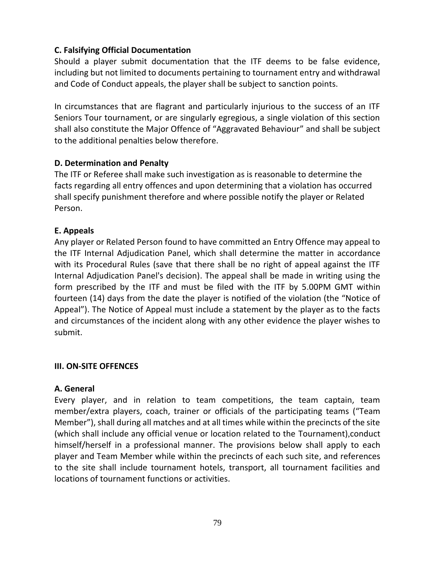## **C. Falsifying Official Documentation**

Should a player submit documentation that the ITF deems to be false evidence, including but not limited to documents pertaining to tournament entry and withdrawal and Code of Conduct appeals, the player shall be subject to sanction points.

In circumstances that are flagrant and particularly injurious to the success of an ITF Seniors Tour tournament, or are singularly egregious, a single violation of this section shall also constitute the Major Offence of "Aggravated Behaviour" and shall be subject to the additional penalties below therefore.

## **D. Determination and Penalty**

The ITF or Referee shall make such investigation as is reasonable to determine the facts regarding all entry offences and upon determining that a violation has occurred shall specify punishment therefore and where possible notify the player or Related Person.

## **E. Appeals**

Any player or Related Person found to have committed an Entry Offence may appeal to the ITF Internal Adjudication Panel, which shall determine the matter in accordance with its Procedural Rules (save that there shall be no right of appeal against the ITF Internal Adjudication Panel's decision). The appeal shall be made in writing using the form prescribed by the ITF and must be filed with the ITF by 5.00PM GMT within fourteen (14) days from the date the player is notified of the violation (the "Notice of Appeal"). The Notice of Appeal must include a statement by the player as to the facts and circumstances of the incident along with any other evidence the player wishes to submit.

### **III. ON-SITE OFFENCES**

### **A. General**

Every player, and in relation to team competitions, the team captain, team member/extra players, coach, trainer or officials of the participating teams ("Team Member"), shall during all matches and at all times while within the precincts of the site (which shall include any official venue or location related to the Tournament),conduct himself/herself in a professional manner. The provisions below shall apply to each player and Team Member while within the precincts of each such site, and references to the site shall include tournament hotels, transport, all tournament facilities and locations of tournament functions or activities.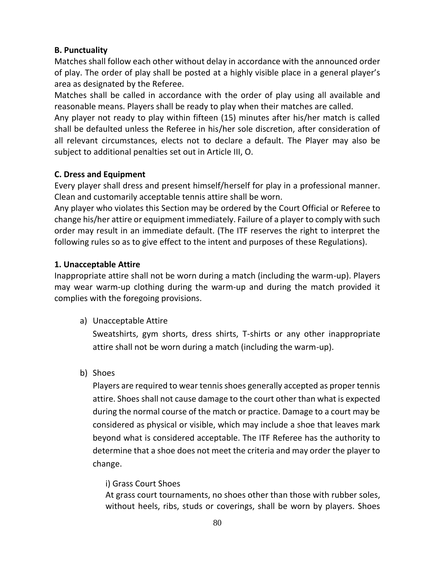### **B. Punctuality**

Matches shall follow each other without delay in accordance with the announced order of play. The order of play shall be posted at a highly visible place in a general player's area as designated by the Referee.

Matches shall be called in accordance with the order of play using all available and reasonable means. Players shall be ready to play when their matches are called.

Any player not ready to play within fifteen (15) minutes after his/her match is called shall be defaulted unless the Referee in his/her sole discretion, after consideration of all relevant circumstances, elects not to declare a default. The Player may also be subject to additional penalties set out in Article III, O.

## **C. Dress and Equipment**

Every player shall dress and present himself/herself for play in a professional manner. Clean and customarily acceptable tennis attire shall be worn.

Any player who violates this Section may be ordered by the Court Official or Referee to change his/her attire or equipment immediately. Failure of a player to comply with such order may result in an immediate default. (The ITF reserves the right to interpret the following rules so as to give effect to the intent and purposes of these Regulations).

### **1. Unacceptable Attire**

Inappropriate attire shall not be worn during a match (including the warm-up). Players may wear warm-up clothing during the warm-up and during the match provided it complies with the foregoing provisions.

a) Unacceptable Attire

Sweatshirts, gym shorts, dress shirts, T-shirts or any other inappropriate attire shall not be worn during a match (including the warm-up).

b) Shoes

Players are required to wear tennis shoes generally accepted as proper tennis attire. Shoes shall not cause damage to the court other than what is expected during the normal course of the match or practice. Damage to a court may be considered as physical or visible, which may include a shoe that leaves mark beyond what is considered acceptable. The ITF Referee has the authority to determine that a shoe does not meet the criteria and may order the player to change.

### i) Grass Court Shoes

At grass court tournaments, no shoes other than those with rubber soles, without heels, ribs, studs or coverings, shall be worn by players. Shoes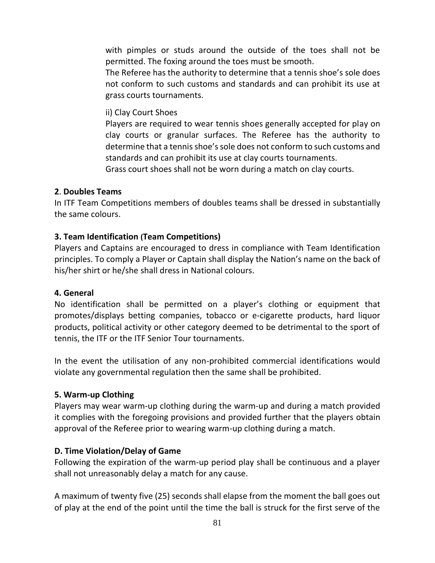with pimples or studs around the outside of the toes shall not be permitted. The foxing around the toes must be smooth.

The Referee has the authority to determine that a tennis shoe's sole does not conform to such customs and standards and can prohibit its use at grass courts tournaments.

ii) Clay Court Shoes

Players are required to wear tennis shoes generally accepted for play on clay courts or granular surfaces. The Referee has the authority to determine that a tennis shoe's sole does not conform to such customs and standards and can prohibit its use at clay courts tournaments.

Grass court shoes shall not be worn during a match on clay courts.

#### **2**. **Doubles Teams**

In ITF Team Competitions members of doubles teams shall be dressed in substantially the same colours.

### **3. Team Identification (Team Competitions)**

Players and Captains are encouraged to dress in compliance with Team Identification principles. To comply a Player or Captain shall display the Nation's name on the back of his/her shirt or he/she shall dress in National colours.

#### **4. General**

No identification shall be permitted on a player's clothing or equipment that promotes/displays betting companies, tobacco or e-cigarette products, hard liquor products, political activity or other category deemed to be detrimental to the sport of tennis, the ITF or the ITF Senior Tour tournaments.

In the event the utilisation of any non-prohibited commercial identifications would violate any governmental regulation then the same shall be prohibited.

### **5. Warm-up Clothing**

Players may wear warm-up clothing during the warm-up and during a match provided it complies with the foregoing provisions and provided further that the players obtain approval of the Referee prior to wearing warm-up clothing during a match.

### **D. Time Violation/Delay of Game**

Following the expiration of the warm-up period play shall be continuous and a player shall not unreasonably delay a match for any cause.

A maximum of twenty five (25) seconds shall elapse from the moment the ball goes out of play at the end of the point until the time the ball is struck for the first serve of the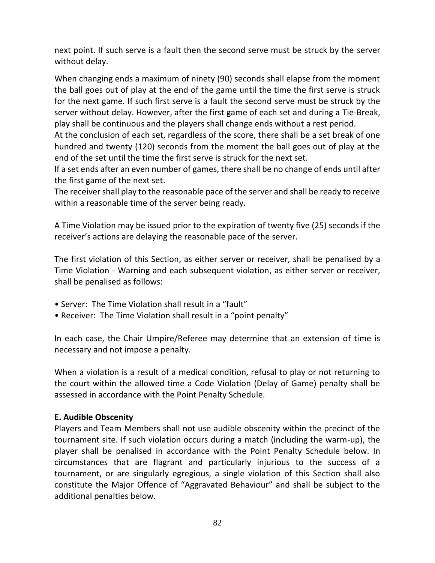next point. If such serve is a fault then the second serve must be struck by the server without delay.

When changing ends a maximum of ninety (90) seconds shall elapse from the moment the ball goes out of play at the end of the game until the time the first serve is struck for the next game. If such first serve is a fault the second serve must be struck by the server without delay. However, after the first game of each set and during a Tie-Break, play shall be continuous and the players shall change ends without a rest period.

At the conclusion of each set, regardless of the score, there shall be a set break of one hundred and twenty (120) seconds from the moment the ball goes out of play at the end of the set until the time the first serve is struck for the next set.

If a set ends after an even number of games, there shall be no change of ends until after the first game of the next set.

The receiver shall play to the reasonable pace of the server and shall be ready to receive within a reasonable time of the server being ready.

A Time Violation may be issued prior to the expiration of twenty five (25) seconds if the receiver's actions are delaying the reasonable pace of the server.

The first violation of this Section, as either server or receiver, shall be penalised by a Time Violation - Warning and each subsequent violation, as either server or receiver, shall be penalised as follows:

- Server: The Time Violation shall result in a "fault"
- Receiver: The Time Violation shall result in a "point penalty"

In each case, the Chair Umpire/Referee may determine that an extension of time is necessary and not impose a penalty.

When a violation is a result of a medical condition, refusal to play or not returning to the court within the allowed time a Code Violation (Delay of Game) penalty shall be assessed in accordance with the Point Penalty Schedule.

### **E. Audible Obscenity**

Players and Team Members shall not use audible obscenity within the precinct of the tournament site. If such violation occurs during a match (including the warm-up), the player shall be penalised in accordance with the Point Penalty Schedule below. In circumstances that are flagrant and particularly injurious to the success of a tournament, or are singularly egregious, a single violation of this Section shall also constitute the Major Offence of "Aggravated Behaviour" and shall be subject to the additional penalties below.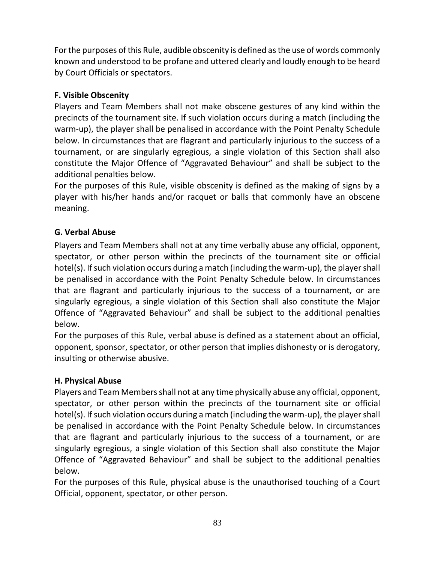For the purposes of this Rule, audible obscenity is defined as the use of words commonly known and understood to be profane and uttered clearly and loudly enough to be heard by Court Officials or spectators.

# **F. Visible Obscenity**

Players and Team Members shall not make obscene gestures of any kind within the precincts of the tournament site. If such violation occurs during a match (including the warm-up), the player shall be penalised in accordance with the Point Penalty Schedule below. In circumstances that are flagrant and particularly injurious to the success of a tournament, or are singularly egregious, a single violation of this Section shall also constitute the Major Offence of "Aggravated Behaviour" and shall be subject to the additional penalties below.

For the purposes of this Rule, visible obscenity is defined as the making of signs by a player with his/her hands and/or racquet or balls that commonly have an obscene meaning.

# **G. Verbal Abuse**

Players and Team Members shall not at any time verbally abuse any official, opponent, spectator, or other person within the precincts of the tournament site or official hotel(s). If such violation occurs during a match (including the warm-up), the player shall be penalised in accordance with the Point Penalty Schedule below. In circumstances that are flagrant and particularly injurious to the success of a tournament, or are singularly egregious, a single violation of this Section shall also constitute the Major Offence of "Aggravated Behaviour" and shall be subject to the additional penalties below.

For the purposes of this Rule, verbal abuse is defined as a statement about an official, opponent, sponsor, spectator, or other person that implies dishonesty or is derogatory, insulting or otherwise abusive.

# **H. Physical Abuse**

Players and Team Membersshall not at any time physically abuse any official, opponent, spectator, or other person within the precincts of the tournament site or official hotel(s). If such violation occurs during a match (including the warm-up), the player shall be penalised in accordance with the Point Penalty Schedule below. In circumstances that are flagrant and particularly injurious to the success of a tournament, or are singularly egregious, a single violation of this Section shall also constitute the Major Offence of "Aggravated Behaviour" and shall be subject to the additional penalties below.

For the purposes of this Rule, physical abuse is the unauthorised touching of a Court Official, opponent, spectator, or other person.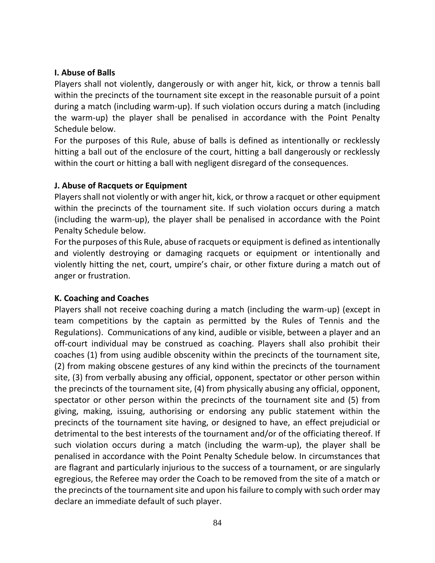### **I. Abuse of Balls**

Players shall not violently, dangerously or with anger hit, kick, or throw a tennis ball within the precincts of the tournament site except in the reasonable pursuit of a point during a match (including warm-up). If such violation occurs during a match (including the warm-up) the player shall be penalised in accordance with the Point Penalty Schedule below.

For the purposes of this Rule, abuse of balls is defined as intentionally or recklessly hitting a ball out of the enclosure of the court, hitting a ball dangerously or recklessly within the court or hitting a ball with negligent disregard of the consequences.

## **J. Abuse of Racquets or Equipment**

Players shall not violently or with anger hit, kick, or throw a racquet or other equipment within the precincts of the tournament site. If such violation occurs during a match (including the warm-up), the player shall be penalised in accordance with the Point Penalty Schedule below.

For the purposes of this Rule, abuse of racquets or equipment is defined as intentionally and violently destroying or damaging racquets or equipment or intentionally and violently hitting the net, court, umpire's chair, or other fixture during a match out of anger or frustration.

# **K. Coaching and Coaches**

Players shall not receive coaching during a match (including the warm-up) (except in team competitions by the captain as permitted by the Rules of Tennis and the Regulations). Communications of any kind, audible or visible, between a player and an off-court individual may be construed as coaching. Players shall also prohibit their coaches (1) from using audible obscenity within the precincts of the tournament site, (2) from making obscene gestures of any kind within the precincts of the tournament site, (3) from verbally abusing any official, opponent, spectator or other person within the precincts of the tournament site, (4) from physically abusing any official, opponent, spectator or other person within the precincts of the tournament site and (5) from giving, making, issuing, authorising or endorsing any public statement within the precincts of the tournament site having, or designed to have, an effect prejudicial or detrimental to the best interests of the tournament and/or of the officiating thereof. If such violation occurs during a match (including the warm-up), the player shall be penalised in accordance with the Point Penalty Schedule below. In circumstances that are flagrant and particularly injurious to the success of a tournament, or are singularly egregious, the Referee may order the Coach to be removed from the site of a match or the precincts of the tournament site and upon his failure to comply with such order may declare an immediate default of such player.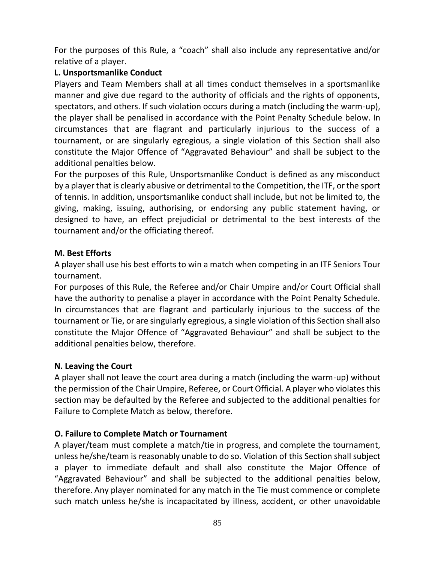For the purposes of this Rule, a "coach" shall also include any representative and/or relative of a player.

## **L. Unsportsmanlike Conduct**

Players and Team Members shall at all times conduct themselves in a sportsmanlike manner and give due regard to the authority of officials and the rights of opponents, spectators, and others. If such violation occurs during a match (including the warm-up), the player shall be penalised in accordance with the Point Penalty Schedule below. In circumstances that are flagrant and particularly injurious to the success of a tournament, or are singularly egregious, a single violation of this Section shall also constitute the Major Offence of "Aggravated Behaviour" and shall be subject to the additional penalties below.

For the purposes of this Rule, Unsportsmanlike Conduct is defined as any misconduct by a player that is clearly abusive or detrimental to the Competition, the ITF, or the sport of tennis. In addition, unsportsmanlike conduct shall include, but not be limited to, the giving, making, issuing, authorising, or endorsing any public statement having, or designed to have, an effect prejudicial or detrimental to the best interests of the tournament and/or the officiating thereof.

## **M. Best Efforts**

A player shall use his best efforts to win a match when competing in an ITF Seniors Tour tournament.

For purposes of this Rule, the Referee and/or Chair Umpire and/or Court Official shall have the authority to penalise a player in accordance with the Point Penalty Schedule. In circumstances that are flagrant and particularly injurious to the success of the tournament or Tie, or are singularly egregious, a single violation of this Section shall also constitute the Major Offence of "Aggravated Behaviour" and shall be subject to the additional penalties below, therefore.

# **N. Leaving the Court**

A player shall not leave the court area during a match (including the warm-up) without the permission of the Chair Umpire, Referee, or Court Official. A player who violates this section may be defaulted by the Referee and subjected to the additional penalties for Failure to Complete Match as below, therefore.

# **O. Failure to Complete Match or Tournament**

A player/team must complete a match/tie in progress, and complete the tournament, unless he/she/team is reasonably unable to do so. Violation of this Section shall subject a player to immediate default and shall also constitute the Major Offence of "Aggravated Behaviour" and shall be subjected to the additional penalties below, therefore. Any player nominated for any match in the Tie must commence or complete such match unless he/she is incapacitated by illness, accident, or other unavoidable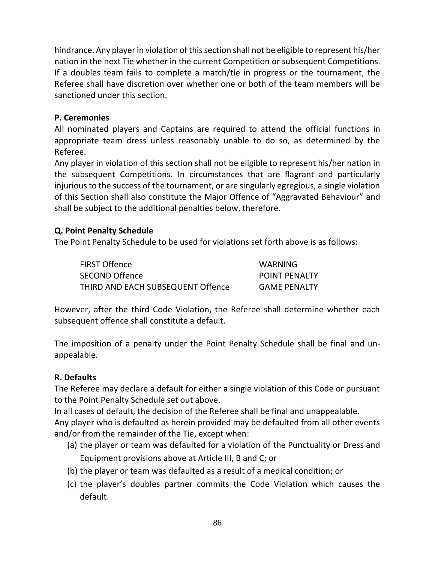hindrance. Any player in violation of this section shall not be eligible to represent his/her nation in the next Tie whether in the current Competition or subsequent Competitions. If a doubles team fails to complete a match/tie in progress or the tournament, the Referee shall have discretion over whether one or both of the team members will be sanctioned under this section.

## **P. Ceremonies**

All nominated players and Captains are required to attend the official functions in appropriate team dress unless reasonably unable to do so, as determined by the Referee.

Any player in violation of this section shall not be eligible to represent his/her nation in the subsequent Competitions. In circumstances that are flagrant and particularly injurious to the success of the tournament, or are singularly egregious, a single violation of this Section shall also constitute the Major Offence of "Aggravated Behaviour" and shall be subject to the additional penalties below, therefore.

### **Q. Point Penalty Schedule**

The Point Penalty Schedule to be used for violations set forth above is as follows:

| <b>FIRST Offence</b>              | WARNING              |
|-----------------------------------|----------------------|
| <b>SECOND Offence</b>             | <b>POINT PENALTY</b> |
| THIRD AND EACH SUBSEQUENT Offence | <b>GAME PENALTY</b>  |

However, after the third Code Violation, the Referee shall determine whether each subsequent offence shall constitute a default.

The imposition of a penalty under the Point Penalty Schedule shall be final and unappealable.

### **R. Defaults**

The Referee may declare a default for either a single violation of this Code or pursuant to the Point Penalty Schedule set out above.

In all cases of default, the decision of the Referee shall be final and unappealable.

Any player who is defaulted as herein provided may be defaulted from all other events and/or from the remainder of the Tie, except when:

- (a) the player or team was defaulted for a violation of the Punctuality or Dress and Equipment provisions above at Article III, B and C; or
- (b) the player or team was defaulted as a result of a medical condition; or
- (c) the player's doubles partner commits the Code Violation which causes the default.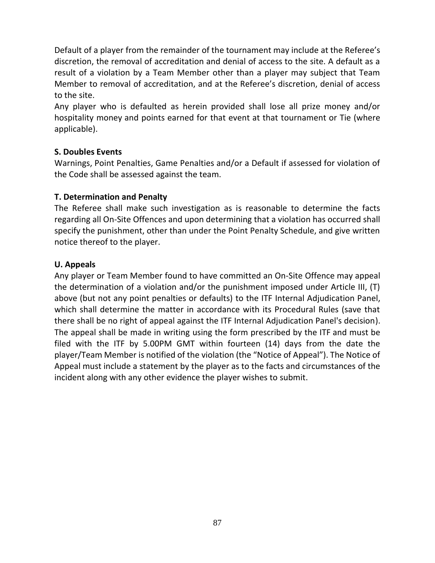Default of a player from the remainder of the tournament may include at the Referee's discretion, the removal of accreditation and denial of access to the site. A default as a result of a violation by a Team Member other than a player may subject that Team Member to removal of accreditation, and at the Referee's discretion, denial of access to the site.

Any player who is defaulted as herein provided shall lose all prize money and/or hospitality money and points earned for that event at that tournament or Tie (where applicable).

## **S. Doubles Events**

Warnings, Point Penalties, Game Penalties and/or a Default if assessed for violation of the Code shall be assessed against the team.

## **T. Determination and Penalty**

The Referee shall make such investigation as is reasonable to determine the facts regarding all On-Site Offences and upon determining that a violation has occurred shall specify the punishment, other than under the Point Penalty Schedule, and give written notice thereof to the player.

## **U. Appeals**

Any player or Team Member found to have committed an On-Site Offence may appeal the determination of a violation and/or the punishment imposed under Article III, (T) above (but not any point penalties or defaults) to the ITF Internal Adjudication Panel, which shall determine the matter in accordance with its Procedural Rules (save that there shall be no right of appeal against the ITF Internal Adjudication Panel's decision). The appeal shall be made in writing using the form prescribed by the ITF and must be filed with the ITF by 5.00PM GMT within fourteen (14) days from the date the player/Team Member is notified of the violation (the "Notice of Appeal"). The Notice of Appeal must include a statement by the player as to the facts and circumstances of the incident along with any other evidence the player wishes to submit.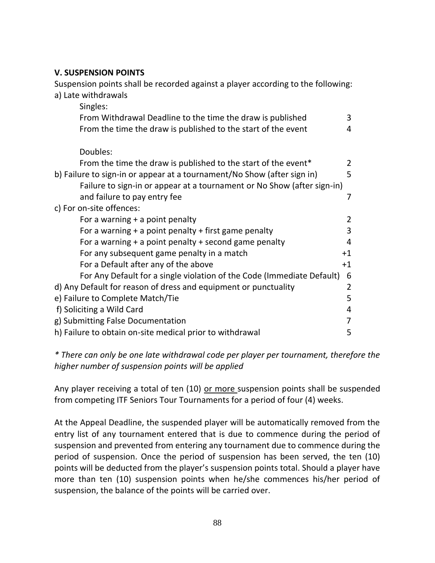### **V. SUSPENSION POINTS**

Suspension points shall be recorded against a player according to the following: a) Late withdrawals Singles: From Withdrawal Deadline to the time the draw is published 3 From the time the draw is published to the start of the event 4 Doubles: From the time the draw is published to the start of the event\* 2 b) Failure to sign-in or appear at a tournament/No Show (after sign in) 5 Failure to sign-in or appear at a tournament or No Show (after sign-in) and failure to pay entry fee 7 and 7 and 7 and 7 and 7 and 7 and 7 and 7 and 7 and 7 and 7 and 7 and 7 and 7 and 7 and 7 and 7 and 7 and 7 and 7 and 7 and 7 and 7 and 7 and 7 and 7 and 7 and 7 and 7 and 7 and 7 and 7 and 7 c) For on-site offences: For a warning + a point penalty and the contract of the 2 For a warning  $+$  a point penalty  $+$  first game penalty  $3$ For a warning + a point penalty + second game penalty 4 For any subsequent game penalty in a match  $+1$ For a Default after any of the above  $+1$ For Any Default for a single violation of the Code (Immediate Default) 6 d) Any Default for reason of dress and equipment or punctuality 2 e) Failure to Complete Match/Tie 5 f) Soliciting a Wild Card 4 g) Submitting False Documentation 7 h) Failure to obtain on-site medical prior to withdrawal 5

*\* There can only be one late withdrawal code per player per tournament, therefore the higher number of suspension points will be applied*

Any player receiving a total of ten (10) or more suspension points shall be suspended from competing ITF Seniors Tour Tournaments for a period of four (4) weeks.

At the Appeal Deadline, the suspended player will be automatically removed from the entry list of any tournament entered that is due to commence during the period of suspension and prevented from entering any tournament due to commence during the period of suspension. Once the period of suspension has been served, the ten (10) points will be deducted from the player's suspension points total. Should a player have more than ten (10) suspension points when he/she commences his/her period of suspension, the balance of the points will be carried over.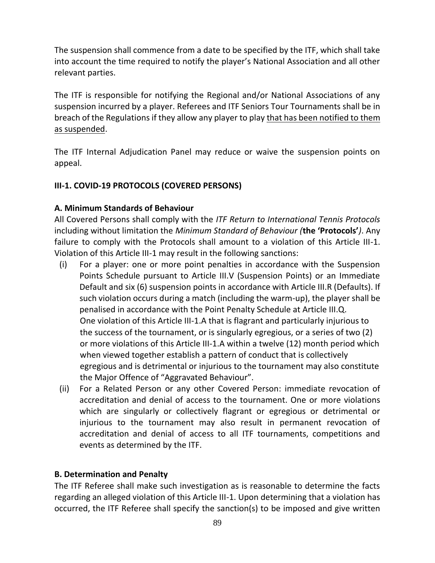The suspension shall commence from a date to be specified by the ITF, which shall take into account the time required to notify the player's National Association and all other relevant parties.

The ITF is responsible for notifying the Regional and/or National Associations of any suspension incurred by a player. Referees and ITF Seniors Tour Tournaments shall be in breach of the Regulations if they allow any player to play that has been notified to them as suspended.

The ITF Internal Adjudication Panel may reduce or waive the suspension points on appeal.

# **III-1. COVID-19 PROTOCOLS (COVERED PERSONS)**

### **A. Minimum Standards of Behaviour**

All Covered Persons shall comply with the *ITF Return to International Tennis Protocols* including without limitation the *Minimum Standard of Behaviour (***the 'Protocols'***)*. Any failure to comply with the Protocols shall amount to a violation of this Article III-1. Violation of this Article III-1 may result in the following sanctions:

- (i) For a player: one or more point penalties in accordance with the Suspension Points Schedule pursuant to Article III.V (Suspension Points) or an Immediate Default and six (6) suspension points in accordance with Article III.R (Defaults). If such violation occurs during a match (including the warm-up), the player shall be penalised in accordance with the Point Penalty Schedule at Article III.Q. One violation of this Article III-1.A that is flagrant and particularly injurious to the success of the tournament, or is singularly egregious, or a series of two (2) or more violations of this Article III-1.A within a twelve (12) month period which when viewed together establish a pattern of conduct that is collectively egregious and is detrimental or injurious to the tournament may also constitute the Major Offence of "Aggravated Behaviour".
- (ii) For a Related Person or any other Covered Person: immediate revocation of accreditation and denial of access to the tournament. One or more violations which are singularly or collectively flagrant or egregious or detrimental or injurious to the tournament may also result in permanent revocation of accreditation and denial of access to all ITF tournaments, competitions and events as determined by the ITF.

### **B. Determination and Penalty**

The ITF Referee shall make such investigation as is reasonable to determine the facts regarding an alleged violation of this Article III-1. Upon determining that a violation has occurred, the ITF Referee shall specify the sanction(s) to be imposed and give written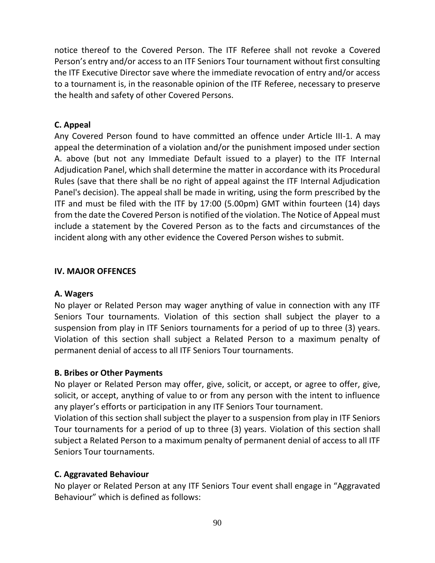notice thereof to the Covered Person. The ITF Referee shall not revoke a Covered Person's entry and/or access to an ITF Seniors Tour tournament without first consulting the ITF Executive Director save where the immediate revocation of entry and/or access to a tournament is, in the reasonable opinion of the ITF Referee, necessary to preserve the health and safety of other Covered Persons.

### **C. Appeal**

Any Covered Person found to have committed an offence under Article III-1. A may appeal the determination of a violation and/or the punishment imposed under section A. above (but not any Immediate Default issued to a player) to the ITF Internal Adjudication Panel, which shall determine the matter in accordance with its Procedural Rules (save that there shall be no right of appeal against the ITF Internal Adjudication Panel's decision). The appeal shall be made in writing, using the form prescribed by the ITF and must be filed with the ITF by 17:00 (5.00pm) GMT within fourteen (14) days from the date the Covered Person is notified of the violation. The Notice of Appeal must include a statement by the Covered Person as to the facts and circumstances of the incident along with any other evidence the Covered Person wishes to submit.

### **IV. MAJOR OFFENCES**

### **A. Wagers**

No player or Related Person may wager anything of value in connection with any ITF Seniors Tour tournaments. Violation of this section shall subject the player to a suspension from play in ITF Seniors tournaments for a period of up to three (3) years. Violation of this section shall subject a Related Person to a maximum penalty of permanent denial of access to all ITF Seniors Tour tournaments.

### **B. Bribes or Other Payments**

No player or Related Person may offer, give, solicit, or accept, or agree to offer, give, solicit, or accept, anything of value to or from any person with the intent to influence any player's efforts or participation in any ITF Seniors Tour tournament.

Violation of this section shall subject the player to a suspension from play in ITF Seniors Tour tournaments for a period of up to three (3) years. Violation of this section shall subject a Related Person to a maximum penalty of permanent denial of access to all ITF Seniors Tour tournaments.

# **C. Aggravated Behaviour**

No player or Related Person at any ITF Seniors Tour event shall engage in "Aggravated Behaviour" which is defined as follows: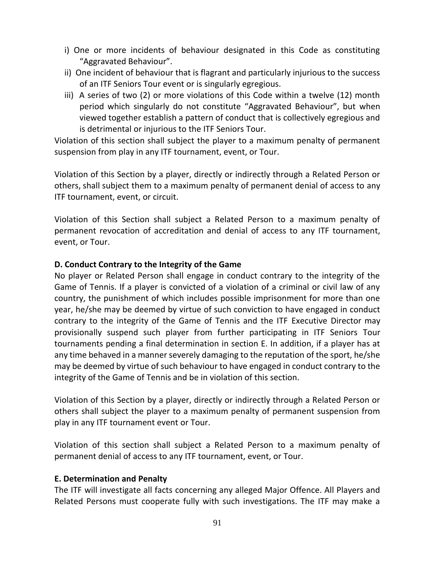- i) One or more incidents of behaviour designated in this Code as constituting "Aggravated Behaviour".
- ii) One incident of behaviour that is flagrant and particularly injurious to the success of an ITF Seniors Tour event or is singularly egregious.
- iii) A series of two (2) or more violations of this Code within a twelve (12) month period which singularly do not constitute "Aggravated Behaviour", but when viewed together establish a pattern of conduct that is collectively egregious and is detrimental or injurious to the ITF Seniors Tour.

Violation of this section shall subject the player to a maximum penalty of permanent suspension from play in any ITF tournament, event, or Tour.

Violation of this Section by a player, directly or indirectly through a Related Person or others, shall subject them to a maximum penalty of permanent denial of access to any ITF tournament, event, or circuit.

Violation of this Section shall subject a Related Person to a maximum penalty of permanent revocation of accreditation and denial of access to any ITF tournament, event, or Tour.

#### **D. Conduct Contrary to the Integrity of the Game**

No player or Related Person shall engage in conduct contrary to the integrity of the Game of Tennis. If a player is convicted of a violation of a criminal or civil law of any country, the punishment of which includes possible imprisonment for more than one year, he/she may be deemed by virtue of such conviction to have engaged in conduct contrary to the integrity of the Game of Tennis and the ITF Executive Director may provisionally suspend such player from further participating in ITF Seniors Tour tournaments pending a final determination in section E. In addition, if a player has at any time behaved in a manner severely damaging to the reputation of the sport, he/she may be deemed by virtue of such behaviour to have engaged in conduct contrary to the integrity of the Game of Tennis and be in violation of this section.

Violation of this Section by a player, directly or indirectly through a Related Person or others shall subject the player to a maximum penalty of permanent suspension from play in any ITF tournament event or Tour.

Violation of this section shall subject a Related Person to a maximum penalty of permanent denial of access to any ITF tournament, event, or Tour.

#### **E. Determination and Penalty**

The ITF will investigate all facts concerning any alleged Major Offence. All Players and Related Persons must cooperate fully with such investigations. The ITF may make a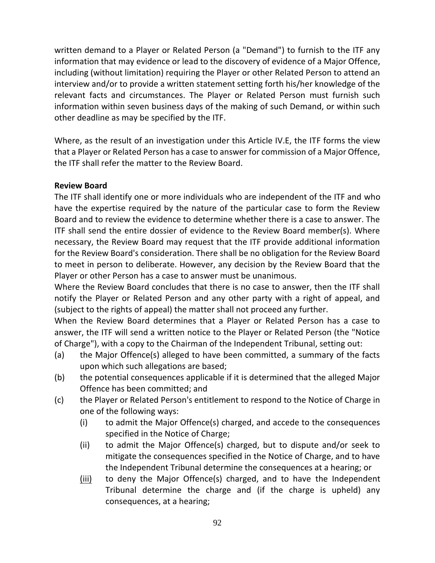written demand to a Player or Related Person (a "Demand") to furnish to the ITF any information that may evidence or lead to the discovery of evidence of a Major Offence, including (without limitation) requiring the Player or other Related Person to attend an interview and/or to provide a written statement setting forth his/her knowledge of the relevant facts and circumstances. The Player or Related Person must furnish such information within seven business days of the making of such Demand, or within such other deadline as may be specified by the ITF.

Where, as the result of an investigation under this Article IV.E, the ITF forms the view that a Player or Related Person has a case to answer for commission of a Major Offence, the ITF shall refer the matter to the Review Board.

## **Review Board**

The ITF shall identify one or more individuals who are independent of the ITF and who have the expertise required by the nature of the particular case to form the Review Board and to review the evidence to determine whether there is a case to answer. The ITF shall send the entire dossier of evidence to the Review Board member(s). Where necessary, the Review Board may request that the ITF provide additional information for the Review Board's consideration. There shall be no obligation for the Review Board to meet in person to deliberate. However, any decision by the Review Board that the Player or other Person has a case to answer must be unanimous.

Where the Review Board concludes that there is no case to answer, then the ITF shall notify the Player or Related Person and any other party with a right of appeal, and (subject to the rights of appeal) the matter shall not proceed any further.

When the Review Board determines that a Player or Related Person has a case to answer, the ITF will send a written notice to the Player or Related Person (the "Notice of Charge"), with a copy to the Chairman of the Independent Tribunal, setting out:

- (a) the Major Offence(s) alleged to have been committed, a summary of the facts upon which such allegations are based;
- (b) the potential consequences applicable if it is determined that the alleged Major Offence has been committed; and
- (c) the Player or Related Person's entitlement to respond to the Notice of Charge in one of the following ways:
	- (i) to admit the Major Offence(s) charged, and accede to the consequences specified in the Notice of Charge;
	- (ii) to admit the Major Offence(s) charged, but to dispute and/or seek to mitigate the consequences specified in the Notice of Charge, and to have the Independent Tribunal determine the consequences at a hearing; or
	- (iii) to deny the Major Offence(s) charged, and to have the Independent Tribunal determine the charge and (if the charge is upheld) any consequences, at a hearing;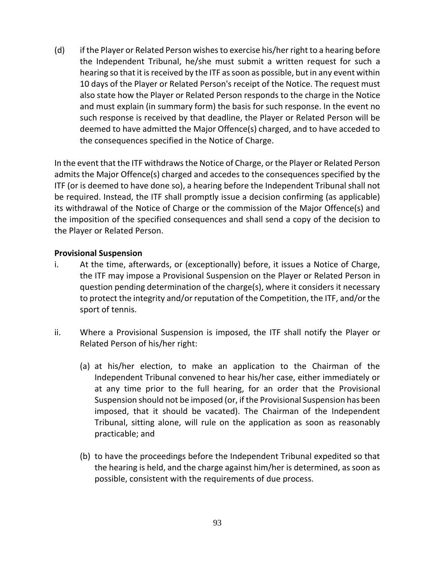(d) if the Player or Related Person wishes to exercise his/her right to a hearing before the Independent Tribunal, he/she must submit a written request for such a hearing so that it is received by the ITF as soon as possible, but in any event within 10 days of the Player or Related Person's receipt of the Notice. The request must also state how the Player or Related Person responds to the charge in the Notice and must explain (in summary form) the basis for such response. In the event no such response is received by that deadline, the Player or Related Person will be deemed to have admitted the Major Offence(s) charged, and to have acceded to the consequences specified in the Notice of Charge.

In the event that the ITF withdraws the Notice of Charge, or the Player or Related Person admits the Major Offence(s) charged and accedes to the consequences specified by the ITF (or is deemed to have done so), a hearing before the Independent Tribunal shall not be required. Instead, the ITF shall promptly issue a decision confirming (as applicable) its withdrawal of the Notice of Charge or the commission of the Major Offence(s) and the imposition of the specified consequences and shall send a copy of the decision to the Player or Related Person.

#### **Provisional Suspension**

- i. At the time, afterwards, or (exceptionally) before, it issues a Notice of Charge, the ITF may impose a Provisional Suspension on the Player or Related Person in question pending determination of the charge(s), where it considers it necessary to protect the integrity and/or reputation of the Competition, the ITF, and/or the sport of tennis.
- ii. Where a Provisional Suspension is imposed, the ITF shall notify the Player or Related Person of his/her right:
	- (a) at his/her election, to make an application to the Chairman of the Independent Tribunal convened to hear his/her case, either immediately or at any time prior to the full hearing, for an order that the Provisional Suspension should not be imposed (or, if the Provisional Suspension has been imposed, that it should be vacated). The Chairman of the Independent Tribunal, sitting alone, will rule on the application as soon as reasonably practicable; and
	- (b) to have the proceedings before the Independent Tribunal expedited so that the hearing is held, and the charge against him/her is determined, as soon as possible, consistent with the requirements of due process.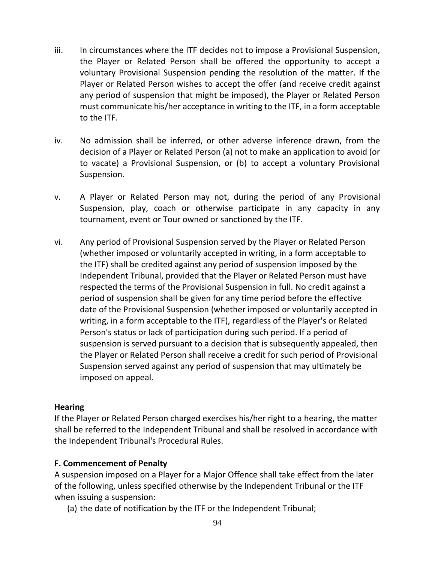- iii. In circumstances where the ITF decides not to impose a Provisional Suspension, the Player or Related Person shall be offered the opportunity to accept a voluntary Provisional Suspension pending the resolution of the matter. If the Player or Related Person wishes to accept the offer (and receive credit against any period of suspension that might be imposed), the Player or Related Person must communicate his/her acceptance in writing to the ITF, in a form acceptable to the ITF.
- iv. No admission shall be inferred, or other adverse inference drawn, from the decision of a Player or Related Person (a) not to make an application to avoid (or to vacate) a Provisional Suspension, or (b) to accept a voluntary Provisional Suspension.
- v. A Player or Related Person may not, during the period of any Provisional Suspension, play, coach or otherwise participate in any capacity in any tournament, event or Tour owned or sanctioned by the ITF.
- vi. Any period of Provisional Suspension served by the Player or Related Person (whether imposed or voluntarily accepted in writing, in a form acceptable to the ITF) shall be credited against any period of suspension imposed by the Independent Tribunal, provided that the Player or Related Person must have respected the terms of the Provisional Suspension in full. No credit against a period of suspension shall be given for any time period before the effective date of the Provisional Suspension (whether imposed or voluntarily accepted in writing, in a form acceptable to the ITF), regardless of the Player's or Related Person's status or lack of participation during such period. If a period of suspension is served pursuant to a decision that is subsequently appealed, then the Player or Related Person shall receive a credit for such period of Provisional Suspension served against any period of suspension that may ultimately be imposed on appeal.

#### **Hearing**

If the Player or Related Person charged exercises his/her right to a hearing, the matter shall be referred to the Independent Tribunal and shall be resolved in accordance with the Independent Tribunal's Procedural Rules.

### **F. Commencement of Penalty**

A suspension imposed on a Player for a Major Offence shall take effect from the later of the following, unless specified otherwise by the Independent Tribunal or the ITF when issuing a suspension:

(a) the date of notification by the ITF or the Independent Tribunal;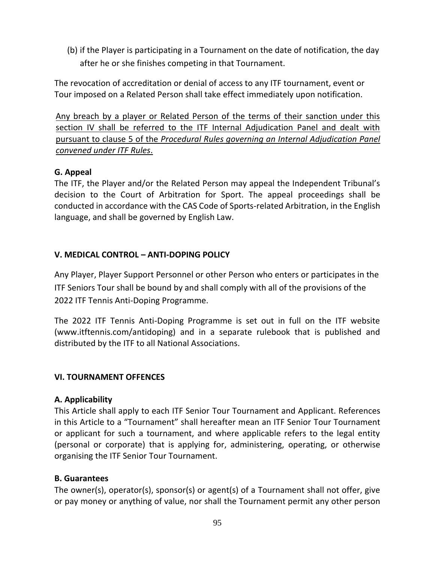(b) if the Player is participating in a Tournament on the date of notification, the day after he or she finishes competing in that Tournament.

The revocation of accreditation or denial of access to any ITF tournament, event or Tour imposed on a Related Person shall take effect immediately upon notification.

Any breach by a player or Related Person of the terms of their sanction under this section IV shall be referred to the ITF Internal Adjudication Panel and dealt with pursuant to clause 5 of the *Procedural Rules governing an Internal Adjudication Panel convened under ITF Rules*.

## **G. Appeal**

The ITF, the Player and/or the Related Person may appeal the Independent Tribunal's decision to the Court of Arbitration for Sport. The appeal proceedings shall be conducted in accordance with the CAS Code of Sports-related Arbitration, in the English language, and shall be governed by English Law.

## **V. MEDICAL CONTROL – ANTI-DOPING POLICY**

Any Player, Player Support Personnel or other Person who enters or participates in the ITF Seniors Tour shall be bound by and shall comply with all of the provisions of the 2022 ITF Tennis Anti-Doping Programme.

The 2022 ITF Tennis Anti-Doping Programme is set out in full on the ITF website (www.itftennis.com/antidoping) and in a separate rulebook that is published and distributed by the ITF to all National Associations.

### **VI. TOURNAMENT OFFENCES**

### **A. Applicability**

This Article shall apply to each ITF Senior Tour Tournament and Applicant. References in this Article to a "Tournament" shall hereafter mean an ITF Senior Tour Tournament or applicant for such a tournament, and where applicable refers to the legal entity (personal or corporate) that is applying for, administering, operating, or otherwise organising the ITF Senior Tour Tournament.

### **B. Guarantees**

The owner(s), operator(s), sponsor(s) or agent(s) of a Tournament shall not offer, give or pay money or anything of value, nor shall the Tournament permit any other person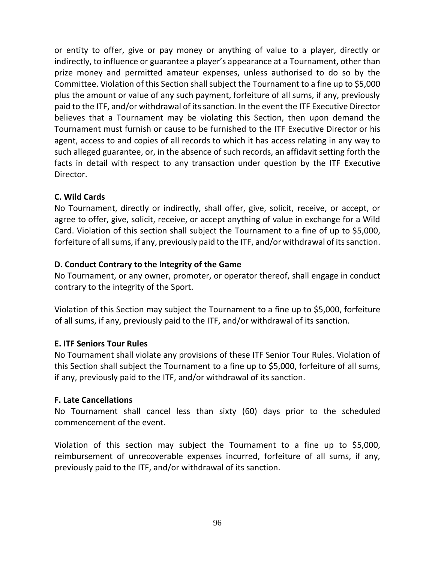or entity to offer, give or pay money or anything of value to a player, directly or indirectly, to influence or guarantee a player's appearance at a Tournament, other than prize money and permitted amateur expenses, unless authorised to do so by the Committee. Violation of this Section shall subject the Tournament to a fine up to \$5,000 plus the amount or value of any such payment, forfeiture of all sums, if any, previously paid to the ITF, and/or withdrawal of its sanction. In the event the ITF Executive Director believes that a Tournament may be violating this Section, then upon demand the Tournament must furnish or cause to be furnished to the ITF Executive Director or his agent, access to and copies of all records to which it has access relating in any way to such alleged guarantee, or, in the absence of such records, an affidavit setting forth the facts in detail with respect to any transaction under question by the ITF Executive Director.

### **C. Wild Cards**

No Tournament, directly or indirectly, shall offer, give, solicit, receive, or accept, or agree to offer, give, solicit, receive, or accept anything of value in exchange for a Wild Card. Violation of this section shall subject the Tournament to a fine of up to \$5,000, forfeiture of all sums, if any, previously paid to the ITF, and/or withdrawal of its sanction.

### **D. Conduct Contrary to the Integrity of the Game**

No Tournament, or any owner, promoter, or operator thereof, shall engage in conduct contrary to the integrity of the Sport.

Violation of this Section may subject the Tournament to a fine up to \$5,000, forfeiture of all sums, if any, previously paid to the ITF, and/or withdrawal of its sanction.

#### **E. ITF Seniors Tour Rules**

No Tournament shall violate any provisions of these ITF Senior Tour Rules. Violation of this Section shall subject the Tournament to a fine up to \$5,000, forfeiture of all sums, if any, previously paid to the ITF, and/or withdrawal of its sanction.

#### **F. Late Cancellations**

No Tournament shall cancel less than sixty (60) days prior to the scheduled commencement of the event.

Violation of this section may subject the Tournament to a fine up to \$5,000, reimbursement of unrecoverable expenses incurred, forfeiture of all sums, if any, previously paid to the ITF, and/or withdrawal of its sanction.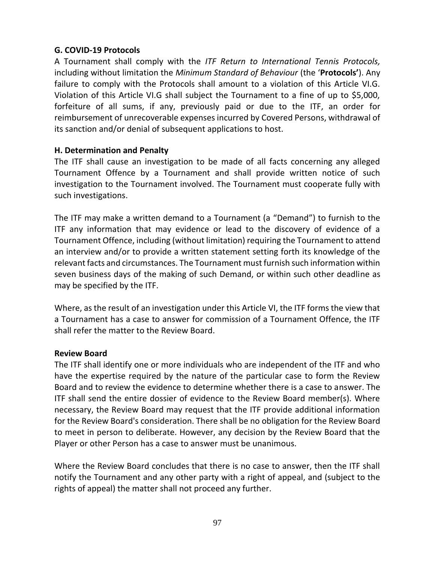#### **G. COVID-19 Protocols**

A Tournament shall comply with the *ITF Return to International Tennis Protocols,*  including without limitation the *Minimum Standard of Behaviour* (the '**Protocols'**). Any failure to comply with the Protocols shall amount to a violation of this Article VI.G. Violation of this Article VI.G shall subject the Tournament to a fine of up to \$5,000, forfeiture of all sums, if any, previously paid or due to the ITF, an order for reimbursement of unrecoverable expenses incurred by Covered Persons, withdrawal of its sanction and/or denial of subsequent applications to host.

#### **H. Determination and Penalty**

The ITF shall cause an investigation to be made of all facts concerning any alleged Tournament Offence by a Tournament and shall provide written notice of such investigation to the Tournament involved. The Tournament must cooperate fully with such investigations.

The ITF may make a written demand to a Tournament (a "Demand") to furnish to the ITF any information that may evidence or lead to the discovery of evidence of a Tournament Offence, including (without limitation) requiring the Tournament to attend an interview and/or to provide a written statement setting forth its knowledge of the relevant facts and circumstances. The Tournament must furnish such information within seven business days of the making of such Demand, or within such other deadline as may be specified by the ITF.

Where, as the result of an investigation under this Article VI, the ITF forms the view that a Tournament has a case to answer for commission of a Tournament Offence, the ITF shall refer the matter to the Review Board.

#### **Review Board**

The ITF shall identify one or more individuals who are independent of the ITF and who have the expertise required by the nature of the particular case to form the Review Board and to review the evidence to determine whether there is a case to answer. The ITF shall send the entire dossier of evidence to the Review Board member(s). Where necessary, the Review Board may request that the ITF provide additional information for the Review Board's consideration. There shall be no obligation for the Review Board to meet in person to deliberate. However, any decision by the Review Board that the Player or other Person has a case to answer must be unanimous.

Where the Review Board concludes that there is no case to answer, then the ITF shall notify the Tournament and any other party with a right of appeal, and (subject to the rights of appeal) the matter shall not proceed any further.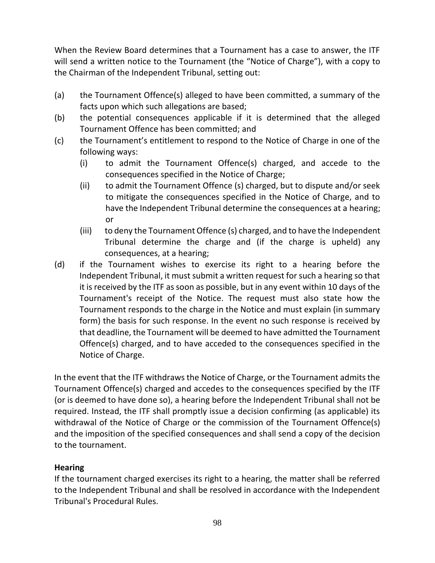When the Review Board determines that a Tournament has a case to answer, the ITF will send a written notice to the Tournament (the "Notice of Charge"), with a copy to the Chairman of the Independent Tribunal, setting out:

- (a) the Tournament Offence(s) alleged to have been committed, a summary of the facts upon which such allegations are based;
- (b) the potential consequences applicable if it is determined that the alleged Tournament Offence has been committed; and
- (c) the Tournament's entitlement to respond to the Notice of Charge in one of the following ways:
	- (i) to admit the Tournament Offence(s) charged, and accede to the consequences specified in the Notice of Charge;
	- (ii) to admit the Tournament Offence (s) charged, but to dispute and/or seek to mitigate the consequences specified in the Notice of Charge, and to have the Independent Tribunal determine the consequences at a hearing; or
	- (iii) to deny the Tournament Offence (s) charged, and to have the Independent Tribunal determine the charge and (if the charge is upheld) any consequences, at a hearing;
- (d) if the Tournament wishes to exercise its right to a hearing before the Independent Tribunal, it must submit a written request for such a hearing so that it is received by the ITF as soon as possible, but in any event within 10 days of the Tournament's receipt of the Notice. The request must also state how the Tournament responds to the charge in the Notice and must explain (in summary form) the basis for such response. In the event no such response is received by that deadline, the Tournament will be deemed to have admitted the Tournament Offence(s) charged, and to have acceded to the consequences specified in the Notice of Charge.

In the event that the ITF withdraws the Notice of Charge, or the Tournament admits the Tournament Offence(s) charged and accedes to the consequences specified by the ITF (or is deemed to have done so), a hearing before the Independent Tribunal shall not be required. Instead, the ITF shall promptly issue a decision confirming (as applicable) its withdrawal of the Notice of Charge or the commission of the Tournament Offence(s) and the imposition of the specified consequences and shall send a copy of the decision to the tournament.

# **Hearing**

If the tournament charged exercises its right to a hearing, the matter shall be referred to the Independent Tribunal and shall be resolved in accordance with the Independent Tribunal's Procedural Rules.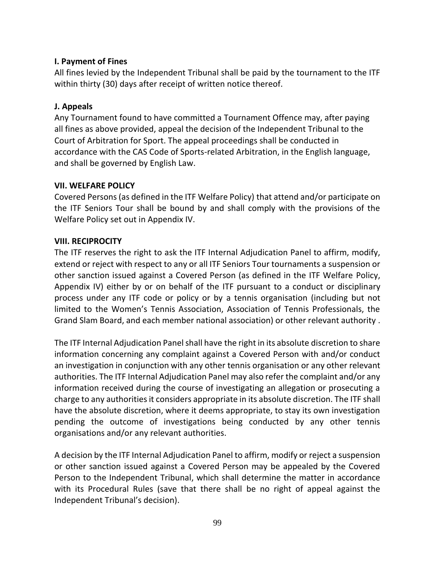### **I. Payment of Fines**

All fines levied by the Independent Tribunal shall be paid by the tournament to the ITF within thirty (30) days after receipt of written notice thereof.

#### **J. Appeals**

Any Tournament found to have committed a Tournament Offence may, after paying all fines as above provided, appeal the decision of the Independent Tribunal to the Court of Arbitration for Sport. The appeal proceedings shall be conducted in accordance with the CAS Code of Sports-related Arbitration, in the English language, and shall be governed by English Law.

#### **VII. WELFARE POLICY**

Covered Persons (as defined in the ITF Welfare Policy) that attend and/or participate on the ITF Seniors Tour shall be bound by and shall comply with the provisions of the Welfare Policy set out in Appendix IV.

#### **VIII. RECIPROCITY**

The ITF reserves the right to ask the ITF Internal Adjudication Panel to affirm, modify, extend or reject with respect to any or all ITF Seniors Tour tournaments a suspension or other sanction issued against a Covered Person (as defined in the ITF Welfare Policy, Appendix IV) either by or on behalf of the ITF pursuant to a conduct or disciplinary process under any ITF code or policy or by a tennis organisation (including but not limited to the Women's Tennis Association, Association of Tennis Professionals, the Grand Slam Board, and each member national association) or other relevant authority .

The ITF Internal Adjudication Panel shall have the right in its absolute discretion to share information concerning any complaint against a Covered Person with and/or conduct an investigation in conjunction with any other tennis organisation or any other relevant authorities. The ITF Internal Adjudication Panel may also refer the complaint and/or any information received during the course of investigating an allegation or prosecuting a charge to any authorities it considers appropriate in its absolute discretion. The ITF shall have the absolute discretion, where it deems appropriate, to stay its own investigation pending the outcome of investigations being conducted by any other tennis organisations and/or any relevant authorities.

A decision by the ITF Internal Adjudication Panel to affirm, modify or reject a suspension or other sanction issued against a Covered Person may be appealed by the Covered Person to the Independent Tribunal, which shall determine the matter in accordance with its Procedural Rules (save that there shall be no right of appeal against the Independent Tribunal's decision).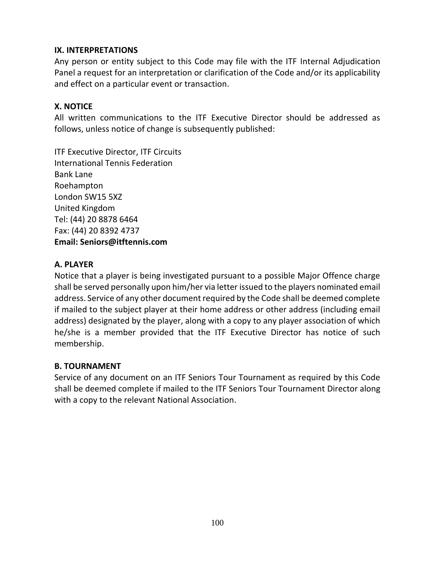### **IX. INTERPRETATIONS**

Any person or entity subject to this Code may file with the ITF Internal Adjudication Panel a request for an interpretation or clarification of the Code and/or its applicability and effect on a particular event or transaction.

### **X. NOTICE**

All written communications to the ITF Executive Director should be addressed as follows, unless notice of change is subsequently published:

ITF Executive Director, ITF Circuits International Tennis Federation Bank Lane Roehampton London SW15 5XZ United Kingdom Tel: (44) 20 8878 6464 Fax: (44) 20 8392 4737 **Email: [Seniors@itftennis.com](mailto:Seniors@itftennis.com)**

## **A. PLAYER**

Notice that a player is being investigated pursuant to a possible Major Offence charge shall be served personally upon him/her via letter issued to the players nominated email address. Service of any other document required by the Code shall be deemed complete if mailed to the subject player at their home address or other address (including email address) designated by the player, along with a copy to any player association of which he/she is a member provided that the ITF Executive Director has notice of such membership.

### **B. TOURNAMENT**

Service of any document on an ITF Seniors Tour Tournament as required by this Code shall be deemed complete if mailed to the ITF Seniors Tour Tournament Director along with a copy to the relevant National Association.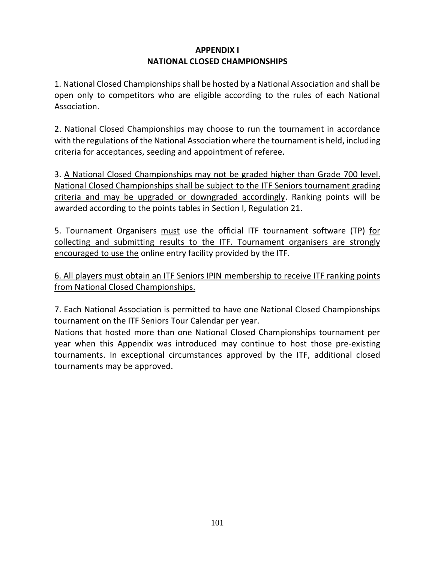## **APPENDIX I NATIONAL CLOSED CHAMPIONSHIPS**

1. National Closed Championships shall be hosted by a National Association and shall be open only to competitors who are eligible according to the rules of each National Association.

2. National Closed Championships may choose to run the tournament in accordance with the regulations of the National Association where the tournament is held, including criteria for acceptances, seeding and appointment of referee.

3. A National Closed Championships may not be graded higher than Grade 700 level. National Closed Championships shall be subject to the ITF Seniors tournament grading criteria and may be upgraded or downgraded accordingly. Ranking points will be awarded according to the points tables in Section I, Regulation 21.

5. Tournament Organisers must use the official ITF tournament software (TP) for collecting and submitting results to the ITF. Tournament organisers are strongly encouraged to use the online entry facility provided by the ITF.

6. All players must obtain an ITF Seniors IPIN membership to receive ITF ranking points from National Closed Championships.

7. Each National Association is permitted to have one National Closed Championships tournament on the ITF Seniors Tour Calendar per year.

Nations that hosted more than one National Closed Championships tournament per year when this Appendix was introduced may continue to host those pre-existing tournaments. In exceptional circumstances approved by the ITF, additional closed tournaments may be approved.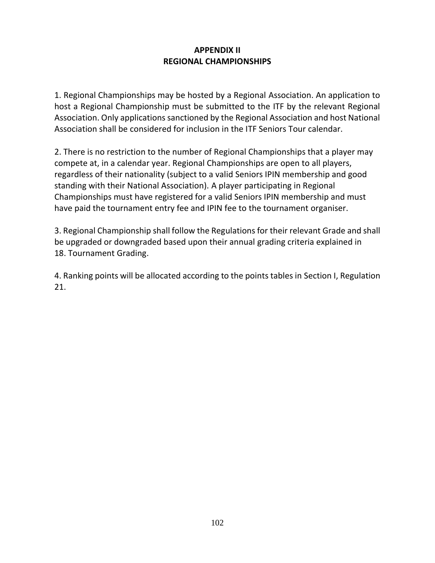## **APPENDIX II REGIONAL CHAMPIONSHIPS**

1. Regional Championships may be hosted by a Regional Association. An application to host a Regional Championship must be submitted to the ITF by the relevant Regional Association. Only applications sanctioned by the Regional Association and host National Association shall be considered for inclusion in the ITF Seniors Tour calendar.

2. There is no restriction to the number of Regional Championships that a player may compete at, in a calendar year. Regional Championships are open to all players, regardless of their nationality (subject to a valid Seniors IPIN membership and good standing with their National Association). A player participating in Regional Championships must have registered for a valid Seniors IPIN membership and must have paid the tournament entry fee and IPIN fee to the tournament organiser.

3. Regional Championship shall follow the Regulations for their relevant Grade and shall be upgraded or downgraded based upon their annual grading criteria explained in 18. Tournament Grading.

4. Ranking points will be allocated according to the points tables in Section I, Regulation 21.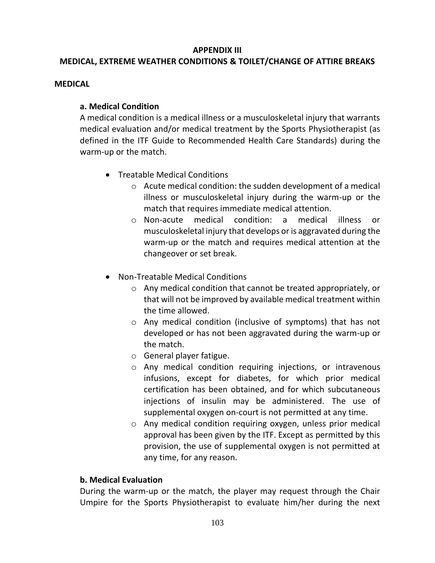#### **APPENDIX III**

# **MEDICAL, EXTREME WEATHER CONDITIONS & TOILET/CHANGE OF ATTIRE BREAKS**

#### **MEDICAL**

#### **a. Medical Condition**

A medical condition is a medical illness or a musculoskeletal injury that warrants medical evaluation and/or medical treatment by the Sports Physiotherapist (as defined in the ITF Guide to Recommended Health Care Standards) during the warm-up or the match.

- Treatable Medical Conditions
	- o Acute medical condition: the sudden development of a medical illness or musculoskeletal injury during the warm-up or the match that requires immediate medical attention.
	- o Non-acute medical condition: a medical illness or musculoskeletal injury that develops or is aggravated during the warm-up or the match and requires medical attention at the changeover or set break.
- Non-Treatable Medical Conditions
	- o Any medical condition that cannot be treated appropriately, or that will not be improved by available medical treatment within the time allowed.
	- o Any medical condition (inclusive of symptoms) that has not developed or has not been aggravated during the warm-up or the match.
	- o General player fatigue.
	- o Any medical condition requiring injections, or intravenous infusions, except for diabetes, for which prior medical certification has been obtained, and for which subcutaneous injections of insulin may be administered. The use of supplemental oxygen on-court is not permitted at any time.
	- o Any medical condition requiring oxygen, unless prior medical approval has been given by the ITF. Except as permitted by this provision, the use of supplemental oxygen is not permitted at any time, for any reason.

### **b. Medical Evaluation**

During the warm-up or the match, the player may request through the Chair Umpire for the Sports Physiotherapist to evaluate him/her during the next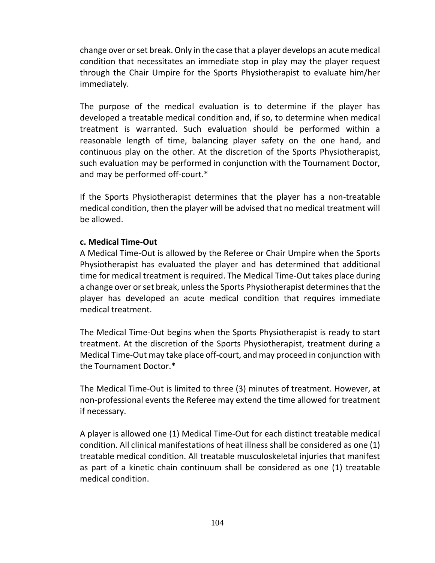change over or set break. Only in the case that a player develops an acute medical condition that necessitates an immediate stop in play may the player request through the Chair Umpire for the Sports Physiotherapist to evaluate him/her immediately.

The purpose of the medical evaluation is to determine if the player has developed a treatable medical condition and, if so, to determine when medical treatment is warranted. Such evaluation should be performed within a reasonable length of time, balancing player safety on the one hand, and continuous play on the other. At the discretion of the Sports Physiotherapist, such evaluation may be performed in conjunction with the Tournament Doctor, and may be performed off-court.\*

If the Sports Physiotherapist determines that the player has a non-treatable medical condition, then the player will be advised that no medical treatment will be allowed.

#### **c. Medical Time-Out**

A Medical Time-Out is allowed by the Referee or Chair Umpire when the Sports Physiotherapist has evaluated the player and has determined that additional time for medical treatment is required. The Medical Time-Out takes place during a change over or set break, unless the Sports Physiotherapist determines that the player has developed an acute medical condition that requires immediate medical treatment.

The Medical Time-Out begins when the Sports Physiotherapist is ready to start treatment. At the discretion of the Sports Physiotherapist, treatment during a Medical Time-Out may take place off-court, and may proceed in conjunction with the Tournament Doctor.\*

The Medical Time-Out is limited to three (3) minutes of treatment. However, at non-professional events the Referee may extend the time allowed for treatment if necessary.

A player is allowed one (1) Medical Time-Out for each distinct treatable medical condition. All clinical manifestations of heat illness shall be considered as one (1) treatable medical condition. All treatable musculoskeletal injuries that manifest as part of a kinetic chain continuum shall be considered as one (1) treatable medical condition.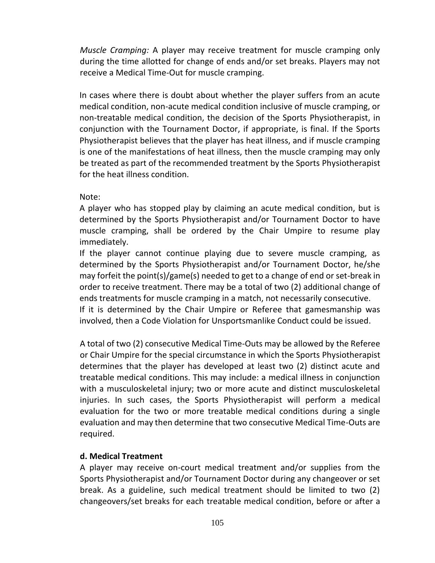*Muscle Cramping:* A player may receive treatment for muscle cramping only during the time allotted for change of ends and/or set breaks. Players may not receive a Medical Time-Out for muscle cramping.

In cases where there is doubt about whether the player suffers from an acute medical condition, non-acute medical condition inclusive of muscle cramping, or non-treatable medical condition, the decision of the Sports Physiotherapist, in conjunction with the Tournament Doctor, if appropriate, is final. If the Sports Physiotherapist believes that the player has heat illness, and if muscle cramping is one of the manifestations of heat illness, then the muscle cramping may only be treated as part of the recommended treatment by the Sports Physiotherapist for the heat illness condition.

Note:

A player who has stopped play by claiming an acute medical condition, but is determined by the Sports Physiotherapist and/or Tournament Doctor to have muscle cramping, shall be ordered by the Chair Umpire to resume play immediately.

If the player cannot continue playing due to severe muscle cramping, as determined by the Sports Physiotherapist and/or Tournament Doctor, he/she may forfeit the point(s)/game(s) needed to get to a change of end or set-break in order to receive treatment. There may be a total of two (2) additional change of ends treatments for muscle cramping in a match, not necessarily consecutive. If it is determined by the Chair Umpire or Referee that gamesmanship was involved, then a Code Violation for Unsportsmanlike Conduct could be issued.

A total of two (2) consecutive Medical Time-Outs may be allowed by the Referee or Chair Umpire for the special circumstance in which the Sports Physiotherapist determines that the player has developed at least two (2) distinct acute and treatable medical conditions. This may include: a medical illness in conjunction with a musculoskeletal injury; two or more acute and distinct musculoskeletal injuries. In such cases, the Sports Physiotherapist will perform a medical evaluation for the two or more treatable medical conditions during a single evaluation and may then determine that two consecutive Medical Time-Outs are required.

## **d. Medical Treatment**

A player may receive on-court medical treatment and/or supplies from the Sports Physiotherapist and/or Tournament Doctor during any changeover or set break. As a guideline, such medical treatment should be limited to two (2) changeovers/set breaks for each treatable medical condition, before or after a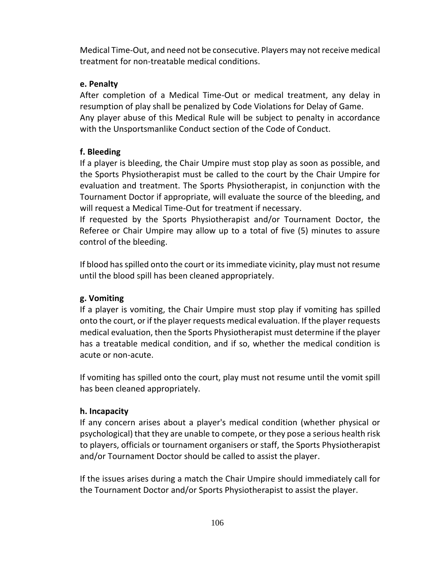Medical Time-Out, and need not be consecutive. Players may not receive medical treatment for non-treatable medical conditions.

## **e. Penalty**

After completion of a Medical Time-Out or medical treatment, any delay in resumption of play shall be penalized by Code Violations for Delay of Game. Any player abuse of this Medical Rule will be subject to penalty in accordance with the Unsportsmanlike Conduct section of the Code of Conduct.

## **f. Bleeding**

If a player is bleeding, the Chair Umpire must stop play as soon as possible, and the Sports Physiotherapist must be called to the court by the Chair Umpire for evaluation and treatment. The Sports Physiotherapist, in conjunction with the Tournament Doctor if appropriate, will evaluate the source of the bleeding, and will request a Medical Time-Out for treatment if necessary.

If requested by the Sports Physiotherapist and/or Tournament Doctor, the Referee or Chair Umpire may allow up to a total of five (5) minutes to assure control of the bleeding.

If blood has spilled onto the court or its immediate vicinity, play must not resume until the blood spill has been cleaned appropriately.

## **g. Vomiting**

If a player is vomiting, the Chair Umpire must stop play if vomiting has spilled onto the court, or if the player requests medical evaluation. If the player requests medical evaluation, then the Sports Physiotherapist must determine if the player has a treatable medical condition, and if so, whether the medical condition is acute or non-acute.

If vomiting has spilled onto the court, play must not resume until the vomit spill has been cleaned appropriately.

## **h. Incapacity**

If any concern arises about a player's medical condition (whether physical or psychological) that they are unable to compete, or they pose a serious health risk to players, officials or tournament organisers or staff, the Sports Physiotherapist and/or Tournament Doctor should be called to assist the player.

If the issues arises during a match the Chair Umpire should immediately call for the Tournament Doctor and/or Sports Physiotherapist to assist the player.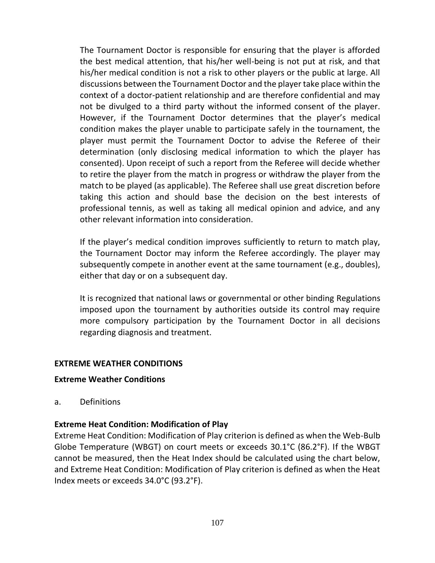The Tournament Doctor is responsible for ensuring that the player is afforded the best medical attention, that his/her well-being is not put at risk, and that his/her medical condition is not a risk to other players or the public at large. All discussions between the Tournament Doctor and the player take place within the context of a doctor-patient relationship and are therefore confidential and may not be divulged to a third party without the informed consent of the player. However, if the Tournament Doctor determines that the player's medical condition makes the player unable to participate safely in the tournament, the player must permit the Tournament Doctor to advise the Referee of their determination (only disclosing medical information to which the player has consented). Upon receipt of such a report from the Referee will decide whether to retire the player from the match in progress or withdraw the player from the match to be played (as applicable). The Referee shall use great discretion before taking this action and should base the decision on the best interests of professional tennis, as well as taking all medical opinion and advice, and any other relevant information into consideration.

If the player's medical condition improves sufficiently to return to match play, the Tournament Doctor may inform the Referee accordingly. The player may subsequently compete in another event at the same tournament (e.g., doubles), either that day or on a subsequent day.

It is recognized that national laws or governmental or other binding Regulations imposed upon the tournament by authorities outside its control may require more compulsory participation by the Tournament Doctor in all decisions regarding diagnosis and treatment.

#### **EXTREME WEATHER CONDITIONS**

#### **Extreme Weather Conditions**

a. Definitions

#### **Extreme Heat Condition: Modification of Play**

Extreme Heat Condition: Modification of Play criterion is defined as when the Web-Bulb Globe Temperature (WBGT) on court meets or exceeds 30.1°C (86.2°F). If the WBGT cannot be measured, then the Heat Index should be calculated using the chart below, and Extreme Heat Condition: Modification of Play criterion is defined as when the Heat Index meets or exceeds 34.0°C (93.2°F).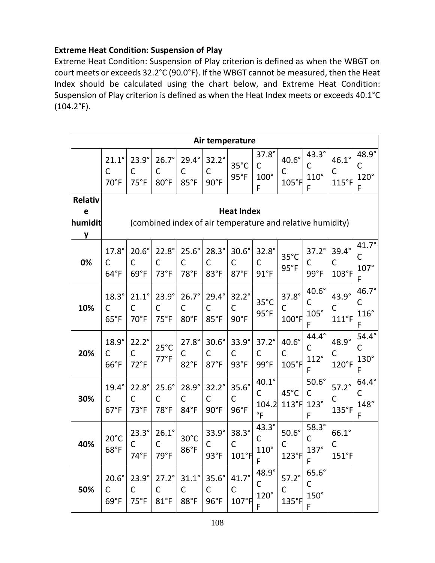#### **Extreme Heat Condition: Suspension of Play**

Extreme Heat Condition: Suspension of Play criterion is defined as when the WBGT on court meets or exceeds 32.2°C (90.0°F). If the WBGT cannot be measured, then the Heat Index should be calculated using the chart below, and Extreme Heat Condition: Suspension of Play criterion is defined as when the Heat Index meets or exceeds 40.1°C  $(104.2^{\circ}F).$ 

|                                     | Air temperature                                                                |                                               |                                      |                                               |                                       |                                      |                                           |                                         |                                                  |                                          |                                       |  |
|-------------------------------------|--------------------------------------------------------------------------------|-----------------------------------------------|--------------------------------------|-----------------------------------------------|---------------------------------------|--------------------------------------|-------------------------------------------|-----------------------------------------|--------------------------------------------------|------------------------------------------|---------------------------------------|--|
|                                     | $21.1^\circ$<br>C<br>70°F                                                      | $23.9^\circ$<br>C<br>$75°$ F                  | $26.7^\circ$<br>C<br>80°F            | $29.4^\circ$<br>C<br>85°F                     | $32.2^\circ$<br>C<br>90°F             | $35^{\circ}$ C<br>95°F               | 37.8°<br>$\mathsf{C}$<br>$100^\circ$<br>F | $40.6^{\circ}$<br>C<br>$105°$ F         | $43.3^\circ$<br>$\mathsf{C}$<br>$110^\circ$<br>F | $46.1^\circ$<br>C<br>115°F               | 48.9°<br>С<br>$120^\circ$<br>F        |  |
| <b>Relativ</b><br>e<br>humidit<br>y | <b>Heat Index</b><br>(combined index of air temperature and relative humidity) |                                               |                                      |                                               |                                       |                                      |                                           |                                         |                                                  |                                          |                                       |  |
| 0%                                  | $17.8^\circ$<br>C<br>$64^{\circ}F$                                             | $20.6^\circ$<br>C<br>69°F                     | $22.8^\circ$<br>$\mathsf{C}$<br>73°F | $25.6^\circ$<br>$\mathsf{C}$<br>78°F          | $28.3^\circ$<br>C<br>83°F             | $30.6^\circ$<br>C<br>87°F            | $32.8^\circ$<br>C<br>$91^{\circ}F$        | $35^{\circ}$ C<br>95°F                  | $37.2^\circ$<br>$\mathsf{C}$<br>99°F             | 39.4°<br>$\mathsf{C}$<br>103°F           | 41.7°<br>C<br>$107^\circ$<br>F        |  |
| 10%                                 | $18.3^\circ$<br>C<br>65°F                                                      | $21.1^\circ$<br>$\mathsf{C}$<br>70°F          | $23.9^\circ$<br>C<br>$75^{\circ}F$   | $26.7^\circ$<br>$\mathsf{C}$<br>80°F          | $29.4^\circ$<br>C<br>85°F             | $32.2^\circ$<br>C<br>90°F            | $35^{\circ}$ C<br>$95^\circ F$            | $37.8^\circ$<br>C<br>$100°$ F           | 40.6°<br>C<br>$105^\circ$<br>F                   | 43.9°<br>C<br>$111^{\circ}$ F            | 46.7°<br>C<br>$116^\circ$<br>F        |  |
| 20%                                 | $18.9^\circ$<br>C<br>66°F                                                      | $22.2^\circ$<br>$\mathsf{C}$<br>$72^{\circ}F$ | $25^{\circ}$ C<br>$77^{\circ}F$      | $27.8^\circ$<br>$\mathsf C$<br>82°F           | $30.6^\circ$<br>C<br>$87°$ F          | 33.9°<br>C<br>93°F                   | $37.2^\circ$<br>$\mathsf{C}$<br>99°F      | $40.6^\circ$<br>$\mathsf C$<br>$105°$ F | 44.4°<br>C<br>$112^\circ$<br>F                   | 48.9°<br>$\mathsf C$<br>$120°$ F         | $54.4^\circ$<br>C<br>$130^\circ$<br>F |  |
| 30%                                 | $19.4^\circ$<br>C<br>$67^{\circ}F$                                             | $22.8^\circ$<br>$\mathsf{C}$<br>73°F          | $25.6^\circ$<br>C<br>78°F            | $28.9^\circ$<br>$\mathsf{C}$<br>$84^{\circ}F$ | $32.2^\circ$<br>$\mathsf{C}$<br>90°F  | $35.6^\circ$<br>C<br>96°F            | $40.1^\circ$<br>C<br>104.2<br>$\degree$ F | 45°C<br>113°F                           | $50.6^\circ$<br>$\mathsf{C}$<br>$123^\circ$<br>F | $57.2^\circ$<br>$\mathsf{C}$<br>135°F    | 64.4°<br>С<br>148°<br>F               |  |
| 40%                                 | $20^{\circ}$ C<br>68°F                                                         | $23.3^\circ$<br>C<br>$74^{\circ}F$            | $26.1^\circ$<br>C<br>$79^{\circ}F$   | $30^{\circ}$ C<br>86°F                        | 33.9°<br>$\mathsf C$<br>$93^{\circ}F$ | $38.3^\circ$<br>$\mathsf C$<br>101°F | $43.3^\circ$<br>C<br>$110^\circ$<br>F     | $50.6^\circ$<br>C<br>123°F              | $58.3^\circ$<br>$\mathsf{C}$<br>$137^\circ$<br>F | 66.1°<br>$\mathsf{C}$<br>$151^{\circ}$ F |                                       |  |
| 50%                                 | $20.6^\circ$<br>C<br>69°F                                                      | $23.9^\circ$<br>C<br>$75^{\circ}F$            | $27.2^\circ$<br>C<br>$81^{\circ}$ F  | $31.1^\circ$<br>C<br>88°F                     | $35.6^\circ$<br>C<br>96°F             | $41.7^\circ$<br>C<br>$107°$ F        | 48.9°<br>С<br>$120^\circ$<br>F            | $57.2^\circ$<br>С<br>$135°$ F           | $65.6^\circ$<br>C<br>$150^\circ$<br>F            |                                          |                                       |  |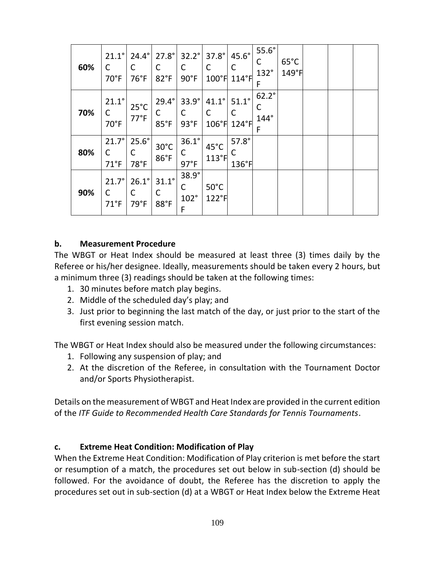| 60% | $21.1^\circ$<br>C<br>70°F         | $24.4^\circ$<br>С<br>76°F       | $27.8^\circ$<br>C<br>82°F             | $32.2^\circ$<br>С<br>90°F          | $37.8^\circ$<br>C<br>$100°$ F         | $45.6^\circ$<br>C<br>$114^{\circ}$ F | $55.6^\circ$<br>С<br>132°<br>F | $65^{\circ}$ C<br>$149°$ F |  |  |
|-----|-----------------------------------|---------------------------------|---------------------------------------|------------------------------------|---------------------------------------|--------------------------------------|--------------------------------|----------------------------|--|--|
| 70% | $21.1^\circ$<br>C<br>70°F         | $25^{\circ}$ C<br>$77^{\circ}F$ | $29.4^{\circ}$<br>С<br>$85^{\circ}$ F | $33.9^\circ$<br>С<br>93°F          | $41.1^\circ$<br>$\mathsf{C}$<br>106°F | $51.1^\circ$<br>C<br>$124^{\circ}$ F | $62.2^\circ$<br>С<br>144°<br>F |                            |  |  |
| 80% | 21.7°<br>C<br>$71^{\circ}F$       | $25.6^\circ$<br>78°F            | $30^{\circ}$ C<br>86°F                | $36.1^\circ$<br>С<br>$97^{\circ}F$ | 45°C<br>113°F                         | $57.8^\circ$<br>С<br>136°F           |                                |                            |  |  |
| 90% | $21.7^\circ$<br>C<br>$71^\circ F$ | $26.1^\circ$<br>C<br>79°F       | $31.1^\circ$<br>С<br>88°F             | 38.9°<br>С<br>102°<br>F            | $50^{\circ}$ C<br>122°F               |                                      |                                |                            |  |  |

#### **b. Measurement Procedure**

The WBGT or Heat Index should be measured at least three (3) times daily by the Referee or his/her designee. Ideally, measurements should be taken every 2 hours, but a minimum three (3) readings should be taken at the following times:

- 1. 30 minutes before match play begins.
- 2. Middle of the scheduled day's play; and
- 3. Just prior to beginning the last match of the day, or just prior to the start of the first evening session match.

The WBGT or Heat Index should also be measured under the following circumstances:

- 1. Following any suspension of play; and
- 2. At the discretion of the Referee, in consultation with the Tournament Doctor and/or Sports Physiotherapist.

Details on the measurement of WBGT and Heat Index are provided in the current edition of the *ITF Guide to Recommended Health Care Standards for Tennis Tournaments*.

## **c. Extreme Heat Condition: Modification of Play**

When the Extreme Heat Condition: Modification of Play criterion is met before the start or resumption of a match, the procedures set out below in sub-section (d) should be followed. For the avoidance of doubt, the Referee has the discretion to apply the procedures set out in sub-section (d) at a WBGT or Heat Index below the Extreme Heat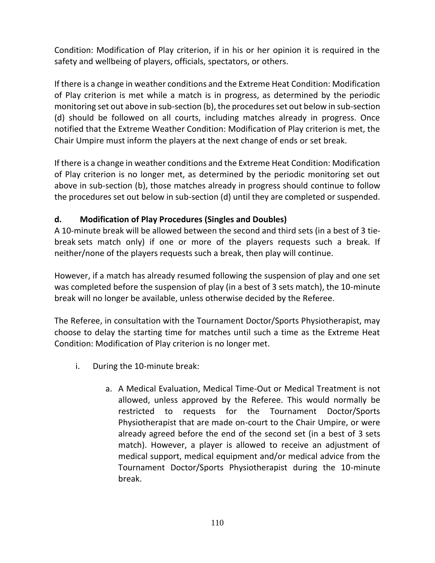Condition: Modification of Play criterion, if in his or her opinion it is required in the safety and wellbeing of players, officials, spectators, or others.

If there is a change in weather conditions and the Extreme Heat Condition: Modification of Play criterion is met while a match is in progress, as determined by the periodic monitoring set out above in sub-section (b), the procedures set out below in sub-section (d) should be followed on all courts, including matches already in progress. Once notified that the Extreme Weather Condition: Modification of Play criterion is met, the Chair Umpire must inform the players at the next change of ends or set break.

If there is a change in weather conditions and the Extreme Heat Condition: Modification of Play criterion is no longer met, as determined by the periodic monitoring set out above in sub-section (b), those matches already in progress should continue to follow the procedures set out below in sub-section (d) until they are completed or suspended.

## **d. Modification of Play Procedures (Singles and Doubles)**

A 10-minute break will be allowed between the second and third sets (in a best of 3 tiebreak sets match only) if one or more of the players requests such a break. If neither/none of the players requests such a break, then play will continue.

However, if a match has already resumed following the suspension of play and one set was completed before the suspension of play (in a best of 3 sets match), the 10-minute break will no longer be available, unless otherwise decided by the Referee.

The Referee, in consultation with the Tournament Doctor/Sports Physiotherapist, may choose to delay the starting time for matches until such a time as the Extreme Heat Condition: Modification of Play criterion is no longer met.

- i. During the 10-minute break:
	- a. A Medical Evaluation, Medical Time-Out or Medical Treatment is not allowed, unless approved by the Referee. This would normally be restricted to requests for the Tournament Doctor/Sports Physiotherapist that are made on-court to the Chair Umpire, or were already agreed before the end of the second set (in a best of 3 sets match). However, a player is allowed to receive an adjustment of medical support, medical equipment and/or medical advice from the Tournament Doctor/Sports Physiotherapist during the 10-minute break.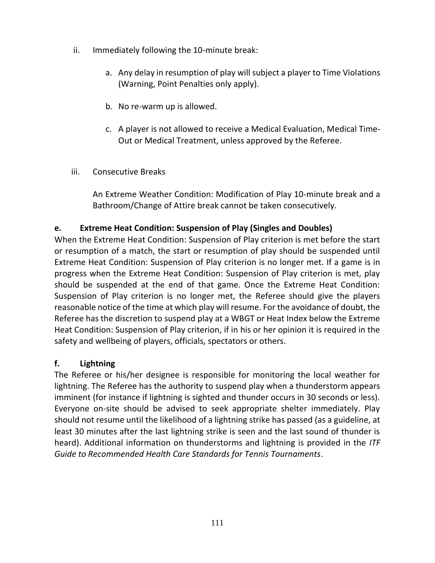- ii. Immediately following the 10-minute break:
	- a. Any delay in resumption of play will subject a player to Time Violations (Warning, Point Penalties only apply).
	- b. No re-warm up is allowed.
	- c. A player is not allowed to receive a Medical Evaluation, Medical Time-Out or Medical Treatment, unless approved by the Referee.
- iii. Consecutive Breaks

An Extreme Weather Condition: Modification of Play 10-minute break and a Bathroom/Change of Attire break cannot be taken consecutively.

## **e. Extreme Heat Condition: Suspension of Play (Singles and Doubles)**

When the Extreme Heat Condition: Suspension of Play criterion is met before the start or resumption of a match, the start or resumption of play should be suspended until Extreme Heat Condition: Suspension of Play criterion is no longer met. If a game is in progress when the Extreme Heat Condition: Suspension of Play criterion is met, play should be suspended at the end of that game. Once the Extreme Heat Condition: Suspension of Play criterion is no longer met, the Referee should give the players reasonable notice of the time at which play will resume. For the avoidance of doubt, the Referee has the discretion to suspend play at a WBGT or Heat Index below the Extreme Heat Condition: Suspension of Play criterion, if in his or her opinion it is required in the safety and wellbeing of players, officials, spectators or others.

## **f. Lightning**

The Referee or his/her designee is responsible for monitoring the local weather for lightning. The Referee has the authority to suspend play when a thunderstorm appears imminent (for instance if lightning is sighted and thunder occurs in 30 seconds or less). Everyone on-site should be advised to seek appropriate shelter immediately. Play should not resume until the likelihood of a lightning strike has passed (as a guideline, at least 30 minutes after the last lightning strike is seen and the last sound of thunder is heard). Additional information on thunderstorms and lightning is provided in the *ITF Guide to Recommended Health Care Standards for Tennis Tournaments*.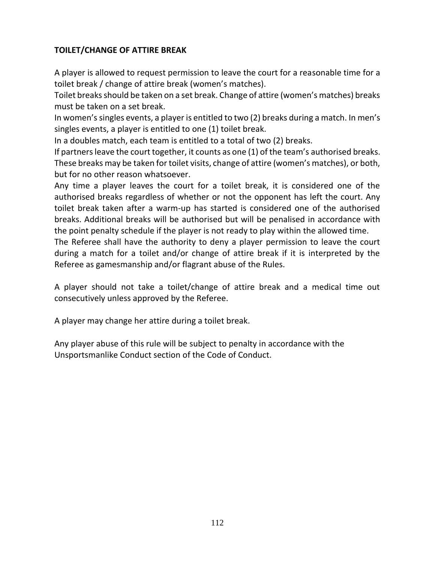## **TOILET/CHANGE OF ATTIRE BREAK**

A player is allowed to request permission to leave the court for a reasonable time for a toilet break / change of attire break (women's matches).

Toilet breaks should be taken on a set break. Change of attire (women's matches) breaks must be taken on a set break.

In women's singles events, a player is entitled to two (2) breaks during a match. In men's singles events, a player is entitled to one (1) toilet break.

In a doubles match, each team is entitled to a total of two (2) breaks.

If partners leave the court together, it counts as one (1) of the team's authorised breaks. These breaks may be taken for toilet visits, change of attire (women's matches), or both, but for no other reason whatsoever.

Any time a player leaves the court for a toilet break, it is considered one of the authorised breaks regardless of whether or not the opponent has left the court. Any toilet break taken after a warm-up has started is considered one of the authorised breaks. Additional breaks will be authorised but will be penalised in accordance with the point penalty schedule if the player is not ready to play within the allowed time.

The Referee shall have the authority to deny a player permission to leave the court during a match for a toilet and/or change of attire break if it is interpreted by the Referee as gamesmanship and/or flagrant abuse of the Rules.

A player should not take a toilet/change of attire break and a medical time out consecutively unless approved by the Referee.

A player may change her attire during a toilet break.

Any player abuse of this rule will be subject to penalty in accordance with the Unsportsmanlike Conduct section of the Code of Conduct.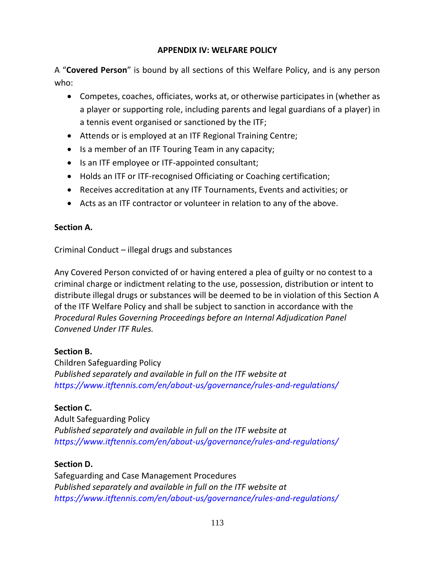## **APPENDIX IV: WELFARE POLICY**

A "**Covered Person**" is bound by all sections of this Welfare Policy, and is any person who:

- Competes, coaches, officiates, works at, or otherwise participates in (whether as a player or supporting role, including parents and legal guardians of a player) in a tennis event organised or sanctioned by the ITF;
- Attends or is employed at an ITF Regional Training Centre;
- Is a member of an ITF Touring Team in any capacity;
- Is an ITF employee or ITF-appointed consultant;
- Holds an ITF or ITF-recognised Officiating or Coaching certification;
- Receives accreditation at any ITF Tournaments, Events and activities; or
- Acts as an ITF contractor or volunteer in relation to any of the above.

#### **Section A.**

Criminal Conduct – illegal drugs and substances

Any Covered Person convicted of or having entered a plea of guilty or no contest to a criminal charge or indictment relating to the use, possession, distribution or intent to distribute illegal drugs or substances will be deemed to be in violation of this Section A of the ITF Welfare Policy and shall be subject to sanction in accordance with the *Procedural Rules Governing Proceedings before an Internal Adjudication Panel Convened Under ITF Rules.*

#### **Section B.**

Children Safeguarding Policy *Published separately and available in full on the ITF website at <https://www.itftennis.com/en/about-us/governance/rules-and-regulations/>*

## **Section C.**

Adult Safeguarding Policy *Published separately and available in full on the ITF website at <https://www.itftennis.com/en/about-us/governance/rules-and-regulations/>*

## **Section D.**

Safeguarding and Case Management Procedures *Published separately and available in full on the ITF website at <https://www.itftennis.com/en/about-us/governance/rules-and-regulations/>*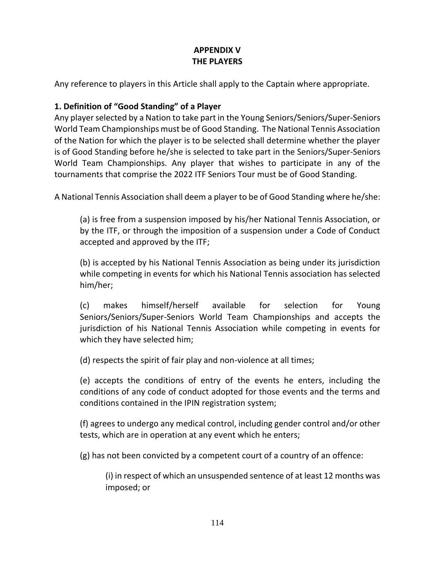## **APPENDIX V THE PLAYERS**

Any reference to players in this Article shall apply to the Captain where appropriate.

## **1. Definition of "Good Standing" of a Player**

Any player selected by a Nation to take part in the Young Seniors/Seniors/Super-Seniors World Team Championships must be of Good Standing. The National Tennis Association of the Nation for which the player is to be selected shall determine whether the player is of Good Standing before he/she is selected to take part in the Seniors/Super-Seniors World Team Championships. Any player that wishes to participate in any of the tournaments that comprise the 2022 ITF Seniors Tour must be of Good Standing.

A National Tennis Association shall deem a player to be of Good Standing where he/she:

(a) is free from a suspension imposed by his/her National Tennis Association, or by the ITF, or through the imposition of a suspension under a Code of Conduct accepted and approved by the ITF;

(b) is accepted by his National Tennis Association as being under its jurisdiction while competing in events for which his National Tennis association has selected him/her;

(c) makes himself/herself available for selection for Young Seniors/Seniors/Super-Seniors World Team Championships and accepts the jurisdiction of his National Tennis Association while competing in events for which they have selected him;

(d) respects the spirit of fair play and non-violence at all times;

(e) accepts the conditions of entry of the events he enters, including the conditions of any code of conduct adopted for those events and the terms and conditions contained in the IPIN registration system;

(f) agrees to undergo any medical control, including gender control and/or other tests, which are in operation at any event which he enters;

(g) has not been convicted by a competent court of a country of an offence:

(i) in respect of which an unsuspended sentence of at least 12 months was imposed; or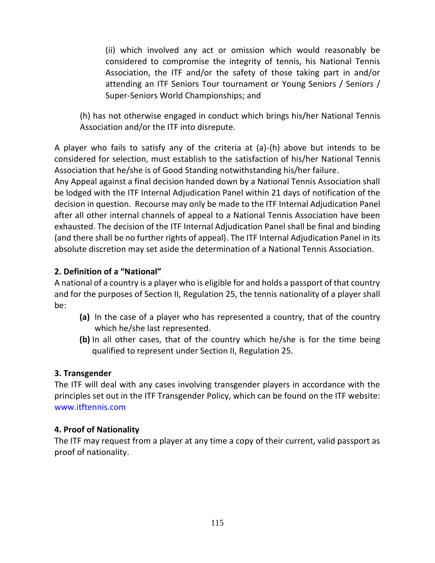(ii) which involved any act or omission which would reasonably be considered to compromise the integrity of tennis, his National Tennis Association, the ITF and/or the safety of those taking part in and/or attending an ITF Seniors Tour tournament or Young Seniors / Seniors / Super-Seniors World Championships; and

(h) has not otherwise engaged in conduct which brings his/her National Tennis Association and/or the ITF into disrepute.

A player who fails to satisfy any of the criteria at (a)-(h) above but intends to be considered for selection, must establish to the satisfaction of his/her National Tennis Association that he/she is of Good Standing notwithstanding his/her failure.

Any Appeal against a final decision handed down by a National Tennis Association shall be lodged with the ITF Internal Adjudication Panel within 21 days of notification of the decision in question. Recourse may only be made to the ITF Internal Adjudication Panel after all other internal channels of appeal to a National Tennis Association have been exhausted. The decision of the ITF Internal Adjudication Panel shall be final and binding (and there shall be no further rights of appeal). The ITF Internal Adjudication Panel in its absolute discretion may set aside the determination of a National Tennis Association.

## **2. Definition of a "National"**

A national of a country is a player who is eligible for and holds a passport of that country and for the purposes of Section II, Regulation 25, the tennis nationality of a player shall be:

- **(a)** In the case of a player who has represented a country, that of the country which he/she last represented.
- **(b)** In all other cases, that of the country which he/she is for the time being qualified to represent under Section II, Regulation 25.

## **3. Transgender**

The ITF will deal with any cases involving transgender players in accordance with the principles set out in the ITF Transgender Policy, which can be found on the ITF website: [www.itftennis.com](http://www.itftennis.com/)

## **4. Proof of Nationality**

The ITF may request from a player at any time a copy of their current, valid passport as proof of nationality.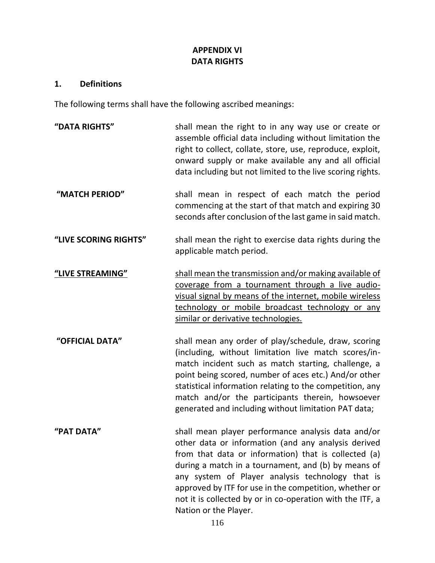## **APPENDIX VI DATA RIGHTS**

#### **1. Definitions**

The following terms shall have the following ascribed meanings:

**"DATA RIGHTS"** shall mean the right to in any way use or create or assemble official data including without limitation the right to collect, collate, store, use, reproduce, exploit, onward supply or make available any and all official data including but not limited to the live scoring rights. **"MATCH PERIOD"** shall mean in respect of each match the period commencing at the start of that match and expiring 30 seconds after conclusion of the last game in said match. **"LIVE SCORING RIGHTS"** shall mean the right to exercise data rights during the applicable match period. **"LIVE STREAMING"** shall mean the transmission and/or making available of coverage from a tournament through a live audiovisual signal by means of the internet, mobile wireless technology or mobile broadcast technology or any similar or derivative technologies. **"OFFICIAL DATA"** shall mean any order of play/schedule, draw, scoring (including, without limitation live match scores/inmatch incident such as match starting, challenge, a point being scored, number of aces etc.) And/or other statistical information relating to the competition, any match and/or the participants therein, howsoever generated and including without limitation PAT data; **"PAT DATA"** shall mean player performance analysis data and/or other data or information (and any analysis derived from that data or information) that is collected (a) during a match in a tournament, and (b) by means of any system of Player analysis technology that is approved by ITF for use in the competition, whether or not it is collected by or in co-operation with the ITF, a Nation or the Player.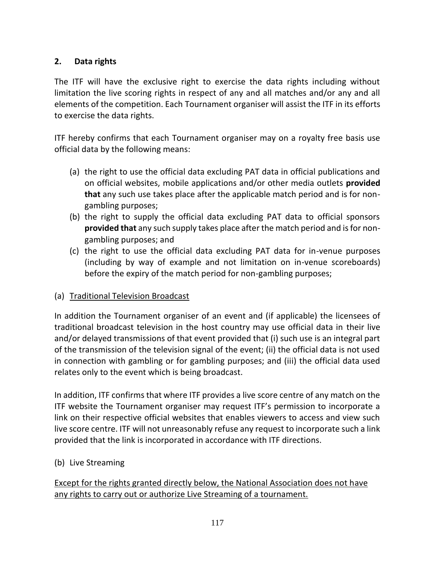## **2. Data rights**

The ITF will have the exclusive right to exercise the data rights including without limitation the live scoring rights in respect of any and all matches and/or any and all elements of the competition. Each Tournament organiser will assist the ITF in its efforts to exercise the data rights.

ITF hereby confirms that each Tournament organiser may on a royalty free basis use official data by the following means:

- (a) the right to use the official data excluding PAT data in official publications and on official websites, mobile applications and/or other media outlets **provided that** any such use takes place after the applicable match period and is for nongambling purposes;
- (b) the right to supply the official data excluding PAT data to official sponsors **provided that** any such supply takes place after the match period and is for nongambling purposes; and
- (c) the right to use the official data excluding PAT data for in-venue purposes (including by way of example and not limitation on in-venue scoreboards) before the expiry of the match period for non-gambling purposes;

## (a) Traditional Television Broadcast

In addition the Tournament organiser of an event and (if applicable) the licensees of traditional broadcast television in the host country may use official data in their live and/or delayed transmissions of that event provided that (i) such use is an integral part of the transmission of the television signal of the event; (ii) the official data is not used in connection with gambling or for gambling purposes; and (iii) the official data used relates only to the event which is being broadcast.

In addition, ITF confirms that where ITF provides a live score centre of any match on the ITF website the Tournament organiser may request ITF's permission to incorporate a link on their respective official websites that enables viewers to access and view such live score centre. ITF will not unreasonably refuse any request to incorporate such a link provided that the link is incorporated in accordance with ITF directions.

## (b) Live Streaming

Except for the rights granted directly below, the National Association does not have any rights to carry out or authorize Live Streaming of a tournament.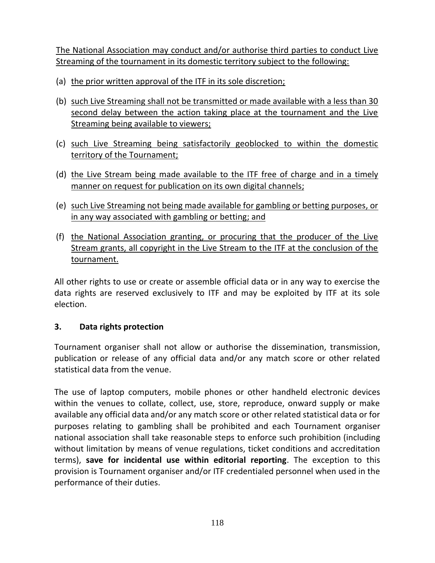The National Association may conduct and/or authorise third parties to conduct Live Streaming of the tournament in its domestic territory subject to the following:

- (a) the prior written approval of the ITF in its sole discretion;
- (b) such Live Streaming shall not be transmitted or made available with a less than 30 second delay between the action taking place at the tournament and the Live Streaming being available to viewers;
- (c) such Live Streaming being satisfactorily geoblocked to within the domestic territory of the Tournament;
- (d) the Live Stream being made available to the ITF free of charge and in a timely manner on request for publication on its own digital channels;
- (e) such Live Streaming not being made available for gambling or betting purposes, or in any way associated with gambling or betting; and
- (f) the National Association granting, or procuring that the producer of the Live Stream grants, all copyright in the Live Stream to the ITF at the conclusion of the tournament.

All other rights to use or create or assemble official data or in any way to exercise the data rights are reserved exclusively to ITF and may be exploited by ITF at its sole election.

## **3. Data rights protection**

Tournament organiser shall not allow or authorise the dissemination, transmission, publication or release of any official data and/or any match score or other related statistical data from the venue.

The use of laptop computers, mobile phones or other handheld electronic devices within the venues to collate, collect, use, store, reproduce, onward supply or make available any official data and/or any match score or other related statistical data or for purposes relating to gambling shall be prohibited and each Tournament organiser national association shall take reasonable steps to enforce such prohibition (including without limitation by means of venue regulations, ticket conditions and accreditation terms), **save for incidental use within editorial reporting**. The exception to this provision is Tournament organiser and/or ITF credentialed personnel when used in the performance of their duties.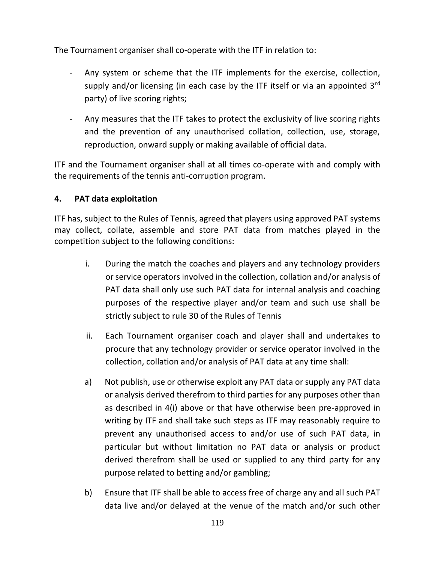The Tournament organiser shall co-operate with the ITF in relation to:

- Any system or scheme that the ITF implements for the exercise, collection, supply and/or licensing (in each case by the ITF itself or via an appointed  $3<sup>rd</sup>$ party) of live scoring rights;
- Any measures that the ITF takes to protect the exclusivity of live scoring rights and the prevention of any unauthorised collation, collection, use, storage, reproduction, onward supply or making available of official data.

ITF and the Tournament organiser shall at all times co-operate with and comply with the requirements of the tennis anti-corruption program.

## **4. PAT data exploitation**

ITF has, subject to the Rules of Tennis, agreed that players using approved PAT systems may collect, collate, assemble and store PAT data from matches played in the competition subject to the following conditions:

- i. During the match the coaches and players and any technology providers or service operators involved in the collection, collation and/or analysis of PAT data shall only use such PAT data for internal analysis and coaching purposes of the respective player and/or team and such use shall be strictly subject to rule 30 of the Rules of Tennis
- ii. Each Tournament organiser coach and player shall and undertakes to procure that any technology provider or service operator involved in the collection, collation and/or analysis of PAT data at any time shall:
- a) Not publish, use or otherwise exploit any PAT data or supply any PAT data or analysis derived therefrom to third parties for any purposes other than as described in 4(i) above or that have otherwise been pre-approved in writing by ITF and shall take such steps as ITF may reasonably require to prevent any unauthorised access to and/or use of such PAT data, in particular but without limitation no PAT data or analysis or product derived therefrom shall be used or supplied to any third party for any purpose related to betting and/or gambling;
- b) Ensure that ITF shall be able to access free of charge any and all such PAT data live and/or delayed at the venue of the match and/or such other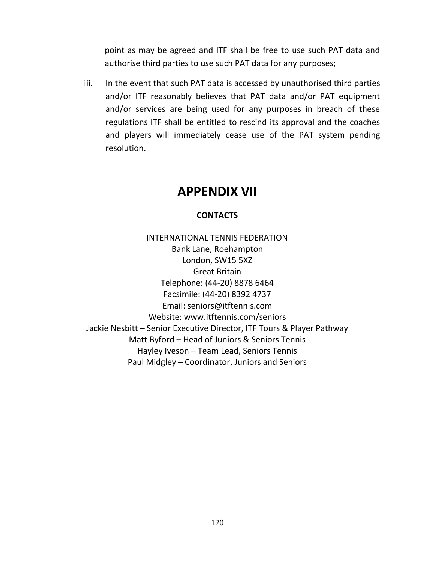point as may be agreed and ITF shall be free to use such PAT data and authorise third parties to use such PAT data for any purposes;

iii. In the event that such PAT data is accessed by unauthorised third parties and/or ITF reasonably believes that PAT data and/or PAT equipment and/or services are being used for any purposes in breach of these regulations ITF shall be entitled to rescind its approval and the coaches and players will immediately cease use of the PAT system pending resolution.

## **APPENDIX VII**

#### **CONTACTS**

INTERNATIONAL TENNIS FEDERATION Bank Lane, Roehampton London, SW15 5XZ Great Britain Telephone: (44-20) 8878 6464 Facsimile: (44-20) 8392 4737 Email: seniors@itftennis.com Website: www.itftennis.com/seniors Jackie Nesbitt – Senior Executive Director, ITF Tours & Player Pathway Matt Byford – Head of Juniors & Seniors Tennis Hayley Iveson – Team Lead, Seniors Tennis Paul Midgley – Coordinator, Juniors and Seniors